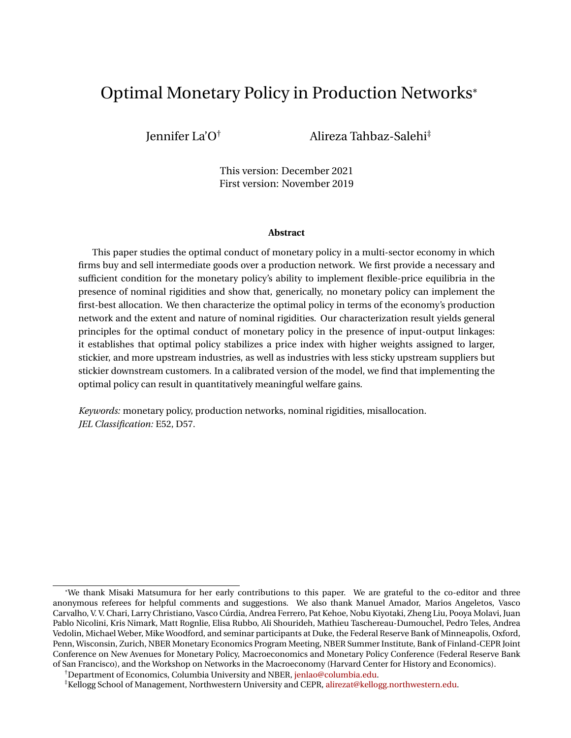# <span id="page-0-0"></span>Optimal Monetary Policy in Production Networks\*

Jennifer La'O† Alireza Tahbaz-Salehi‡

This version: December 2021 First version: November 2019

#### **Abstract**

This paper studies the optimal conduct of monetary policy in a multi-sector economy in which firms buy and sell intermediate goods over a production network. We first provide a necessary and sufficient condition for the monetary policy's ability to implement flexible-price equilibria in the presence of nominal rigidities and show that, generically, no monetary policy can implement the first-best allocation. We then characterize the optimal policy in terms of the economy's production network and the extent and nature of nominal rigidities. Our characterization result yields general principles for the optimal conduct of monetary policy in the presence of input-output linkages: it establishes that optimal policy stabilizes a price index with higher weights assigned to larger, stickier, and more upstream industries, as well as industries with less sticky upstream suppliers but stickier downstream customers. In a calibrated version of the model, we find that implementing the optimal policy can result in quantitatively meaningful welfare gains.

*Keywords:* monetary policy, production networks, nominal rigidities, misallocation. *JEL Classification:* E52, D57.

<sup>\*</sup>We thank Misaki Matsumura for her early contributions to this paper. We are grateful to the co-editor and three anonymous referees for helpful comments and suggestions. We also thank Manuel Amador, Marios Angeletos, Vasco Carvalho, V. V. Chari, Larry Christiano, Vasco Cúrdia, Andrea Ferrero, Pat Kehoe, Nobu Kiyotaki, Zheng Liu, Pooya Molavi, Juan Pablo Nicolini, Kris Nimark, Matt Rognlie, Elisa Rubbo, Ali Shourideh, Mathieu Taschereau-Dumouchel, Pedro Teles, Andrea Vedolin, Michael Weber, Mike Woodford, and seminar participants at Duke, the Federal Reserve Bank of Minneapolis, Oxford, Penn, Wisconsin, Zurich, NBER Monetary Economics Program Meeting, NBER Summer Institute, Bank of Finland-CEPR Joint Conference on New Avenues for Monetary Policy, Macroeconomics and Monetary Policy Conference (Federal Reserve Bank of San Francisco), and the Workshop on Networks in the Macroeconomy (Harvard Center for History and Economics).

<sup>†</sup>Department of Economics, Columbia University and NBER, [jenlao@columbia.edu.](mailto:jenlao@columbia.edu)

<sup>‡</sup>Kellogg School of Management, Northwestern University and CEPR, [alirezat@kellogg.northwestern.edu.](mailto:alirezat@kellogg.northwestern.edu)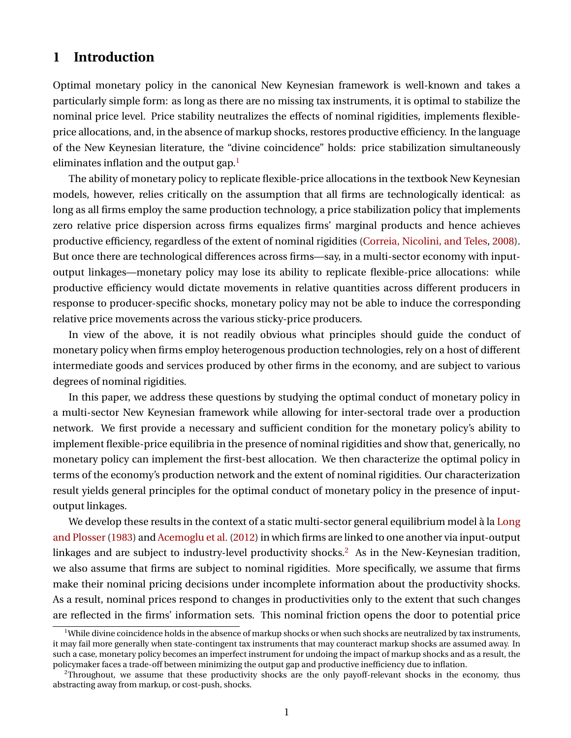## **1 Introduction**

Optimal monetary policy in the canonical New Keynesian framework is well-known and takes a particularly simple form: as long as there are no missing tax instruments, it is optimal to stabilize the nominal price level. Price stability neutralizes the effects of nominal rigidities, implements flexibleprice allocations, and, in the absence of markup shocks, restores productive efficiency. In the language of the New Keynesian literature, the "divine coincidence" holds: price stabilization simultaneously eliminates inflation and the output gap. $<sup>1</sup>$  $<sup>1</sup>$  $<sup>1</sup>$ </sup>

The ability of monetary policy to replicate flexible-price allocations in the textbook New Keynesian models, however, relies critically on the assumption that all firms are technologically identical: as long as all firms employ the same production technology, a price stabilization policy that implements zero relative price dispersion across firms equalizes firms' marginal products and hence achieves productive efficiency, regardless of the extent of nominal rigidities [\(Correia, Nicolini, and Teles,](#page-40-0) [2008\)](#page-40-0). But once there are technological differences across firms—say, in a multi-sector economy with inputoutput linkages—monetary policy may lose its ability to replicate flexible-price allocations: while productive efficiency would dictate movements in relative quantities across different producers in response to producer-specific shocks, monetary policy may not be able to induce the corresponding relative price movements across the various sticky-price producers.

In view of the above, it is not readily obvious what principles should guide the conduct of monetary policy when firms employ heterogenous production technologies, rely on a host of different intermediate goods and services produced by other firms in the economy, and are subject to various degrees of nominal rigidities.

In this paper, we address these questions by studying the optimal conduct of monetary policy in a multi-sector New Keynesian framework while allowing for inter-sectoral trade over a production network. We first provide a necessary and sufficient condition for the monetary policy's ability to implement flexible-price equilibria in the presence of nominal rigidities and show that, generically, no monetary policy can implement the first-best allocation. We then characterize the optimal policy in terms of the economy's production network and the extent of nominal rigidities. Our characterization result yields general principles for the optimal conduct of monetary policy in the presence of inputoutput linkages.

We develop these results in the context of a static multi-sector general equilibrium model à la [Long](#page-42-0) and Plosser (1983) and [Acemoglu et al.](#page-39-0) [\(2012\)](#page-39-0) in which firms are linked to one another via input-output linkages and are subject to industry-level productivity shocks.<sup>[2](#page-1-1)</sup> As in the New-Keynesian tradition, we also assume that firms are subject to nominal rigidities. More specifically, we assume that firms make their nominal pricing decisions under incomplete information about the productivity shocks. As a result, nominal prices respond to changes in productivities only to the extent that such changes are reflected in the firms' information sets. This nominal friction opens the door to potential price

<span id="page-1-0"></span><sup>&</sup>lt;sup>1</sup>While divine coincidence holds in the absence of markup shocks or when such shocks are neutralized by tax instruments, it may fail more generally when state-contingent tax instruments that may counteract markup shocks are assumed away. In such a case, monetary policy becomes an imperfect instrument for undoing the impact of markup shocks and as a result, the policymaker faces a trade-off between minimizing the output gap and productive inefficiency due to inflation.

<span id="page-1-1"></span><sup>&</sup>lt;sup>2</sup>Throughout, we assume that these productivity shocks are the only payoff-relevant shocks in the economy, thus abstracting away from markup, or cost-push, shocks.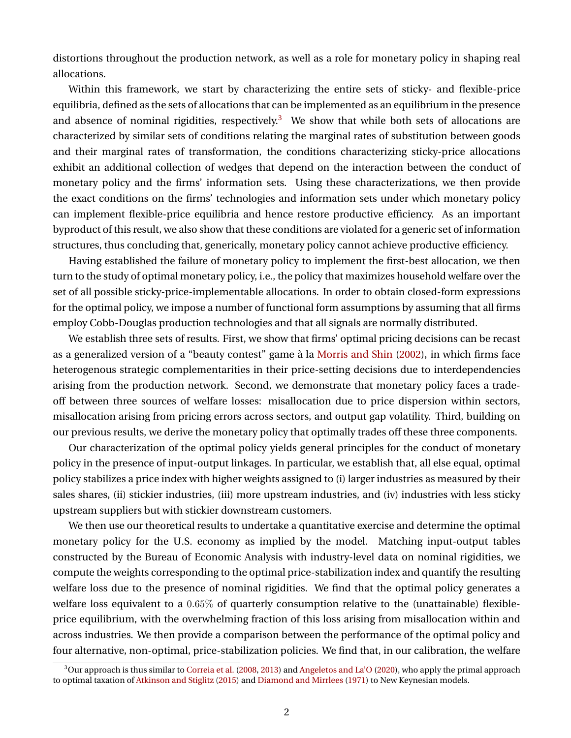distortions throughout the production network, as well as a role for monetary policy in shaping real allocations.

Within this framework, we start by characterizing the entire sets of sticky- and flexible-price equilibria, defined as the sets of allocations that can be implemented as an equilibrium in the presence and absence of nominal rigidities, respectively.<sup>[3](#page-2-0)</sup> We show that while both sets of allocations are characterized by similar sets of conditions relating the marginal rates of substitution between goods and their marginal rates of transformation, the conditions characterizing sticky-price allocations exhibit an additional collection of wedges that depend on the interaction between the conduct of monetary policy and the firms' information sets. Using these characterizations, we then provide the exact conditions on the firms' technologies and information sets under which monetary policy can implement flexible-price equilibria and hence restore productive efficiency. As an important byproduct of this result, we also show that these conditions are violated for a generic set of information structures, thus concluding that, generically, monetary policy cannot achieve productive efficiency.

Having established the failure of monetary policy to implement the first-best allocation, we then turn to the study of optimal monetary policy, i.e., the policy that maximizes household welfare over the set of all possible sticky-price-implementable allocations. In order to obtain closed-form expressions for the optimal policy, we impose a number of functional form assumptions by assuming that all firms employ Cobb-Douglas production technologies and that all signals are normally distributed.

We establish three sets of results. First, we show that firms' optimal pricing decisions can be recast as a generalized version of a "beauty contest" game à la [Morris and Shin](#page-42-1) [\(2002\)](#page-42-1), in which firms face heterogenous strategic complementarities in their price-setting decisions due to interdependencies arising from the production network. Second, we demonstrate that monetary policy faces a tradeoff between three sources of welfare losses: misallocation due to price dispersion within sectors, misallocation arising from pricing errors across sectors, and output gap volatility. Third, building on our previous results, we derive the monetary policy that optimally trades off these three components.

Our characterization of the optimal policy yields general principles for the conduct of monetary policy in the presence of input-output linkages. In particular, we establish that, all else equal, optimal policy stabilizes a price index with higher weights assigned to (i) larger industries as measured by their sales shares, (ii) stickier industries, (iii) more upstream industries, and (iv) industries with less sticky upstream suppliers but with stickier downstream customers.

We then use our theoretical results to undertake a quantitative exercise and determine the optimal monetary policy for the U.S. economy as implied by the model. Matching input-output tables constructed by the Bureau of Economic Analysis with industry-level data on nominal rigidities, we compute the weights corresponding to the optimal price-stabilization index and quantify the resulting welfare loss due to the presence of nominal rigidities. We find that the optimal policy generates a welfare loss equivalent to a 0.65% of quarterly consumption relative to the (unattainable) flexibleprice equilibrium, with the overwhelming fraction of this loss arising from misallocation within and across industries. We then provide a comparison between the performance of the optimal policy and four alternative, non-optimal, price-stabilization policies. We find that, in our calibration, the welfare

<span id="page-2-0"></span><sup>&</sup>lt;sup>3</sup>Our approach is thus similar to [Correia et al.](#page-40-0) [\(2008,](#page-40-0) [2013\)](#page-40-1) and [Angeletos and La'O](#page-39-1) [\(2020\)](#page-39-1), who apply the primal approach to optimal taxation of [Atkinson and Stiglitz](#page-39-2) [\(2015\)](#page-39-2) and [Diamond and Mirrlees](#page-41-0) [\(1971\)](#page-41-0) to New Keynesian models.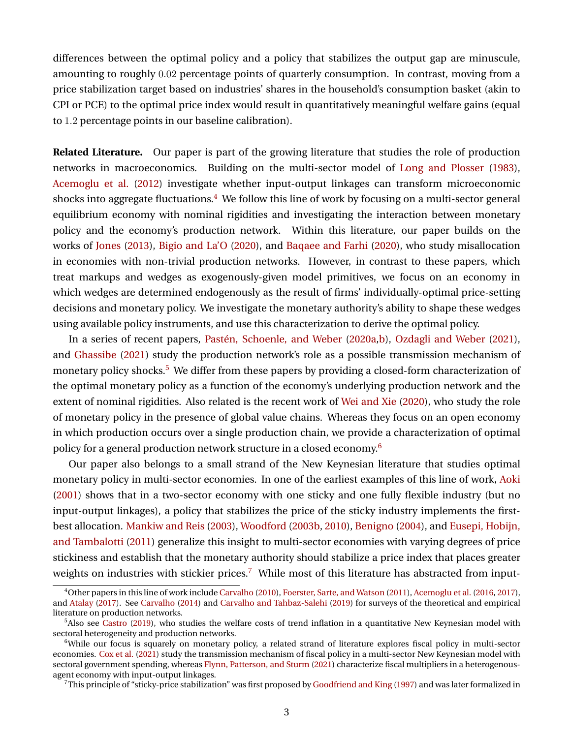differences between the optimal policy and a policy that stabilizes the output gap are minuscule, amounting to roughly 0.02 percentage points of quarterly consumption. In contrast, moving from a price stabilization target based on industries' shares in the household's consumption basket (akin to CPI or PCE) to the optimal price index would result in quantitatively meaningful welfare gains (equal to 1.2 percentage points in our baseline calibration).

**Related Literature.** Our paper is part of the growing literature that studies the role of production networks in macroeconomics. Building on the multi-sector model of [Long and Plosser](#page-42-0) [\(1983\)](#page-42-0), [Acemoglu et al.](#page-39-0) [\(2012\)](#page-39-0) investigate whether input-output linkages can transform microeconomic shocks into aggregate fluctuations.<sup>[4](#page-3-0)</sup> We follow this line of work by focusing on a multi-sector general equilibrium economy with nominal rigidities and investigating the interaction between monetary policy and the economy's production network. Within this literature, our paper builds on the works of [Jones](#page-41-1) [\(2013\)](#page-41-1), [Bigio and La'O](#page-39-3) [\(2020\)](#page-39-3), and [Baqaee and Farhi](#page-39-4) [\(2020\)](#page-39-4), who study misallocation in economies with non-trivial production networks. However, in contrast to these papers, which treat markups and wedges as exogenously-given model primitives, we focus on an economy in which wedges are determined endogenously as the result of firms' individually-optimal price-setting decisions and monetary policy. We investigate the monetary authority's ability to shape these wedges using available policy instruments, and use this characterization to derive the optimal policy.

In a series of recent papers, Pastén, Schoenle, and Weber [\(2020a,](#page-42-2)[b\)](#page-42-3), [Ozdagli and Weber](#page-42-4) [\(2021\)](#page-42-4), and [Ghassibe](#page-41-2) [\(2021\)](#page-41-2) study the production network's role as a possible transmission mechanism of monetary policy shocks.<sup>[5](#page-3-1)</sup> We differ from these papers by providing a closed-form characterization of the optimal monetary policy as a function of the economy's underlying production network and the extent of nominal rigidities. Also related is the recent work of [Wei and Xie](#page-42-5) [\(2020\)](#page-42-5), who study the role of monetary policy in the presence of global value chains. Whereas they focus on an open economy in which production occurs over a single production chain, we provide a characterization of optimal policy for a general production network structure in a closed economy.[6](#page-3-2)

Our paper also belongs to a small strand of the New Keynesian literature that studies optimal monetary policy in multi-sector economies. In one of the earliest examples of this line of work, [Aoki](#page-39-5) [\(2001\)](#page-39-5) shows that in a two-sector economy with one sticky and one fully flexible industry (but no input-output linkages), a policy that stabilizes the price of the sticky industry implements the firstbest allocation. [Mankiw and Reis](#page-42-6) [\(2003\)](#page-42-6), [Woodford](#page-43-0) [\(2003b,](#page-43-0) [2010\)](#page-43-1), [Benigno](#page-39-6) [\(2004\)](#page-39-6), and [Eusepi, Hobijn,](#page-41-3) [and Tambalotti](#page-41-3) [\(2011\)](#page-41-3) generalize this insight to multi-sector economies with varying degrees of price stickiness and establish that the monetary authority should stabilize a price index that places greater weights on industries with stickier prices.<sup>[7](#page-3-3)</sup> While most of this literature has abstracted from input-

<span id="page-3-0"></span><sup>4</sup>Other papers in this line of work include [Carvalho](#page-40-2) [\(2010\)](#page-40-2), [Foerster, Sarte, and Watson](#page-41-4) [\(2011\)](#page-41-4), [Acemoglu et al.](#page-38-0) [\(2016,](#page-38-0) [2017\)](#page-39-7), and [Atalay](#page-39-8) [\(2017\)](#page-39-8). See [Carvalho](#page-40-3) [\(2014\)](#page-40-3) and [Carvalho and Tahbaz-Salehi](#page-40-4) [\(2019\)](#page-40-4) for surveys of the theoretical and empirical literature on production networks.

<span id="page-3-1"></span><sup>&</sup>lt;sup>5</sup>Also see [Castro](#page-40-5) [\(2019\)](#page-40-5), who studies the welfare costs of trend inflation in a quantitative New Keynesian model with sectoral heterogeneity and production networks.

<span id="page-3-2"></span><sup>&</sup>lt;sup>6</sup>While our focus is squarely on monetary policy, a related strand of literature explores fiscal policy in multi-sector economies. [Cox et al.](#page-40-6) [\(2021\)](#page-40-6) study the transmission mechanism of fiscal policy in a multi-sector New Keynesian model with sectoral government spending, whereas [Flynn, Patterson, and Sturm](#page-41-5) [\(2021\)](#page-41-5) characterize fiscal multipliers in a heterogenousagent economy with input-output linkages.

<span id="page-3-3"></span> $7$ This principle of "sticky-price stabilization" was first proposed by [Goodfriend and King](#page-41-6) [\(1997\)](#page-41-6) and was later formalized in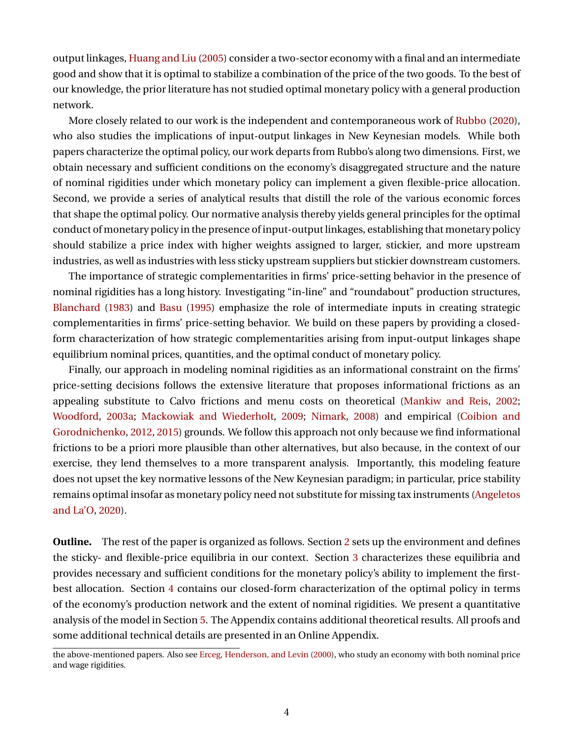output linkages, [Huang and Liu](#page-41-7) [\(2005\)](#page-41-7) consider a two-sector economy with a final and an intermediate good and show that it is optimal to stabilize a combination of the price of the two goods. To the best of our knowledge, the prior literature has not studied optimal monetary policy with a general production network.

More closely related to our work is the independent and contemporaneous work of [Rubbo](#page-42-7) [\(2020\)](#page-42-7), who also studies the implications of input-output linkages in New Keynesian models. While both papers characterize the optimal policy, our work departs from Rubbo's along two dimensions. First, we obtain necessary and sufficient conditions on the economy's disaggregated structure and the nature of nominal rigidities under which monetary policy can implement a given flexible-price allocation. Second, we provide a series of analytical results that distill the role of the various economic forces that shape the optimal policy. Our normative analysis thereby yields general principles for the optimal conduct of monetary policy in the presence of input-output linkages, establishing that monetary policy should stabilize a price index with higher weights assigned to larger, stickier, and more upstream industries, as well as industries with less sticky upstream suppliers but stickier downstream customers.

The importance of strategic complementarities in firms' price-setting behavior in the presence of nominal rigidities has a long history. Investigating "in-line" and "roundabout" production structures, [Blanchard](#page-39-9) [\(1983\)](#page-39-9) and [Basu](#page-39-10) [\(1995\)](#page-39-10) emphasize the role of intermediate inputs in creating strategic complementarities in firms' price-setting behavior. We build on these papers by providing a closedform characterization of how strategic complementarities arising from input-output linkages shape equilibrium nominal prices, quantities, and the optimal conduct of monetary policy.

Finally, our approach in modeling nominal rigidities as an informational constraint on the firms' price-setting decisions follows the extensive literature that proposes informational frictions as an appealing substitute to Calvo frictions and menu costs on theoretical [\(Mankiw and Reis,](#page-42-8) [2002;](#page-42-8) [Woodford,](#page-43-2) [2003a;](#page-43-2) [Mackowiak and Wiederholt,](#page-42-9) [2009;](#page-42-9) [Nimark,](#page-42-10) [2008\)](#page-42-10) and empirical [\(Coibion and](#page-40-7) [Gorodnichenko,](#page-40-7) [2012,](#page-40-7) [2015\)](#page-40-8) grounds. We follow this approach not only because we find informational frictions to be a priori more plausible than other alternatives, but also because, in the context of our exercise, they lend themselves to a more transparent analysis. Importantly, this modeling feature does not upset the key normative lessons of the New Keynesian paradigm; in particular, price stability remains optimal insofar as monetary policy need not substitute for missing tax instruments [\(Angeletos](#page-39-1) [and La'O,](#page-39-1) [2020\)](#page-39-1).

**Outline.** The rest of the paper is organized as follows. Section [2](#page-5-0) sets up the environment and defines the sticky- and flexible-price equilibria in our context. Section [3](#page-9-0) characterizes these equilibria and provides necessary and sufficient conditions for the monetary policy's ability to implement the firstbest allocation. Section [4](#page-16-0) contains our closed-form characterization of the optimal policy in terms of the economy's production network and the extent of nominal rigidities. We present a quantitative analysis of the model in Section [5.](#page-28-0) The Appendix contains additional theoretical results. All proofs and some additional technical details are presented in an Online Appendix.

the above-mentioned papers. Also see [Erceg, Henderson, and Levin](#page-41-8) [\(2000\)](#page-41-8), who study an economy with both nominal price and wage rigidities.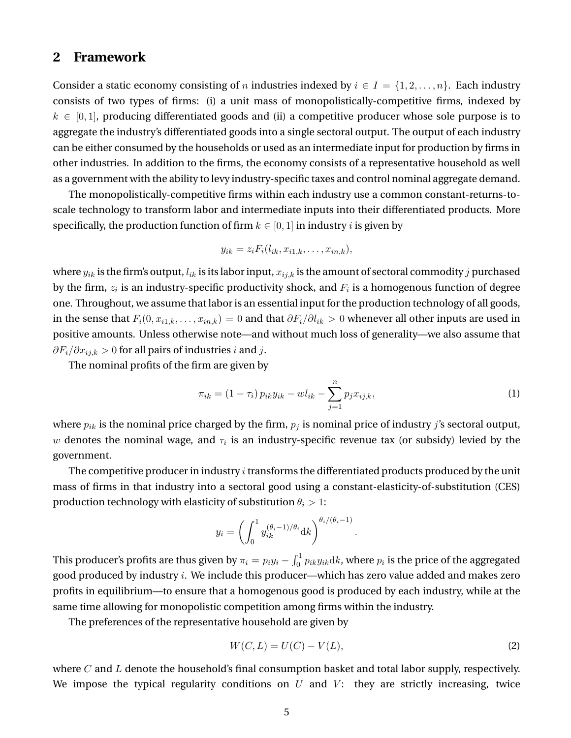## <span id="page-5-0"></span>**2 Framework**

Consider a static economy consisting of n industries indexed by  $i \in I = \{1, 2, \ldots, n\}$ . Each industry consists of two types of firms: (i) a unit mass of monopolistically-competitive firms, indexed by  $k \in [0,1]$ , producing differentiated goods and (ii) a competitive producer whose sole purpose is to aggregate the industry's differentiated goods into a single sectoral output. The output of each industry can be either consumed by the households or used as an intermediate input for production by firms in other industries. In addition to the firms, the economy consists of a representative household as well as a government with the ability to levy industry-specific taxes and control nominal aggregate demand.

The monopolistically-competitive firms within each industry use a common constant-returns-toscale technology to transform labor and intermediate inputs into their differentiated products. More specifically, the production function of firm  $k \in [0, 1]$  in industry *i* is given by

$$
y_{ik} = z_i F_i(l_{ik}, x_{i1,k}, \ldots, x_{in,k}),
$$

where  $y_{ik}$  is the firm's output,  $l_{ik}$  is its labor input,  $x_{ijk}$  is the amount of sectoral commodity j purchased by the firm,  $z_i$  is an industry-specific productivity shock, and  $F_i$  is a homogenous function of degree one. Throughout, we assume that labor is an essential input for the production technology of all goods, in the sense that  $F_i(0, x_{i1,k}, \ldots, x_{in,k}) = 0$  and that  $\partial F_i/\partial l_{ik} > 0$  whenever all other inputs are used in positive amounts. Unless otherwise note—and without much loss of generality—we also assume that  $\partial F_i/\partial x_{i,j,k} > 0$  for all pairs of industries *i* and *j*.

The nominal profits of the firm are given by

<span id="page-5-1"></span>
$$
\pi_{ik} = (1 - \tau_i) p_{ik} y_{ik} - w l_{ik} - \sum_{j=1}^{n} p_j x_{ij,k},
$$
\n(1)

where  $p_{ik}$  is the nominal price charged by the firm,  $p_j$  is nominal price of industry j's sectoral output,  $w$  denotes the nominal wage, and  $\tau_i$  is an industry-specific revenue tax (or subsidy) levied by the government.

The competitive producer in industry  $i$  transforms the differentiated products produced by the unit mass of firms in that industry into a sectoral good using a constant-elasticity-of-substitution (CES) production technology with elasticity of substitution  $\theta_i > 1$ :

$$
y_i = \left(\int_0^1 y_{ik}^{(\theta_i - 1)/\theta_i} dk\right)^{\theta_i/(\theta_i - 1)}.
$$

This producer's profits are thus given by  $\pi_i=p_iy_i-\int_0^1p_{ik}y_{ik}{\rm d}k$ , where  $p_i$  is the price of the aggregated good produced by industry i. We include this producer—which has zero value added and makes zero profits in equilibrium—to ensure that a homogenous good is produced by each industry, while at the same time allowing for monopolistic competition among firms within the industry.

The preferences of the representative household are given by

<span id="page-5-2"></span>
$$
W(C, L) = U(C) - V(L),
$$
 (2)

where C and L denote the household's final consumption basket and total labor supply, respectively. We impose the typical regularity conditions on  $U$  and  $V$ : they are strictly increasing, twice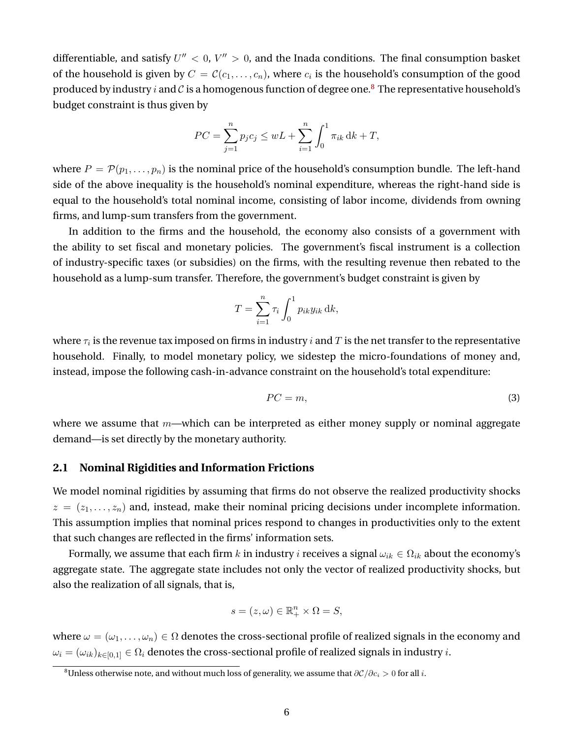differentiable, and satisfy  $U'' < 0$ ,  $V'' > 0$ , and the Inada conditions. The final consumption basket of the household is given by  $C=\mathcal{C}(c_1,\ldots,c_n)$ , where  $c_i$  is the household's consumption of the good produced by industry i and C is a homogenous function of degree one.<sup>[8](#page-6-0)</sup> The representative household's budget constraint is thus given by

$$
PC = \sum_{j=1}^{n} p_j c_j \le wL + \sum_{i=1}^{n} \int_0^1 \pi_{ik} \, dk + T,
$$

where  $P = \mathcal{P}(p_1, \ldots, p_n)$  is the nominal price of the household's consumption bundle. The left-hand side of the above inequality is the household's nominal expenditure, whereas the right-hand side is equal to the household's total nominal income, consisting of labor income, dividends from owning firms, and lump-sum transfers from the government.

In addition to the firms and the household, the economy also consists of a government with the ability to set fiscal and monetary policies. The government's fiscal instrument is a collection of industry-specific taxes (or subsidies) on the firms, with the resulting revenue then rebated to the household as a lump-sum transfer. Therefore, the government's budget constraint is given by

$$
T = \sum_{i=1}^{n} \tau_i \int_0^1 p_{ik} y_{ik} \, \mathrm{d}k,
$$

where  $\tau_i$  is the revenue tax imposed on firms in industry  $i$  and  $T$  is the net transfer to the representative household. Finally, to model monetary policy, we sidestep the micro-foundations of money and, instead, impose the following cash-in-advance constraint on the household's total expenditure:

<span id="page-6-1"></span>
$$
PC = m,\tag{3}
$$

where we assume that  $m$ —which can be interpreted as either money supply or nominal aggregate demand—is set directly by the monetary authority.

### **2.1 Nominal Rigidities and Information Frictions**

We model nominal rigidities by assuming that firms do not observe the realized productivity shocks  $z = (z_1, \ldots, z_n)$  and, instead, make their nominal pricing decisions under incomplete information. This assumption implies that nominal prices respond to changes in productivities only to the extent that such changes are reflected in the firms' information sets.

Formally, we assume that each firm k in industry i receives a signal  $\omega_{ik} \in \Omega_{ik}$  about the economy's aggregate state. The aggregate state includes not only the vector of realized productivity shocks, but also the realization of all signals, that is,

$$
s = (z, \omega) \in \mathbb{R}^n_+ \times \Omega = S,
$$

where  $\omega = (\omega_1, \dots, \omega_n) \in \Omega$  denotes the cross-sectional profile of realized signals in the economy and  $\omega_i = (\omega_{ik})_{k \in [0,1]} \in \Omega_i$  denotes the cross-sectional profile of realized signals in industry *i*.

<span id="page-6-0"></span><sup>&</sup>lt;sup>8</sup>Unless otherwise note, and without much loss of generality, we assume that  $\partial\mathcal{C}/\partial c_i > 0$  for all *i*.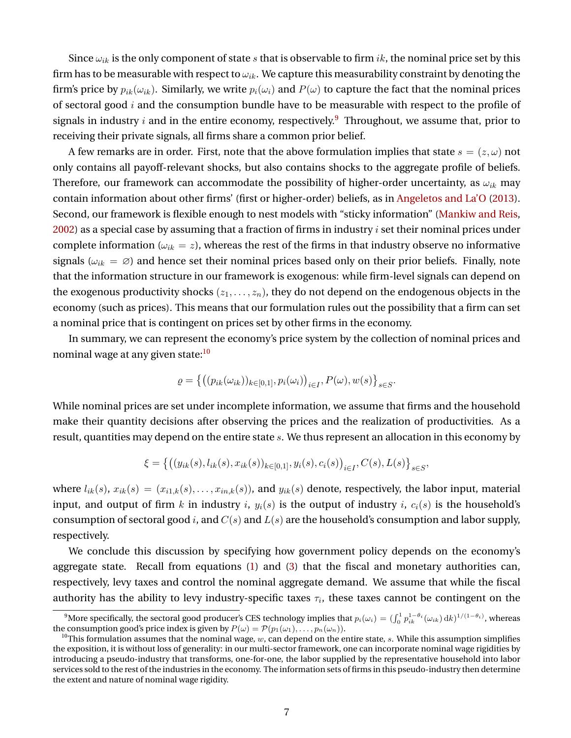Since  $\omega_{ik}$  is the only component of state s that is observable to firm ik, the nominal price set by this firm has to be measurable with respect to  $\omega_{ik}$ . We capture this measurability constraint by denoting the firm's price by  $p_{ik}(\omega_{ik})$ . Similarly, we write  $p_i(\omega_i)$  and  $P(\omega)$  to capture the fact that the nominal prices of sectoral good  $i$  and the consumption bundle have to be measurable with respect to the profile of signals in industry *i* and in the entire economy, respectively.<sup>[9](#page-7-0)</sup> Throughout, we assume that, prior to receiving their private signals, all firms share a common prior belief.

A few remarks are in order. First, note that the above formulation implies that state  $s = (z, \omega)$  not only contains all payoff-relevant shocks, but also contains shocks to the aggregate profile of beliefs. Therefore, our framework can accommodate the possibility of higher-order uncertainty, as  $\omega_{ik}$  may contain information about other firms' (first or higher-order) beliefs, as in [Angeletos and La'O](#page-39-11) [\(2013\)](#page-39-11). Second, our framework is flexible enough to nest models with "sticky information" [\(Mankiw and Reis,](#page-42-8) [2002\)](#page-42-8) as a special case by assuming that a fraction of firms in industry  $i$  set their nominal prices under complete information ( $\omega_{ik} = z$ ), whereas the rest of the firms in that industry observe no informative signals ( $\omega_{ik} = \emptyset$ ) and hence set their nominal prices based only on their prior beliefs. Finally, note that the information structure in our framework is exogenous: while firm-level signals can depend on the exogenous productivity shocks  $(z_1, \ldots, z_n)$ , they do not depend on the endogenous objects in the economy (such as prices). This means that our formulation rules out the possibility that a firm can set a nominal price that is contingent on prices set by other firms in the economy.

In summary, we can represent the economy's price system by the collection of nominal prices and nominal wage at any given state:<sup>[10](#page-7-1)</sup>

$$
\varrho = \left\{ \left( (p_{ik}(\omega_{ik}))_{k \in [0,1]}, p_i(\omega_i) \right)_{i \in I}, P(\omega), w(s) \right\}_{s \in S}.
$$

While nominal prices are set under incomplete information, we assume that firms and the household make their quantity decisions after observing the prices and the realization of productivities. As a result, quantities may depend on the entire state s. We thus represent an allocation in this economy by

$$
\xi = \left\{ \big( (y_{ik}(s), l_{ik}(s), x_{ik}(s))_{k \in [0,1]}, y_i(s), c_i(s) \big)_{i \in I}, C(s), L(s) \right\}_{s \in S},
$$

where  $l_{ik}(s)$ ,  $x_{ik}(s) = (x_{i1,k}(s), \ldots, x_{in,k}(s))$ , and  $y_{ik}(s)$  denote, respectively, the labor input, material input, and output of firm k in industry i,  $y_i(s)$  is the output of industry i,  $c_i(s)$  is the household's consumption of sectoral good i, and  $C(s)$  and  $L(s)$  are the household's consumption and labor supply, respectively.

We conclude this discussion by specifying how government policy depends on the economy's aggregate state. Recall from equations [\(1\)](#page-5-1) and [\(3\)](#page-6-1) that the fiscal and monetary authorities can, respectively, levy taxes and control the nominal aggregate demand. We assume that while the fiscal authority has the ability to levy industry-specific taxes  $\tau_i$ , these taxes cannot be contingent on the

<span id="page-7-0"></span><sup>&</sup>lt;sup>9</sup>More specifically, the sectoral good producer's CES technology implies that  $p_i(\omega_i) = (\int_0^1 p_{ik}^{1-\theta_i}(\omega_{ik}) \, \mathrm{d}k)^{1/(1-\theta_i)}$ , whereas the consumption good's price index is given by  $P(\omega) = P(p_1(\omega_1), \dots, p_n(\omega_n)).$ 

<span id="page-7-1"></span><sup>&</sup>lt;sup>10</sup>This formulation assumes that the nominal wage,  $w$ , can depend on the entire state, s. While this assumption simplifies the exposition, it is without loss of generality: in our multi-sector framework, one can incorporate nominal wage rigidities by introducing a pseudo-industry that transforms, one-for-one, the labor supplied by the representative household into labor services sold to the rest of the industries in the economy. The information sets of firms in this pseudo-industry then determine the extent and nature of nominal wage rigidity.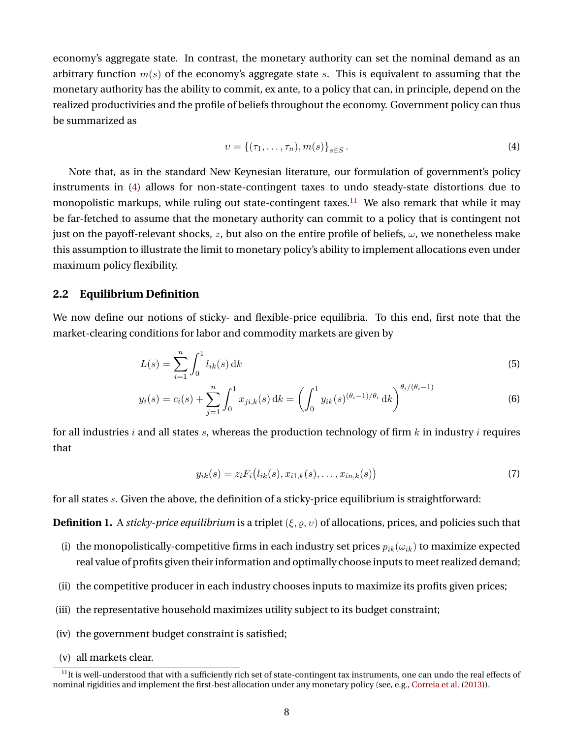economy's aggregate state. In contrast, the monetary authority can set the nominal demand as an arbitrary function  $m(s)$  of the economy's aggregate state s. This is equivalent to assuming that the monetary authority has the ability to commit, ex ante, to a policy that can, in principle, depend on the realized productivities and the profile of beliefs throughout the economy. Government policy can thus be summarized as

<span id="page-8-0"></span>
$$
v = \{(\tau_1, \dots, \tau_n), m(s)\}_{s \in S}.
$$
 (4)

Note that, as in the standard New Keynesian literature, our formulation of government's policy instruments in [\(4\)](#page-8-0) allows for non-state-contingent taxes to undo steady-state distortions due to monopolistic markups, while ruling out state-contingent taxes.<sup>[11](#page-8-1)</sup> We also remark that while it may be far-fetched to assume that the monetary authority can commit to a policy that is contingent not just on the payoff-relevant shocks, z, but also on the entire profile of beliefs,  $\omega$ , we nonetheless make this assumption to illustrate the limit to monetary policy's ability to implement allocations even under maximum policy flexibility.

## **2.2 Equilibrium Definition**

We now define our notions of sticky- and flexible-price equilibria. To this end, first note that the market-clearing conditions for labor and commodity markets are given by

$$
L(s) = \sum_{i=1}^{n} \int_{0}^{1} l_{ik}(s) \, \mathrm{d}k \tag{5}
$$

$$
y_i(s) = c_i(s) + \sum_{j=1}^n \int_0^1 x_{ji,k}(s) \, \mathrm{d}k = \left( \int_0^1 y_{ik}(s)^{(\theta_i - 1)/\theta_i} \, \mathrm{d}k \right)^{\theta_i/(\theta_i - 1)} \tag{6}
$$

for all industries i and all states s, whereas the production technology of firm  $k$  in industry i requires that

<span id="page-8-5"></span><span id="page-8-4"></span><span id="page-8-3"></span>
$$
y_{ik}(s) = z_i F_i(l_{ik}(s), x_{i1,k}(s), \dots, x_{in,k}(s))
$$
\n(7)

for all states s. Given the above, the definition of a sticky-price equilibrium is straightforward:

<span id="page-8-2"></span>**Definition 1.** A *sticky-price equilibrium* is a triplet  $(\xi, \rho, \nu)$  of allocations, prices, and policies such that

- (i) the monopolistically-competitive firms in each industry set prices  $p_{ik}(\omega_{ik})$  to maximize expected real value of profits given their information and optimally choose inputs to meet realized demand;
- (ii) the competitive producer in each industry chooses inputs to maximize its profits given prices;
- (iii) the representative household maximizes utility subject to its budget constraint;
- (iv) the government budget constraint is satisfied;
- (v) all markets clear.

<span id="page-8-1"></span> $11$ It is well-understood that with a sufficiently rich set of state-contingent tax instruments, one can undo the real effects of nominal rigidities and implement the first-best allocation under any monetary policy (see, e.g., [Correia et al.](#page-40-1) [\(2013\)](#page-40-1)).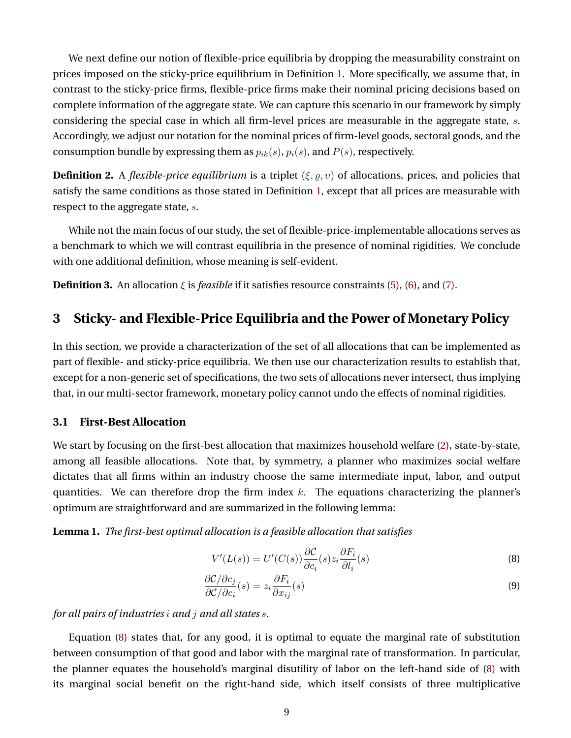We next define our notion of flexible-price equilibria by dropping the measurability constraint on prices imposed on the sticky-price equilibrium in Definition [1.](#page-8-2) More specifically, we assume that, in contrast to the sticky-price firms, flexible-price firms make their nominal pricing decisions based on complete information of the aggregate state. We can capture this scenario in our framework by simply considering the special case in which all firm-level prices are measurable in the aggregate state, s. Accordingly, we adjust our notation for the nominal prices of firm-level goods, sectoral goods, and the consumption bundle by expressing them as  $p_{ik}(s)$ ,  $p_i(s)$ , and  $P(s)$ , respectively.

**Definition 2.** A *flexible-price equilibrium* is a triplet  $(\xi, \rho, \nu)$  of allocations, prices, and policies that satisfy the same conditions as those stated in Definition [1,](#page-8-2) except that all prices are measurable with respect to the aggregate state, s.

While not the main focus of our study, the set of flexible-price-implementable allocations serves as a benchmark to which we will contrast equilibria in the presence of nominal rigidities. We conclude with one additional definition, whose meaning is self-evident.

**Definition 3.** An allocation  $\xi$  is *feasible* if it satisfies resource constraints [\(5\)](#page-8-3), [\(6\)](#page-8-4), and [\(7\)](#page-8-5).

## <span id="page-9-0"></span>**3 Sticky- and Flexible-Price Equilibria and the Power of Monetary Policy**

In this section, we provide a characterization of the set of all allocations that can be implemented as part of flexible- and sticky-price equilibria. We then use our characterization results to establish that, except for a non-generic set of specifications, the two sets of allocations never intersect, thus implying that, in our multi-sector framework, monetary policy cannot undo the effects of nominal rigidities.

### **3.1 First-Best Allocation**

We start by focusing on the first-best allocation that maximizes household welfare [\(2\)](#page-5-2), state-by-state, among all feasible allocations. Note that, by symmetry, a planner who maximizes social welfare dictates that all firms within an industry choose the same intermediate input, labor, and output quantities. We can therefore drop the firm index  $k$ . The equations characterizing the planner's optimum are straightforward and are summarized in the following lemma:

<span id="page-9-3"></span>**Lemma 1.** *The first-best optimal allocation is a feasible allocation that satisfies*

<span id="page-9-2"></span><span id="page-9-1"></span>
$$
V'(L(s)) = U'(C(s)) \frac{\partial C}{\partial c_i}(s) z_i \frac{\partial F_i}{\partial l_i}(s)
$$
\n(8)

$$
\frac{\partial \mathcal{C}/\partial c_j}{\partial \mathcal{C}/\partial c_i}(s) = z_i \frac{\partial F_i}{\partial x_{ij}}(s)
$$
\n(9)

*for all pairs of industries* i *and* j *and all states* s*.*

Equation [\(8\)](#page-9-1) states that, for any good, it is optimal to equate the marginal rate of substitution between consumption of that good and labor with the marginal rate of transformation. In particular, the planner equates the household's marginal disutility of labor on the left-hand side of [\(8\)](#page-9-1) with its marginal social benefit on the right-hand side, which itself consists of three multiplicative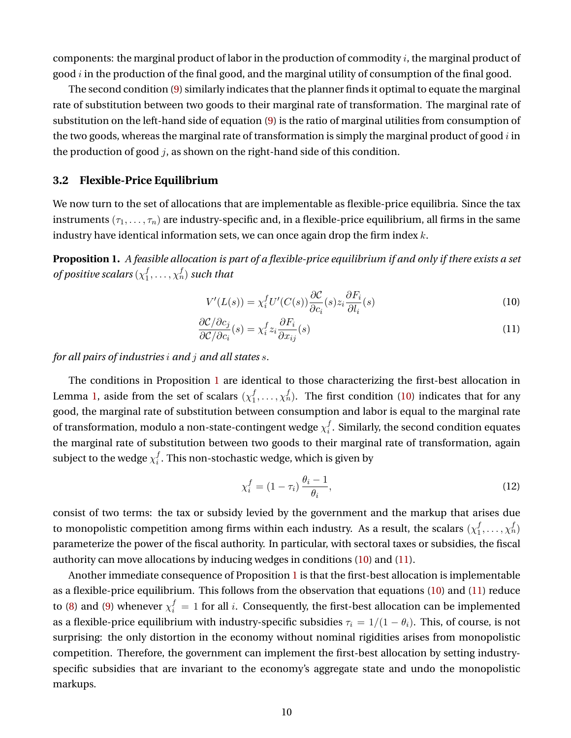components: the marginal product of labor in the production of commodity  $i$ , the marginal product of good  $i$  in the production of the final good, and the marginal utility of consumption of the final good.

The second condition [\(9\)](#page-9-2) similarly indicates that the planner finds it optimal to equate the marginal rate of substitution between two goods to their marginal rate of transformation. The marginal rate of substitution on the left-hand side of equation [\(9\)](#page-9-2) is the ratio of marginal utilities from consumption of the two goods, whereas the marginal rate of transformation is simply the marginal product of good  $i$  in the production of good  $j$ , as shown on the right-hand side of this condition.

#### **3.2 Flexible-Price Equilibrium**

We now turn to the set of allocations that are implementable as flexible-price equilibria. Since the tax instruments  $(\tau_1, \ldots, \tau_n)$  are industry-specific and, in a flexible-price equilibrium, all firms in the same industry have identical information sets, we can once again drop the firm index  $k$ .

<span id="page-10-0"></span>**Proposition 1.** *A feasible allocation is part of a flexible-price equilibrium if and only if there exists a set of positive scalars* (χ f  $j_1^f,\ldots,j_n^f)$  such that

<span id="page-10-2"></span><span id="page-10-1"></span>
$$
V'(L(s)) = \chi_i^f U'(C(s)) \frac{\partial C}{\partial c_i}(s) z_i \frac{\partial F_i}{\partial l_i}(s)
$$
\n(10)

$$
\frac{\partial \mathcal{C}/\partial c_j}{\partial \mathcal{C}/\partial c_i}(s) = \chi_i^f z_i \frac{\partial F_i}{\partial x_{ij}}(s)
$$
\n(11)

*for all pairs of industries* i *and* j *and all states* s*.*

The conditions in Proposition [1](#page-10-0) are identical to those characterizing the first-best allocation in Lemma [1,](#page-9-3) aside from the set of scalars  $(\chi_1^f)$  $f_1, \ldots, \chi_n^f$ ). The first condition [\(10\)](#page-10-1) indicates that for any good, the marginal rate of substitution between consumption and labor is equal to the marginal rate of transformation, modulo a non-state-contingent wedge  $\chi_i^f$  $i<sub>i</sub>$  . Similarly, the second condition equates the marginal rate of substitution between two goods to their marginal rate of transformation, again subject to the wedge  $\chi_i^f$  $i_\cdot^I$ . This non-stochastic wedge, which is given by

<span id="page-10-3"></span>
$$
\chi_i^f = (1 - \tau_i) \frac{\theta_i - 1}{\theta_i},\tag{12}
$$

consist of two terms: the tax or subsidy levied by the government and the markup that arises due to monopolistic competition among firms within each industry. As a result, the scalars  $(\chi_1^f$  $j_1,\ldots,\chi_n^f$ parameterize the power of the fiscal authority. In particular, with sectoral taxes or subsidies, the fiscal authority can move allocations by inducing wedges in conditions [\(10\)](#page-10-1) and [\(11\)](#page-10-2).

Another immediate consequence of Proposition [1](#page-10-0) is that the first-best allocation is implementable as a flexible-price equilibrium. This follows from the observation that equations [\(10\)](#page-10-1) and [\(11\)](#page-10-2) reduce to [\(8\)](#page-9-1) and [\(9\)](#page-9-2) whenever  $\chi_i^f = 1$  for all i. Consequently, the first-best allocation can be implemented as a flexible-price equilibrium with industry-specific subsidies  $\tau_i = 1/(1 - \theta_i)$ . This, of course, is not surprising: the only distortion in the economy without nominal rigidities arises from monopolistic competition. Therefore, the government can implement the first-best allocation by setting industryspecific subsidies that are invariant to the economy's aggregate state and undo the monopolistic markups.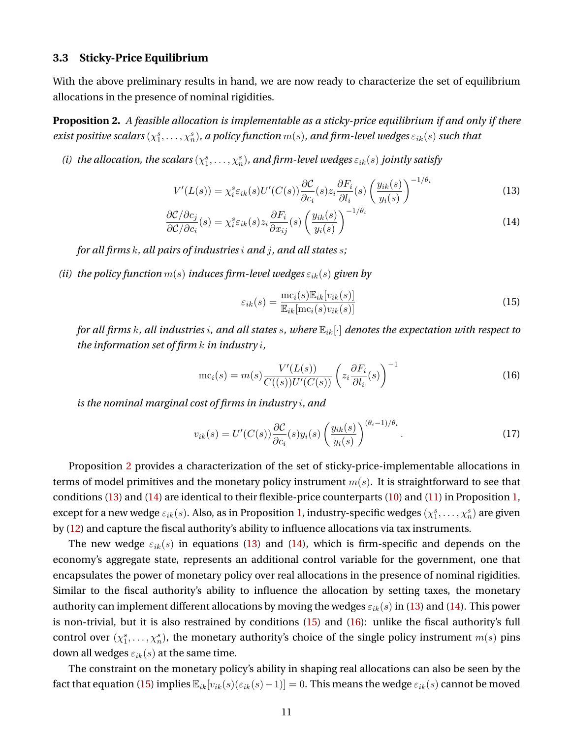#### **3.3 Sticky-Price Equilibrium**

With the above preliminary results in hand, we are now ready to characterize the set of equilibrium allocations in the presence of nominal rigidities.

<span id="page-11-0"></span>**Proposition 2.** *A feasible allocation is implementable as a sticky-price equilibrium if and only if there*  $e$ xist positive scalars  $(\chi^s_1,\dots,\chi^s_n)$ , a policy function  $m(s)$ , and firm-level wedges  $\varepsilon_{ik}(s)$  such that

(*i*) the allocation, the scalars  $(\chi_1^s, \ldots, \chi_n^s)$ , and firm-level wedges  $\varepsilon_{ik}(s)$  jointly satisfy

$$
V'(L(s)) = \chi_i^s \varepsilon_{ik}(s) U'(C(s)) \frac{\partial C}{\partial c_i}(s) z_i \frac{\partial F_i}{\partial l_i}(s) \left(\frac{y_{ik}(s)}{y_i(s)}\right)^{-1/\theta_i}
$$
(13)

$$
\frac{\partial \mathcal{C}/\partial c_j}{\partial \mathcal{C}/\partial c_i}(s) = \chi_i^s \varepsilon_{ik}(s) z_i \frac{\partial F_i}{\partial x_{ij}}(s) \left(\frac{y_{ik}(s)}{y_i(s)}\right)^{-1/\theta_i} \tag{14}
$$

*for all firms* k*, all pairs of industries* i *and* j*, and all states* s*;*

*(ii) the policy function*  $m(s)$  *induces firm-level wedges*  $\varepsilon_{ik}(s)$  *given by* 

<span id="page-11-5"></span><span id="page-11-4"></span><span id="page-11-3"></span><span id="page-11-2"></span><span id="page-11-1"></span>
$$
\varepsilon_{ik}(s) = \frac{\text{mc}_i(s)\mathbb{E}_{ik}[v_{ik}(s)]}{\mathbb{E}_{ik}[\text{mc}_i(s)v_{ik}(s)]}
$$
(15)

*for all firms* k*, all industries* i*, and all states* s*, where* Eik[·] *denotes the expectation with respect to the information set of firm* k *in industry* i*,*

$$
\operatorname{mc}_i(s) = m(s) \frac{V'(L(s))}{C((s))U'(C(s))} \left(z_i \frac{\partial F_i}{\partial l_i}(s)\right)^{-1} \tag{16}
$$

*is the nominal marginal cost of firms in industry* i*, and*

$$
v_{ik}(s) = U'(C(s))\frac{\partial C}{\partial c_i}(s)y_i(s)\left(\frac{y_{ik}(s)}{y_i(s)}\right)^{(\theta_i - 1)/\theta_i}.\tag{17}
$$

Proposition [2](#page-11-0) provides a characterization of the set of sticky-price-implementable allocations in terms of model primitives and the monetary policy instrument  $m(s)$ . It is straightforward to see that conditions [\(13\)](#page-11-1) and [\(14\)](#page-11-2) are identical to their flexible-price counterparts [\(10\)](#page-10-1) and [\(11\)](#page-10-2) in Proposition [1,](#page-10-0) except for a new wedge  $\varepsilon_{ik}(s)$ . Also, as in Proposition [1,](#page-10-0) industry-specific wedges  $(\chi_1^s,\ldots,\chi_n^s)$  are given by [\(12\)](#page-10-3) and capture the fiscal authority's ability to influence allocations via tax instruments.

The new wedge  $\varepsilon_{ik}(s)$  in equations [\(13\)](#page-11-1) and [\(14\)](#page-11-2), which is firm-specific and depends on the economy's aggregate state, represents an additional control variable for the government, one that encapsulates the power of monetary policy over real allocations in the presence of nominal rigidities. Similar to the fiscal authority's ability to influence the allocation by setting taxes, the monetary authority can implement different allocations by moving the wedges  $\varepsilon_{ik}(s)$  in [\(13\)](#page-11-1) and [\(14\)](#page-11-2). This power is non-trivial, but it is also restrained by conditions [\(15\)](#page-11-3) and [\(16\)](#page-11-4): unlike the fiscal authority's full control over  $(\chi_1^s, \ldots, \chi_n^s)$ , the monetary authority's choice of the single policy instrument  $m(s)$  pins down all wedges  $\varepsilon_{ik}(s)$  at the same time.

The constraint on the monetary policy's ability in shaping real allocations can also be seen by the fact that equation [\(15\)](#page-11-3) implies  $\mathbb{E}_{ik}[v_{ik}(s)(\epsilon_{ik}(s)-1)]=0$ . This means the wedge  $\epsilon_{ik}(s)$  cannot be moved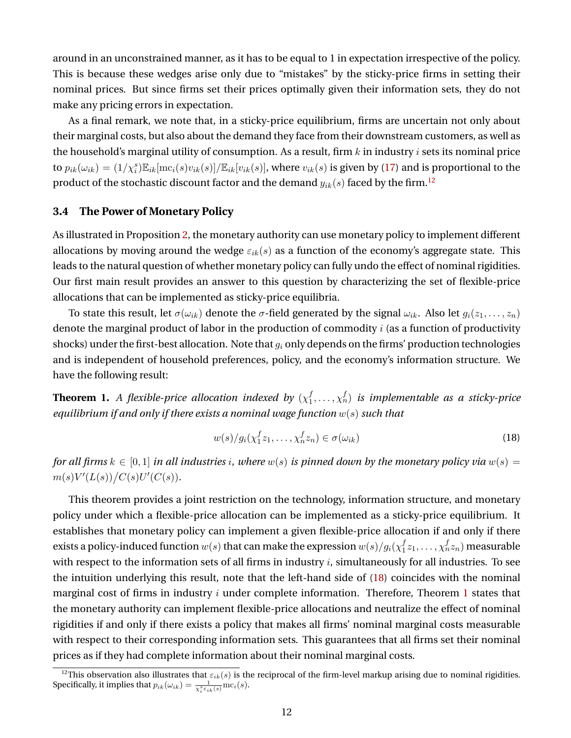around in an unconstrained manner, as it has to be equal to 1 in expectation irrespective of the policy. This is because these wedges arise only due to "mistakes" by the sticky-price firms in setting their nominal prices. But since firms set their prices optimally given their information sets, they do not make any pricing errors in expectation.

As a final remark, we note that, in a sticky-price equilibrium, firms are uncertain not only about their marginal costs, but also about the demand they face from their downstream customers, as well as the household's marginal utility of consumption. As a result, firm  $k$  in industry  $i$  sets its nominal price to  $p_{ik}(\omega_{ik})=(1/\chi_i^s)\mathbb{E}_{ik}[\text{mc}_i(s)v_{ik}(s)]/\mathbb{E}_{ik}[v_{ik}(s)]$ , where  $v_{ik}(s)$  is given by [\(17\)](#page-11-5) and is proportional to the product of the stochastic discount factor and the demand  $y_{ik}(s)$  faced by the firm.<sup>[12](#page-12-0)</sup>

### **3.4 The Power of Monetary Policy**

As illustrated in Proposition [2,](#page-11-0) the monetary authority can use monetary policy to implement different allocations by moving around the wedge  $\varepsilon_{ik}(s)$  as a function of the economy's aggregate state. This leads to the natural question of whether monetary policy can fully undo the effect of nominal rigidities. Our first main result provides an answer to this question by characterizing the set of flexible-price allocations that can be implemented as sticky-price equilibria.

To state this result, let  $\sigma(\omega_{ik})$  denote the  $\sigma$ -field generated by the signal  $\omega_{ik}$ . Also let  $g_i(z_1,\ldots,z_n)$ denote the marginal product of labor in the production of commodity  $i$  (as a function of productivity shocks) under the first-best allocation. Note that  $g_i$  only depends on the firms' production technologies and is independent of household preferences, policy, and the economy's information structure. We have the following result:

<span id="page-12-2"></span>**Theorem 1.** A flexible-price allocation indexed by  $(\chi_1^f)$  $\mathbf{y}_1^f, \ldots, \mathbf{y}_n^f$  is implementable as a sticky-price *equilibrium if and only if there exists a nominal wage function* w(s) *such that*

<span id="page-12-1"></span>
$$
w(s)/g_i(\chi_1^f z_1,\ldots,\chi_n^f z_n) \in \sigma(\omega_{ik})
$$
\n(18)

*for all firms*  $k \in [0, 1]$  *in all industries i*, where  $w(s)$  *is pinned down by the monetary policy via*  $w(s)$  =  $m(s)V'(L(s))/C(s)U'(C(s)).$ 

This theorem provides a joint restriction on the technology, information structure, and monetary policy under which a flexible-price allocation can be implemented as a sticky-price equilibrium. It establishes that monetary policy can implement a given flexible-price allocation if and only if there exists a policy-induced function  $w(s)$  that can make the expression  $w(s)/g_i(\chi_1^f$  $_{1}^{f}z_{1},\ldots,\chi_{n}^{f}z_{n})$  measurable with respect to the information sets of all firms in industry  $i$ , simultaneously for all industries. To see the intuition underlying this result, note that the left-hand side of [\(18\)](#page-12-1) coincides with the nominal marginal cost of firms in industry  $i$  under complete information. Therefore, Theorem [1](#page-12-2) states that the monetary authority can implement flexible-price allocations and neutralize the effect of nominal rigidities if and only if there exists a policy that makes all firms' nominal marginal costs measurable with respect to their corresponding information sets. This guarantees that all firms set their nominal prices as if they had complete information about their nominal marginal costs.

<span id="page-12-0"></span><sup>&</sup>lt;sup>12</sup>This observation also illustrates that  $\varepsilon_{ik}(s)$  is the reciprocal of the firm-level markup arising due to nominal rigidities. Specifically, it implies that  $p_{ik}(\omega_{ik}) = \frac{1}{\chi_i^s \varepsilon_{ik}(s)} \text{mc}_i(s)$ .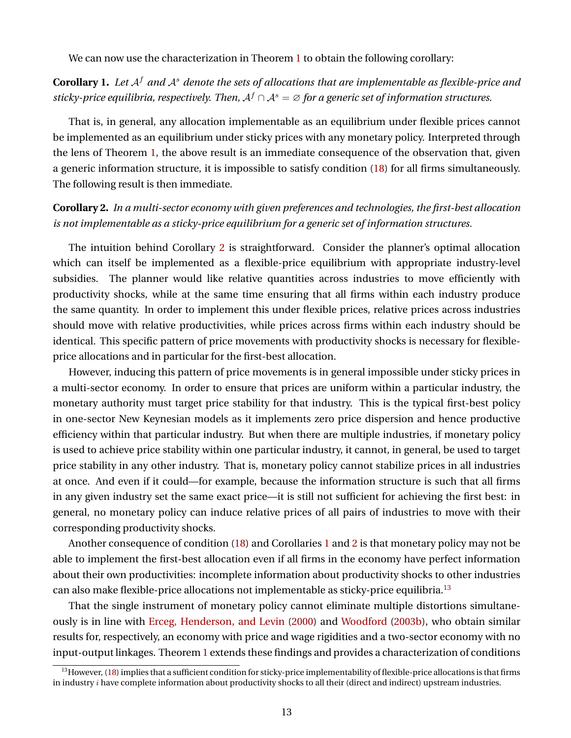We can now use the characterization in Theorem [1](#page-12-2) to obtain the following corollary:

<span id="page-13-1"></span>**Corollary 1.** Let  $A^f$  and  $A^s$  denote the sets of allocations that are implementable as flexible-price and *sticky-price equilibria, respectively. Then,*  $A^f \cap A^s = \emptyset$  *for a generic set of information structures.* 

That is, in general, any allocation implementable as an equilibrium under flexible prices cannot be implemented as an equilibrium under sticky prices with any monetary policy. Interpreted through the lens of Theorem [1,](#page-12-2) the above result is an immediate consequence of the observation that, given a generic information structure, it is impossible to satisfy condition [\(18\)](#page-12-1) for all firms simultaneously. The following result is then immediate.

## <span id="page-13-0"></span>**Corollary 2.** *In a multi-sector economy with given preferences and technologies, the first-best allocation is not implementable as a sticky-price equilibrium for a generic set of information structures.*

The intuition behind Corollary [2](#page-13-0) is straightforward. Consider the planner's optimal allocation which can itself be implemented as a flexible-price equilibrium with appropriate industry-level subsidies. The planner would like relative quantities across industries to move efficiently with productivity shocks, while at the same time ensuring that all firms within each industry produce the same quantity. In order to implement this under flexible prices, relative prices across industries should move with relative productivities, while prices across firms within each industry should be identical. This specific pattern of price movements with productivity shocks is necessary for flexibleprice allocations and in particular for the first-best allocation.

However, inducing this pattern of price movements is in general impossible under sticky prices in a multi-sector economy. In order to ensure that prices are uniform within a particular industry, the monetary authority must target price stability for that industry. This is the typical first-best policy in one-sector New Keynesian models as it implements zero price dispersion and hence productive efficiency within that particular industry. But when there are multiple industries, if monetary policy is used to achieve price stability within one particular industry, it cannot, in general, be used to target price stability in any other industry. That is, monetary policy cannot stabilize prices in all industries at once. And even if it could—for example, because the information structure is such that all firms in any given industry set the same exact price—it is still not sufficient for achieving the first best: in general, no monetary policy can induce relative prices of all pairs of industries to move with their corresponding productivity shocks.

Another consequence of condition [\(18\)](#page-12-1) and Corollaries [1](#page-13-1) and [2](#page-13-0) is that monetary policy may not be able to implement the first-best allocation even if all firms in the economy have perfect information about their own productivities: incomplete information about productivity shocks to other industries can also make flexible-price allocations not implementable as sticky-price equilibria.[13](#page-13-2)

That the single instrument of monetary policy cannot eliminate multiple distortions simultaneously is in line with [Erceg, Henderson, and Levin](#page-41-8) [\(2000\)](#page-41-8) and [Woodford](#page-43-0) [\(2003b\)](#page-43-0), who obtain similar results for, respectively, an economy with price and wage rigidities and a two-sector economy with no input-output linkages. Theorem [1](#page-12-2) extends these findings and provides a characterization of conditions

<span id="page-13-2"></span> $13$  However, [\(18\)](#page-12-1) implies that a sufficient condition for sticky-price implementability of flexible-price allocations is that firms in industry  $i$  have complete information about productivity shocks to all their (direct and indirect) upstream industries.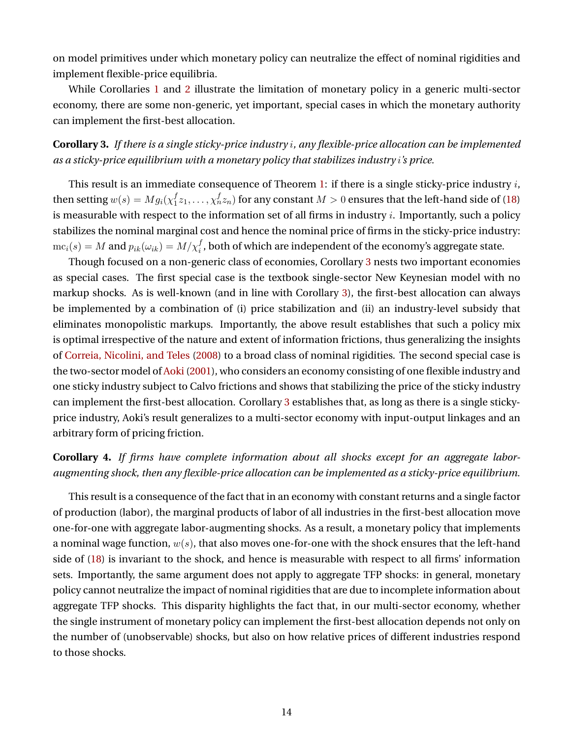on model primitives under which monetary policy can neutralize the effect of nominal rigidities and implement flexible-price equilibria.

While Corollaries [1](#page-13-1) and [2](#page-13-0) illustrate the limitation of monetary policy in a generic multi-sector economy, there are some non-generic, yet important, special cases in which the monetary authority can implement the first-best allocation.

<span id="page-14-0"></span>**Corollary 3.** *If there is a single sticky-price industry* i*, any flexible-price allocation can be implemented as a sticky-price equilibrium with a monetary policy that stabilizes industry* i*'s price.*

This result is an immediate consequence of Theorem [1:](#page-12-2) if there is a single sticky-price industry  $i$ , then setting  $w(s) = Mg_i(\chi_1^f)$  $f_{1}(\zeta_{1},\ldots,\chi_{n}^{f}z_{n})$  for any constant  $M>0$  ensures that the left-hand side of [\(18\)](#page-12-1) is measurable with respect to the information set of all firms in industry  $i$ . Importantly, such a policy stabilizes the nominal marginal cost and hence the nominal price of firms in the sticky-price industry:  $\mathrm{mc}_i(s) = M$  and  $p_{ik}(\omega_{ik}) = M/\chi_i^f$ , both of which are independent of the economy's aggregate state.

Though focused on a non-generic class of economies, Corollary [3](#page-14-0) nests two important economies as special cases. The first special case is the textbook single-sector New Keynesian model with no markup shocks. As is well-known (and in line with Corollary [3\)](#page-14-0), the first-best allocation can always be implemented by a combination of (i) price stabilization and (ii) an industry-level subsidy that eliminates monopolistic markups. Importantly, the above result establishes that such a policy mix is optimal irrespective of the nature and extent of information frictions, thus generalizing the insights of [Correia, Nicolini, and Teles](#page-40-0) [\(2008\)](#page-40-0) to a broad class of nominal rigidities. The second special case is the two-sector model of [Aoki](#page-39-5) [\(2001\)](#page-39-5), who considers an economy consisting of one flexible industry and one sticky industry subject to Calvo frictions and shows that stabilizing the price of the sticky industry can implement the first-best allocation. Corollary [3](#page-14-0) establishes that, as long as there is a single stickyprice industry, Aoki's result generalizes to a multi-sector economy with input-output linkages and an arbitrary form of pricing friction.

## **Corollary 4.** *If firms have complete information about all shocks except for an aggregate laboraugmenting shock, then any flexible-price allocation can be implemented as a sticky-price equilibrium.*

This result is a consequence of the fact that in an economy with constant returns and a single factor of production (labor), the marginal products of labor of all industries in the first-best allocation move one-for-one with aggregate labor-augmenting shocks. As a result, a monetary policy that implements a nominal wage function,  $w(s)$ , that also moves one-for-one with the shock ensures that the left-hand side of [\(18\)](#page-12-1) is invariant to the shock, and hence is measurable with respect to all firms' information sets. Importantly, the same argument does not apply to aggregate TFP shocks: in general, monetary policy cannot neutralize the impact of nominal rigidities that are due to incomplete information about aggregate TFP shocks. This disparity highlights the fact that, in our multi-sector economy, whether the single instrument of monetary policy can implement the first-best allocation depends not only on the number of (unobservable) shocks, but also on how relative prices of different industries respond to those shocks.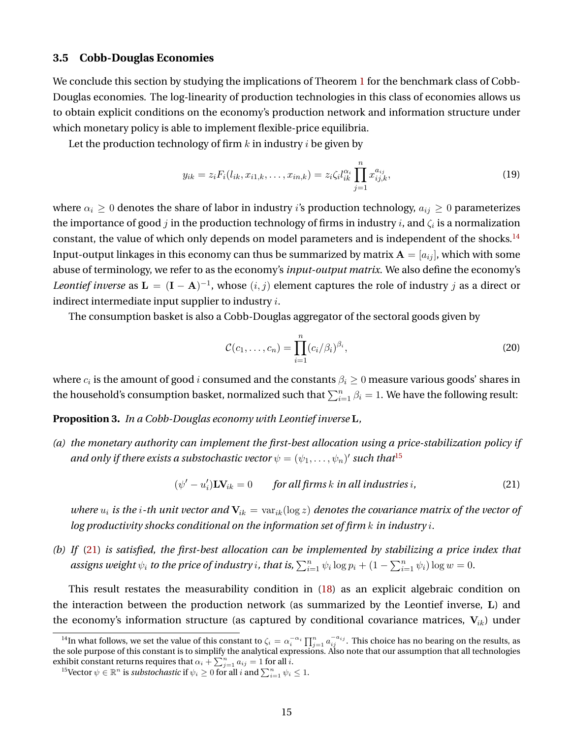#### <span id="page-15-4"></span>**3.5 Cobb-Douglas Economies**

We conclude this section by studying the implications of Theorem [1](#page-12-2) for the benchmark class of Cobb-Douglas economies. The log-linearity of production technologies in this class of economies allows us to obtain explicit conditions on the economy's production network and information structure under which monetary policy is able to implement flexible-price equilibria.

Let the production technology of firm  $k$  in industry  $i$  be given by

<span id="page-15-5"></span>
$$
y_{ik} = z_i F_i(l_{ik}, x_{i1,k}, \dots, x_{in,k}) = z_i \zeta_i l_{ik}^{\alpha_i} \prod_{j=1}^n x_{ij,k}^{a_{ij}}, \qquad (19)
$$

where  $\alpha_i \geq 0$  denotes the share of labor in industry *i*'s production technology,  $a_{ij} \geq 0$  parameterizes the importance of good  $j$  in the production technology of firms in industry  $i$ , and  $\zeta_i$  is a normalization constant, the value of which only depends on model parameters and is independent of the shocks.<sup>[14](#page-15-0)</sup> Input-output linkages in this economy can thus be summarized by matrix  $A = [a_{ij}]$ , which with some abuse of terminology, we refer to as the economy's *input-output matrix*. We also define the economy's *Leontief inverse* as  $\mathbf{L} = (\mathbf{I} - \mathbf{A})^{-1}$ , whose  $(i, j)$  element captures the role of industry j as a direct or indirect intermediate input supplier to industry  $i$ .

The consumption basket is also a Cobb-Douglas aggregator of the sectoral goods given by

<span id="page-15-6"></span><span id="page-15-2"></span>
$$
\mathcal{C}(c_1,\ldots,c_n)=\prod_{i=1}^n(c_i/\beta_i)^{\beta_i},\qquad(20)
$$

where  $c_i$  is the amount of good  $i$  consumed and the constants  $\beta_i\geq 0$  measure various goods' shares in the household's consumption basket, normalized such that  $\sum_{i=1}^n \beta_i = 1.$  We have the following result:

<span id="page-15-3"></span>**Proposition 3.** *In a Cobb-Douglas economy with Leontief inverse* L*,*

*(a) the monetary authority can implement the first-best allocation using a price-stabilization policy if* and only if there exists a substochastic vector  $\psi=(\psi_1,\ldots,\psi_n)'$  such that<sup>[15](#page-15-1)</sup>

$$
(\psi' - u_i') \mathbf{L} \mathbf{V}_{ik} = 0 \qquad \text{for all firms } k \text{ in all industries } i,
$$
 (21)

*where*  $u_i$  *is the i*-th unit vector and  $V_{ik} = \text{var}_{ik}(\log z)$  denotes the covariance matrix of the vector of *log productivity shocks conditional on the information set of firm* k *in industry* i*.*

*(b) If* [\(21\)](#page-15-2) *is satisfied, the first-best allocation can be implemented by stabilizing a price index that assigns weight*  $\psi_i$  *to the price of industry i, that is,*  $\sum_{i=1}^n \psi_i \log p_i + (1 - \sum_{i=1}^n \psi_i) \log w = 0$ .

This result restates the measurability condition in [\(18\)](#page-12-1) as an explicit algebraic condition on the interaction between the production network (as summarized by the Leontief inverse, L) and the economy's information structure (as captured by conditional covariance matrices,  $V_{ik}$ ) under

<span id="page-15-0"></span><sup>&</sup>lt;sup>14</sup>In what follows, we set the value of this constant to  $\zeta_i = \alpha_i^{-\alpha_i} \prod_{j=1}^n a_{ij}^{-a_{ij}}$ . This choice has no bearing on the results, as the sole purpose of this constant is to simplify the analytical expressions. Also note that our assumption that all technologies exhibit constant returns requires that  $\alpha_i + \sum_{j=1}^n a_{ij} = 1$  for all  $i$ .

<span id="page-15-1"></span><sup>&</sup>lt;sup>15</sup>Vector  $\psi \in \mathbb{R}^n$  is *substochastic* if  $\psi_i \geq 0$  for all i and  $\sum_{i=1}^n \psi_i \leq 1$ .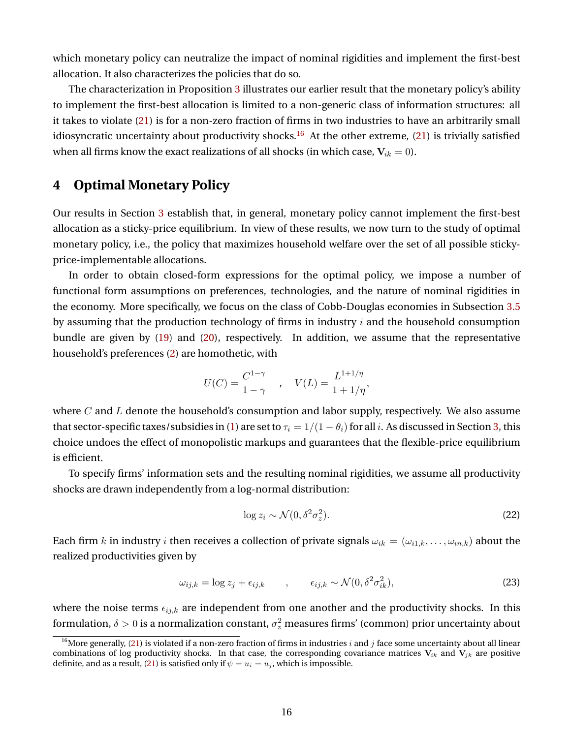which monetary policy can neutralize the impact of nominal rigidities and implement the first-best allocation. It also characterizes the policies that do so.

The characterization in Proposition [3](#page-15-3) illustrates our earlier result that the monetary policy's ability to implement the first-best allocation is limited to a non-generic class of information structures: all it takes to violate [\(21\)](#page-15-2) is for a non-zero fraction of firms in two industries to have an arbitrarily small idiosyncratic uncertainty about productivity shocks.<sup>[16](#page-16-1)</sup> At the other extreme, [\(21\)](#page-15-2) is trivially satisfied when all firms know the exact realizations of all shocks (in which case,  $V_{ik} = 0$ ).

## <span id="page-16-0"></span>**4 Optimal Monetary Policy**

Our results in Section [3](#page-9-0) establish that, in general, monetary policy cannot implement the first-best allocation as a sticky-price equilibrium. In view of these results, we now turn to the study of optimal monetary policy, i.e., the policy that maximizes household welfare over the set of all possible stickyprice-implementable allocations.

In order to obtain closed-form expressions for the optimal policy, we impose a number of functional form assumptions on preferences, technologies, and the nature of nominal rigidities in the economy. More specifically, we focus on the class of Cobb-Douglas economies in Subsection [3.5](#page-15-4) by assuming that the production technology of firms in industry  $i$  and the household consumption bundle are given by [\(19\)](#page-15-5) and [\(20\)](#page-15-6), respectively. In addition, we assume that the representative household's preferences [\(2\)](#page-5-2) are homothetic, with

$$
U(C) = \frac{C^{1-\gamma}}{1-\gamma} \quad , \quad V(L) = \frac{L^{1+1/\eta}}{1+1/\eta},
$$

where  $C$  and  $L$  denote the household's consumption and labor supply, respectively. We also assume that sector-specific taxes/subsidies in [\(1\)](#page-5-1) are set to  $\tau_i = 1/(1 - \theta_i)$  for all i. As discussed in Section [3,](#page-9-0) this choice undoes the effect of monopolistic markups and guarantees that the flexible-price equilibrium is efficient.

To specify firms' information sets and the resulting nominal rigidities, we assume all productivity shocks are drawn independently from a log-normal distribution:

<span id="page-16-3"></span><span id="page-16-2"></span>
$$
\log z_i \sim \mathcal{N}(0, \delta^2 \sigma_z^2). \tag{22}
$$

Each firm k in industry i then receives a collection of private signals  $\omega_{ik} = (\omega_{i1,k}, \dots, \omega_{in,k})$  about the realized productivities given by

$$
\omega_{ij,k} = \log z_j + \epsilon_{ij,k} \qquad , \qquad \epsilon_{ij,k} \sim \mathcal{N}(0, \delta^2 \sigma_{ik}^2), \tag{23}
$$

where the noise terms  $\epsilon_{ijk}$  are independent from one another and the productivity shocks. In this formulation,  $\delta > 0$  is a normalization constant,  $\sigma_z^2$  measures firms' (common) prior uncertainty about

<span id="page-16-1"></span><sup>&</sup>lt;sup>16</sup>More generally, [\(21\)](#page-15-2) is violated if a non-zero fraction of firms in industries i and j face some uncertainty about all linear combinations of log productivity shocks. In that case, the corresponding covariance matrices  $V_{ik}$  and  $V_{jk}$  are positive definite, and as a result, [\(21\)](#page-15-2) is satisfied only if  $\psi = u_i = u_j$ , which is impossible.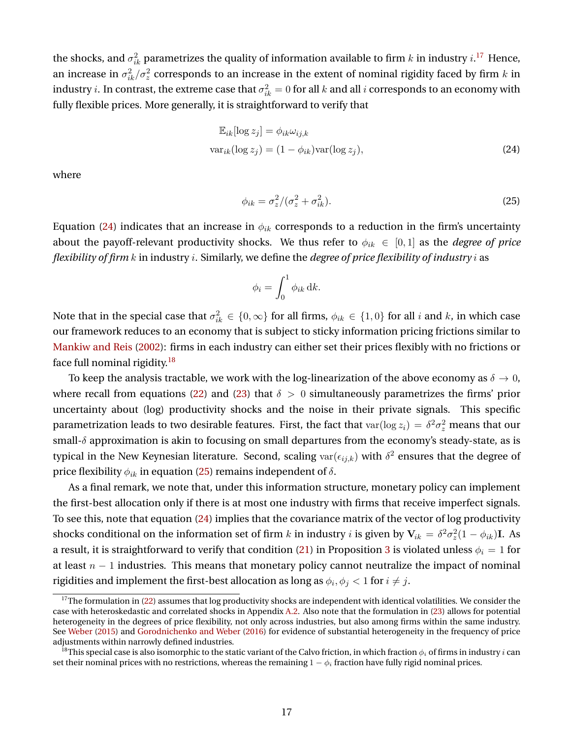the shocks, and  $\sigma_{ik}^2$  parametrizes the quality of information available to firm  $k$  in industry  $i.^{17}$  $i.^{17}$  $i.^{17}$  Hence, an increase in  $\sigma_{ik}^2/\sigma_z^2$  corresponds to an increase in the extent of nominal rigidity faced by firm  $k$  in industry  $i.$  In contrast, the extreme case that  $\sigma_{ik}^2=0$  for all  $k$  and all  $i$  corresponds to an economy with fully flexible prices. More generally, it is straightforward to verify that

$$
\mathbb{E}_{ik}[\log z_j] = \phi_{ik}\omega_{ij,k}
$$
  

$$
\text{var}_{ik}(\log z_j) = (1 - \phi_{ik})\text{var}(\log z_j),
$$
 (24)

where

<span id="page-17-3"></span><span id="page-17-1"></span>
$$
\phi_{ik} = \sigma_z^2 / (\sigma_z^2 + \sigma_{ik}^2). \tag{25}
$$

Equation [\(24\)](#page-17-1) indicates that an increase in  $\phi_{ik}$  corresponds to a reduction in the firm's uncertainty about the payoff-relevant productivity shocks. We thus refer to  $\phi_{ik} \in [0,1]$  as the *degree of price flexibility of firm* k in industry i. Similarly, we define the *degree of price flexibility of industry* i as

$$
\phi_i = \int_0^1 \phi_{ik} \, \mathrm{d}k.
$$

Note that in the special case that  $\sigma_{ik}^2 \in \{0,\infty\}$  for all firms,  $\phi_{ik} \in \{1,0\}$  for all  $i$  and  $k$ , in which case our framework reduces to an economy that is subject to sticky information pricing frictions similar to [Mankiw and Reis](#page-42-8) [\(2002\)](#page-42-8): firms in each industry can either set their prices flexibly with no frictions or face full nominal rigidity.<sup>[18](#page-17-2)</sup>

To keep the analysis tractable, we work with the log-linearization of the above economy as  $\delta \to 0$ , where recall from equations [\(22\)](#page-16-2) and [\(23\)](#page-16-3) that  $\delta > 0$  simultaneously parametrizes the firms' prior uncertainty about (log) productivity shocks and the noise in their private signals. This specific parametrization leads to two desirable features. First, the fact that  $\text{var}(\log z_i) = \delta^2 \sigma_z^2$  means that our small-δ approximation is akin to focusing on small departures from the economy's steady-state, as is typical in the New Keynesian literature. Second, scaling  $\text{var}(\epsilon_{ij,k})$  with  $\delta^2$  ensures that the degree of price flexibility  $\phi_{ik}$  in equation [\(25\)](#page-17-3) remains independent of  $\delta$ .

As a final remark, we note that, under this information structure, monetary policy can implement the first-best allocation only if there is at most one industry with firms that receive imperfect signals. To see this, note that equation [\(24\)](#page-17-1) implies that the covariance matrix of the vector of log productivity shocks conditional on the information set of firm  $k$  in industry  $i$  is given by  $\mathbf{V}_{ik}=\delta^2\sigma_z^2(1-\phi_{ik})\mathbf{I}$ . As a result, it is straightforward to verify that condition [\(21\)](#page-15-2) in Proposition [3](#page-15-3) is violated unless  $\phi_i = 1$  for at least  $n - 1$  industries. This means that monetary policy cannot neutralize the impact of nominal rigidities and implement the first-best allocation as long as  $\phi_i, \phi_j < 1$  for  $i \neq j.$ 

<span id="page-17-0"></span> $17$ The formulation in [\(22\)](#page-16-2) assumes that log productivity shocks are independent with identical volatilities. We consider the case with heteroskedastic and correlated shocks in Appendix [A.2.](#page-37-0) Also note that the formulation in [\(23\)](#page-16-3) allows for potential heterogeneity in the degrees of price flexibility, not only across industries, but also among firms within the same industry. See [Weber](#page-42-11) [\(2015\)](#page-42-11) and [Gorodnichenko and Weber](#page-41-9) [\(2016\)](#page-41-9) for evidence of substantial heterogeneity in the frequency of price adjustments within narrowly defined industries.

<span id="page-17-2"></span> $^{18}$ This special case is also isomorphic to the static variant of the Calvo friction, in which fraction  $\phi_i$  of firms in industry  $i$  can set their nominal prices with no restrictions, whereas the remaining  $1 - \phi_i$  fraction have fully rigid nominal prices.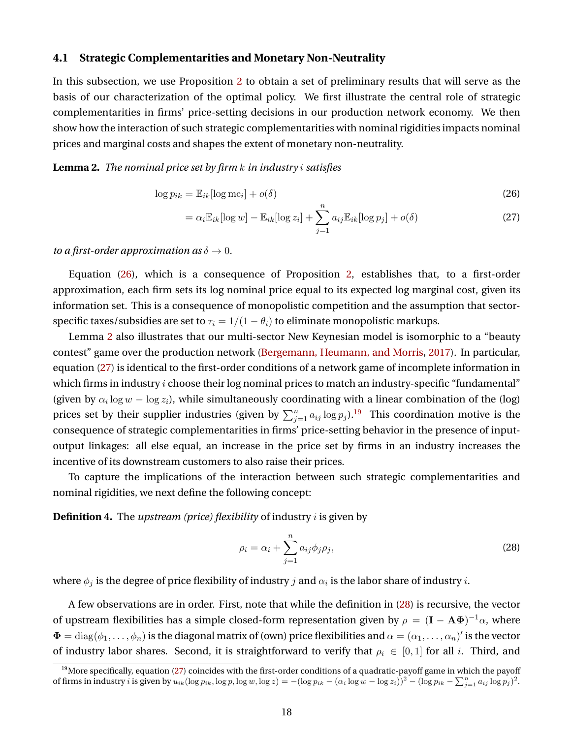#### <span id="page-18-6"></span>**4.1 Strategic Complementarities and Monetary Non-Neutrality**

In this subsection, we use Proposition [2](#page-11-0) to obtain a set of preliminary results that will serve as the basis of our characterization of the optimal policy. We first illustrate the central role of strategic complementarities in firms' price-setting decisions in our production network economy. We then show how the interaction of such strategic complementarities with nominal rigidities impacts nominal prices and marginal costs and shapes the extent of monetary non-neutrality.

#### <span id="page-18-1"></span>**Lemma 2.** *The nominal price set by firm* k *in industry* i *satisfies*

$$
\log p_{ik} = \mathbb{E}_{ik}[\log \mathrm{mc}_i] + o(\delta)
$$
\n(26)

<span id="page-18-2"></span><span id="page-18-0"></span>
$$
= \alpha_i \mathbb{E}_{ik} [\log w] - \mathbb{E}_{ik} [\log z_i] + \sum_{j=1}^n a_{ij} \mathbb{E}_{ik} [\log p_j] + o(\delta)
$$
\n(27)

*to a first-order approximation as*  $\delta \rightarrow 0$ *.* 

Equation [\(26\)](#page-18-0), which is a consequence of Proposition [2,](#page-11-0) establishes that, to a first-order approximation, each firm sets its log nominal price equal to its expected log marginal cost, given its information set. This is a consequence of monopolistic competition and the assumption that sectorspecific taxes/subsidies are set to  $\tau_i = 1/(1 - \theta_i)$  to eliminate monopolistic markups.

Lemma [2](#page-18-1) also illustrates that our multi-sector New Keynesian model is isomorphic to a "beauty contest" game over the production network [\(Bergemann, Heumann, and Morris,](#page-39-12) [2017\)](#page-39-12). In particular, equation [\(27\)](#page-18-2) is identical to the first-order conditions of a network game of incomplete information in which firms in industry  $i$  choose their log nominal prices to match an industry-specific "fundamental" (given by  $\alpha_i \log w - \log z_i$ ), while simultaneously coordinating with a linear combination of the (log) prices set by their supplier industries (given by  $\sum_{j=1}^n a_{ij} \log p_j$ ).<sup>[19](#page-18-3)</sup> This coordination motive is the consequence of strategic complementarities in firms' price-setting behavior in the presence of inputoutput linkages: all else equal, an increase in the price set by firms in an industry increases the incentive of its downstream customers to also raise their prices.

To capture the implications of the interaction between such strategic complementarities and nominal rigidities, we next define the following concept:

<span id="page-18-5"></span>**Definition 4.** The *upstream (price) flexibility* of industry i is given by

<span id="page-18-4"></span>
$$
\rho_i = \alpha_i + \sum_{j=1}^n a_{ij} \phi_j \rho_j,\tag{28}
$$

where  $\phi_j$  is the degree of price flexibility of industry  $j$  and  $\alpha_i$  is the labor share of industry  $i.$ 

A few observations are in order. First, note that while the definition in [\(28\)](#page-18-4) is recursive, the vector of upstream flexibilities has a simple closed-form representation given by  $\rho = (\mathbf{I} - \mathbf{A}\mathbf{\Phi})^{-1}\alpha$ , where  $\Phi=\text{diag}(\phi_1,\ldots,\phi_n)$  is the diagonal matrix of (own) price flexibilities and  $\alpha=(\alpha_1,\ldots,\alpha_n)'$  is the vector of industry labor shares. Second, it is straightforward to verify that  $\rho_i \in [0, 1]$  for all i. Third, and

<span id="page-18-3"></span> $19$ More specifically, equation [\(27\)](#page-18-2) coincides with the first-order conditions of a quadratic-payoff game in which the payoff of firms in industry *i* is given by  $u_{ik}(\log p_{ik}, \log p, \log w, \log z) = -(\log p_{ik} - (\alpha_i \log w - \log z_i))^2 - (\log p_{ik} - \sum_{j=1}^n a_{ij} \log p_j)^2$ .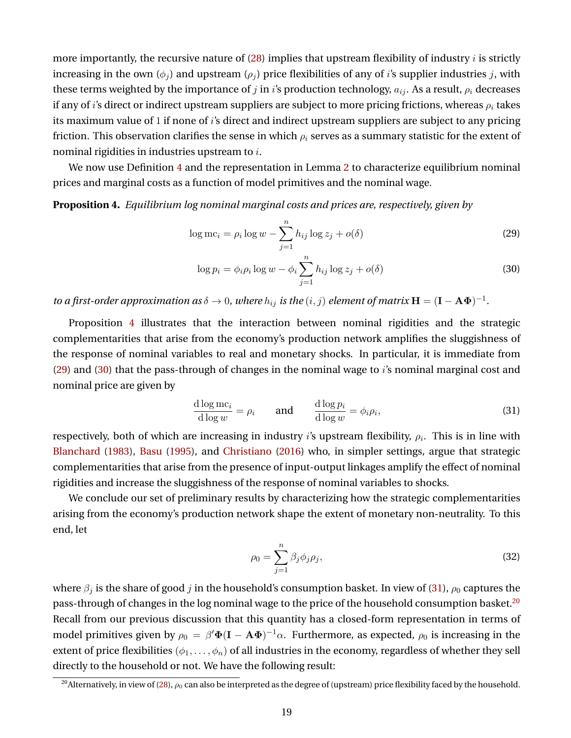more importantly, the recursive nature of  $(28)$  implies that upstream flexibility of industry *i* is strictly increasing in the own  $(\phi_i)$  and upstream  $(\rho_i)$  price flexibilities of any of i's supplier industries j, with these terms weighted by the importance of j in i's production technology,  $a_{ij}$ . As a result,  $\rho_i$  decreases if any of i's direct or indirect upstream suppliers are subject to more pricing frictions, whereas  $\rho_i$  takes its maximum value of 1 if none of i's direct and indirect upstream suppliers are subject to any pricing friction. This observation clarifies the sense in which  $\rho_i$  serves as a summary statistic for the extent of nominal rigidities in industries upstream to i.

We now use Definition [4](#page-18-5) and the representation in Lemma [2](#page-18-1) to characterize equilibrium nominal prices and marginal costs as a function of model primitives and the nominal wage.

<span id="page-19-0"></span>**Proposition 4.** *Equilibrium log nominal marginal costs and prices are, respectively, given by*

$$
\log mc_i = \rho_i \log w - \sum_{j=1}^n h_{ij} \log z_j + o(\delta)
$$
\n(29)

<span id="page-19-2"></span><span id="page-19-1"></span>
$$
\log p_i = \phi_i \rho_i \log w - \phi_i \sum_{j=1}^n h_{ij} \log z_j + o(\delta)
$$
\n(30)

*to a first-order approximation as*  $\delta \to 0$ , where  $h_{ij}$  *is the*  $(i, j)$  *element of matrix*  $H = (I - A\Phi)^{-1}$ *.* 

Proposition [4](#page-19-0) illustrates that the interaction between nominal rigidities and the strategic complementarities that arise from the economy's production network amplifies the sluggishness of the response of nominal variables to real and monetary shocks. In particular, it is immediate from  $(29)$  and  $(30)$  that the pass-through of changes in the nominal wage to i's nominal marginal cost and nominal price are given by

$$
\frac{\text{d}\log mc_i}{\text{d}\log w} = \rho_i \qquad \text{and} \qquad \frac{\text{d}\log p_i}{\text{d}\log w} = \phi_i \rho_i,\tag{31}
$$

respectively, both of which are increasing in industry  $i$ 's upstream flexibility,  $\rho_i.$  This is in line with [Blanchard](#page-39-9) [\(1983\)](#page-39-9), [Basu](#page-39-10) [\(1995\)](#page-39-10), and [Christiano](#page-40-9) [\(2016\)](#page-40-9) who, in simpler settings, argue that strategic complementarities that arise from the presence of input-output linkages amplify the effect of nominal rigidities and increase the sluggishness of the response of nominal variables to shocks.

We conclude our set of preliminary results by characterizing how the strategic complementarities arising from the economy's production network shape the extent of monetary non-neutrality. To this end, let

<span id="page-19-5"></span><span id="page-19-3"></span>
$$
\rho_0 = \sum_{j=1}^n \beta_j \phi_j \rho_j,\tag{32}
$$

where  $\beta_j$  is the share of good j in the household's consumption basket. In view of [\(31\)](#page-19-3),  $\rho_0$  captures the pass-through of changes in the log nominal wage to the price of the household consumption basket.<sup>[20](#page-19-4)</sup> Recall from our previous discussion that this quantity has a closed-form representation in terms of model primitives given by  $\rho_0\,=\,\beta' \Phi ({\bf I}-{\bf A} \Phi)^{-1} \alpha.$  Furthermore, as expected,  $\rho_0$  is increasing in the extent of price flexibilities  $(\phi_1, \ldots, \phi_n)$  of all industries in the economy, regardless of whether they sell directly to the household or not. We have the following result:

<span id="page-19-4"></span><sup>&</sup>lt;sup>20</sup>Alternatively, in view of [\(28\)](#page-18-4),  $\rho_0$  can also be interpreted as the degree of (upstream) price flexibility faced by the household.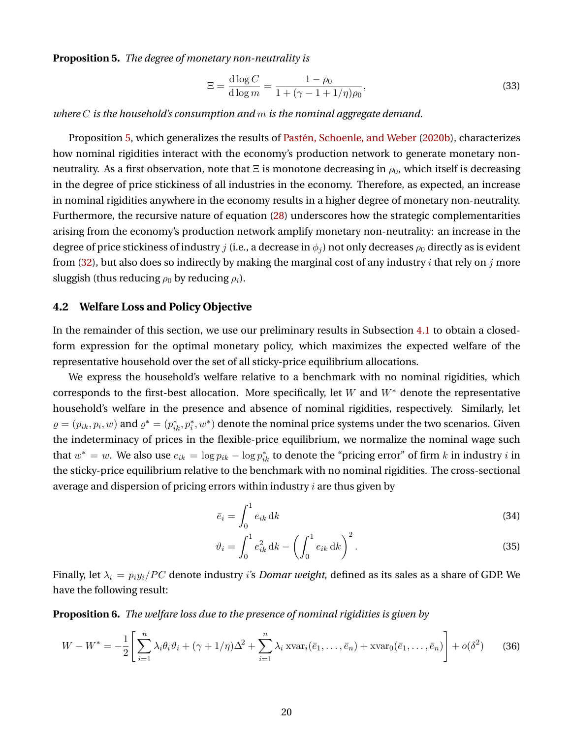<span id="page-20-0"></span>**Proposition 5.** *The degree of monetary non-neutrality is*

<span id="page-20-6"></span>
$$
\Xi = \frac{d \log C}{d \log m} = \frac{1 - \rho_0}{1 + (\gamma - 1 + 1/\eta)\rho_0},\tag{33}
$$

*where* C *is the household's consumption and* m *is the nominal aggregate demand.*

Proposition [5,](#page-20-0) which generalizes the results of Pastén, Schoenle, and Weber [\(2020b\)](#page-42-3), characterizes how nominal rigidities interact with the economy's production network to generate monetary nonneutrality. As a first observation, note that  $\Xi$  is monotone decreasing in  $\rho_0$ , which itself is decreasing in the degree of price stickiness of all industries in the economy. Therefore, as expected, an increase in nominal rigidities anywhere in the economy results in a higher degree of monetary non-neutrality. Furthermore, the recursive nature of equation [\(28\)](#page-18-4) underscores how the strategic complementarities arising from the economy's production network amplify monetary non-neutrality: an increase in the degree of price stickiness of industry j (i.e., a decrease in  $\phi_i$ ) not only decreases  $\rho_0$  directly as is evident from [\(32\)](#page-19-5), but also does so indirectly by making the marginal cost of any industry i that rely on j more sluggish (thus reducing  $\rho_0$  by reducing  $\rho_i$ ).

### <span id="page-20-5"></span>**4.2 Welfare Loss and Policy Objective**

In the remainder of this section, we use our preliminary results in Subsection [4.1](#page-18-6) to obtain a closedform expression for the optimal monetary policy, which maximizes the expected welfare of the representative household over the set of all sticky-price equilibrium allocations.

We express the household's welfare relative to a benchmark with no nominal rigidities, which corresponds to the first-best allocation. More specifically, let W and  $W^*$  denote the representative household's welfare in the presence and absence of nominal rigidities, respectively. Similarly, let  $\varrho=(p_{ik},p_i,w)$  and  $\varrho^*=(p_{ik}^*,p_i^*,w^*)$  denote the nominal price systems under the two scenarios. Given the indeterminacy of prices in the flexible-price equilibrium, we normalize the nominal wage such that  $w^* = w$ . We also use  $e_{ik} = \log p_{ik} - \log p_{ik}^*$  to denote the "pricing error" of firm k in industry i in the sticky-price equilibrium relative to the benchmark with no nominal rigidities. The cross-sectional average and dispersion of pricing errors within industry  $i$  are thus given by

<span id="page-20-4"></span><span id="page-20-1"></span>
$$
\bar{e}_i = \int_0^1 e_{ik} \, \mathrm{d}k \tag{34}
$$

$$
\vartheta_i = \int_0^1 e_{ik}^2 \, \mathrm{d}k - \left( \int_0^1 e_{ik} \, \mathrm{d}k \right)^2. \tag{35}
$$

Finally, let  $\lambda_i = p_i y_i / PC$  denote industry *i's Domar weight*, defined as its sales as a share of GDP. We have the following result:

<span id="page-20-2"></span>**Proposition 6.** *The welfare loss due to the presence of nominal rigidities is given by*

<span id="page-20-3"></span>
$$
W - W^* = -\frac{1}{2} \left[ \sum_{i=1}^n \lambda_i \theta_i \vartheta_i + (\gamma + 1/\eta) \Delta^2 + \sum_{i=1}^n \lambda_i \operatorname{avar}_i(\bar{e}_1, \dots, \bar{e}_n) + \operatorname{svar}_0(\bar{e}_1, \dots, \bar{e}_n) \right] + o(\delta^2)
$$
(36)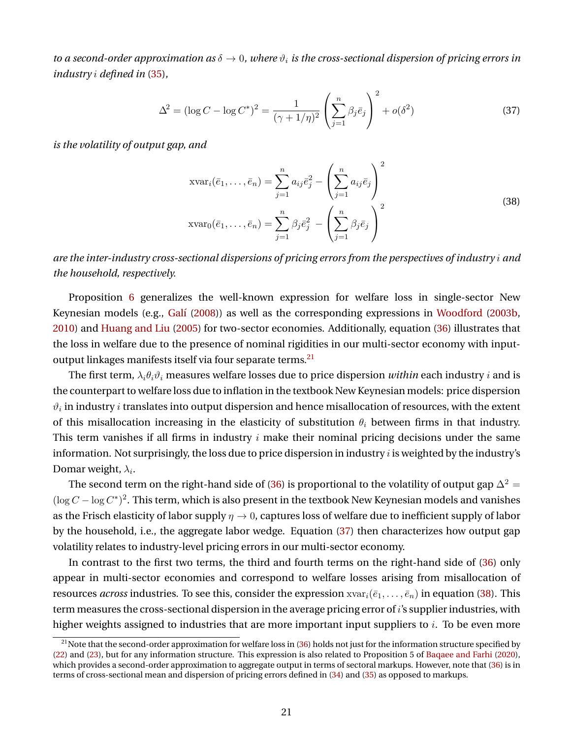*to a second-order approximation as*  $\delta \to 0$ , where  $\vartheta_i$  *is the cross-sectional dispersion of pricing errors in industry* i *defined in* [\(35\)](#page-20-1)*,*

$$
\Delta^{2} = (\log C - \log C^{*})^{2} = \frac{1}{(\gamma + 1/\eta)^{2}} \left(\sum_{j=1}^{n} \beta_{j} \bar{e}_{j}\right)^{2} + o(\delta^{2})
$$
(37)

*is the volatility of output gap, and*

<span id="page-21-2"></span><span id="page-21-1"></span>
$$
\operatorname{avar}_i(\bar{e}_1,\ldots,\bar{e}_n) = \sum_{j=1}^n a_{ij} \bar{e}_j^2 - \left(\sum_{j=1}^n a_{ij} \bar{e}_j\right)^2
$$
  

$$
\operatorname{avar}_0(\bar{e}_1,\ldots,\bar{e}_n) = \sum_{j=1}^n \beta_j \bar{e}_j^2 - \left(\sum_{j=1}^n \beta_j \bar{e}_j\right)^2
$$
 (38)

*are the inter-industry cross-sectional dispersions of pricing errors from the perspectives of industry* i *and the household, respectively.*

Proposition [6](#page-20-2) generalizes the well-known expression for welfare loss in single-sector New Keynesian models (e.g., [Gal´ı](#page-41-10) [\(2008\)](#page-41-10)) as well as the corresponding expressions in [Woodford](#page-43-0) [\(2003b,](#page-43-0) [2010\)](#page-43-1) and [Huang and Liu](#page-41-7) [\(2005\)](#page-41-7) for two-sector economies. Additionally, equation [\(36\)](#page-20-3) illustrates that the loss in welfare due to the presence of nominal rigidities in our multi-sector economy with input-output linkages manifests itself via four separate terms.<sup>[21](#page-21-0)</sup>

The first term,  $\lambda_i \theta_i \vartheta_i$  measures welfare losses due to price dispersion *within* each industry *i* and is the counterpart to welfare loss due to inflation in the textbook New Keynesian models: price dispersion  $\vartheta_i$  in industry  $i$  translates into output dispersion and hence misallocation of resources, with the extent of this misallocation increasing in the elasticity of substitution  $\theta_i$  between firms in that industry. This term vanishes if all firms in industry  $i$  make their nominal pricing decisions under the same information. Not surprisingly, the loss due to price dispersion in industry  $i$  is weighted by the industry's Domar weight,  $\lambda_i.$ 

The second term on the right-hand side of [\(36\)](#page-20-3) is proportional to the volatility of output gap  $\Delta^2 =$  $(\log C - \log C^*)^2$ . This term, which is also present in the textbook New Keynesian models and vanishes as the Frisch elasticity of labor supply  $\eta \to 0$ , captures loss of welfare due to inefficient supply of labor by the household, i.e., the aggregate labor wedge. Equation [\(37\)](#page-21-1) then characterizes how output gap volatility relates to industry-level pricing errors in our multi-sector economy.

In contrast to the first two terms, the third and fourth terms on the right-hand side of [\(36\)](#page-20-3) only appear in multi-sector economies and correspond to welfare losses arising from misallocation of resources *across* industries. To see this, consider the expression  $xvar_i(\bar{e}_1,\ldots,\bar{e}_n)$  in equation [\(38\)](#page-21-2). This term measures the cross-sectional dispersion in the average pricing error of *i*'s supplier industries, with higher weights assigned to industries that are more important input suppliers to  $i$ . To be even more

<span id="page-21-0"></span> $^{21}$ Note that the second-order approximation for welfare loss in [\(36\)](#page-20-3) holds not just for the information structure specified by [\(22\)](#page-16-2) and [\(23\)](#page-16-3), but for any information structure. This expression is also related to Proposition 5 of [Baqaee and Farhi](#page-39-4) [\(2020\)](#page-39-4), which provides a second-order approximation to aggregate output in terms of sectoral markups. However, note that [\(36\)](#page-20-3) is in terms of cross-sectional mean and dispersion of pricing errors defined in [\(34\)](#page-20-4) and [\(35\)](#page-20-1) as opposed to markups.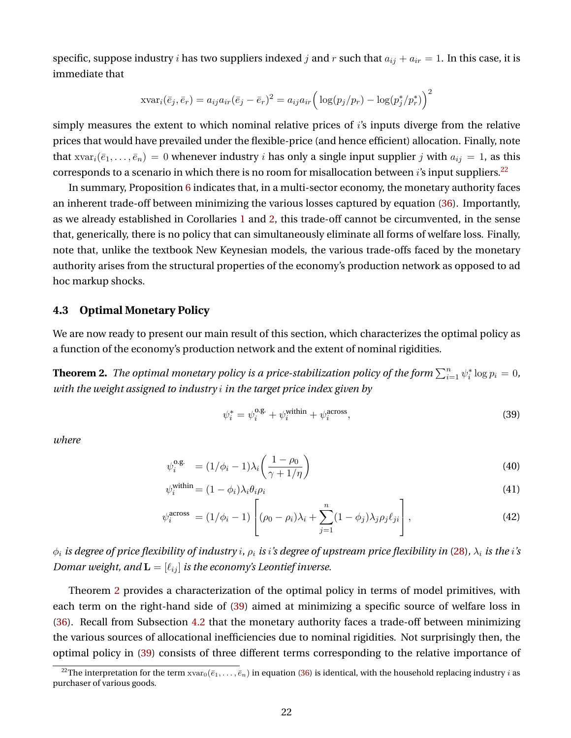specific, suppose industry *i* has two suppliers indexed *j* and *r* such that  $a_{ij} + a_{ir} = 1$ . In this case, it is immediate that

$$
\operatorname{avar}_i(\bar{e}_j,\bar{e}_r) = a_{ij}a_{ir}(\bar{e}_j - \bar{e}_r)^2 = a_{ij}a_{ir} \left( \log(p_j/p_r) - \log(p_j^*/p_r^*) \right)^2
$$

simply measures the extent to which nominal relative prices of i's inputs diverge from the relative prices that would have prevailed under the flexible-price (and hence efficient) allocation. Finally, note that  $xvar_i(\bar{e}_1,\ldots,\bar{e}_n)=0$  whenever industry *i* has only a single input supplier *j* with  $a_{ij}=1$ , as this corresponds to a scenario in which there is no room for misallocation between  $i$ 's input suppliers.<sup>[22](#page-22-0)</sup>

In summary, Proposition [6](#page-20-2) indicates that, in a multi-sector economy, the monetary authority faces an inherent trade-off between minimizing the various losses captured by equation [\(36\)](#page-20-3). Importantly, as we already established in Corollaries [1](#page-13-1) and [2,](#page-13-0) this trade-off cannot be circumvented, in the sense that, generically, there is no policy that can simultaneously eliminate all forms of welfare loss. Finally, note that, unlike the textbook New Keynesian models, the various trade-offs faced by the monetary authority arises from the structural properties of the economy's production network as opposed to ad hoc markup shocks.

### **4.3 Optimal Monetary Policy**

We are now ready to present our main result of this section, which characterizes the optimal policy as a function of the economy's production network and the extent of nominal rigidities.

<span id="page-22-1"></span>**Theorem 2.** *The optimal monetary policy is a price-stabilization policy of the form*  $\sum_{i=1}^n \psi_i^* \log p_i = 0$ , *with the weight assigned to industry* i *in the target price index given by*

<span id="page-22-5"></span><span id="page-22-4"></span><span id="page-22-3"></span><span id="page-22-2"></span>
$$
\psi_i^* = \psi_i^{\text{o.g.}} + \psi_i^{\text{within}} + \psi_i^{\text{across}},\tag{39}
$$

*where*

$$
\psi_i^{\text{o.g.}} = (1/\phi_i - 1)\lambda_i \left(\frac{1 - \rho_0}{\gamma + 1/\eta}\right)
$$
\n(40)

$$
\psi_i^{\text{within}} = (1 - \phi_i) \lambda_i \theta_i \rho_i \tag{41}
$$

$$
\psi_i^{\text{across}} = (1/\phi_i - 1) \left[ (\rho_0 - \rho_i)\lambda_i + \sum_{j=1}^n (1 - \phi_j)\lambda_j \rho_j \ell_{ji} \right],\tag{42}
$$

 $\phi_i$  *is degree of price flexibility of industry <i>i*,  $\rho_i$  *is i's degree of upstream price flexibility in* [\(28\)](#page-18-4),  $\lambda_i$  *is the i's Domar weight, and*  $\mathbf{L} = [\ell_{ij}]$  *is the economy's Leontief inverse.* 

Theorem [2](#page-22-1) provides a characterization of the optimal policy in terms of model primitives, with each term on the right-hand side of [\(39\)](#page-22-2) aimed at minimizing a specific source of welfare loss in [\(36\)](#page-20-3). Recall from Subsection [4.2](#page-20-5) that the monetary authority faces a trade-off between minimizing the various sources of allocational inefficiencies due to nominal rigidities. Not surprisingly then, the optimal policy in [\(39\)](#page-22-2) consists of three different terms corresponding to the relative importance of

<span id="page-22-0"></span><sup>&</sup>lt;sup>22</sup>The interpretation for the term  $xvar_0(\bar{e}_1,\ldots,\bar{e}_n)$  in equation [\(36\)](#page-20-3) is identical, with the household replacing industry *i* as purchaser of various goods.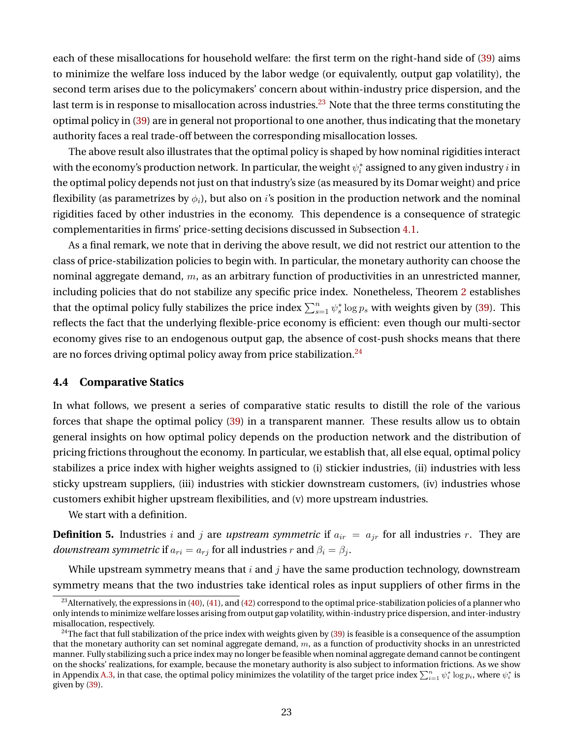each of these misallocations for household welfare: the first term on the right-hand side of [\(39\)](#page-22-2) aims to minimize the welfare loss induced by the labor wedge (or equivalently, output gap volatility), the second term arises due to the policymakers' concern about within-industry price dispersion, and the last term is in response to misallocation across industries.<sup>[23](#page-23-0)</sup> Note that the three terms constituting the optimal policy in [\(39\)](#page-22-2) are in general not proportional to one another, thus indicating that the monetary authority faces a real trade-off between the corresponding misallocation losses.

The above result also illustrates that the optimal policy is shaped by how nominal rigidities interact with the economy's production network. In particular, the weight  $\psi^*_i$  assigned to any given industry  $i$  in the optimal policy depends not just on that industry's size (as measured by its Domar weight) and price flexibility (as parametrizes by  $\phi_i$ ), but also on *i*'s position in the production network and the nominal rigidities faced by other industries in the economy. This dependence is a consequence of strategic complementarities in firms' price-setting decisions discussed in Subsection [4.1.](#page-18-6)

As a final remark, we note that in deriving the above result, we did not restrict our attention to the class of price-stabilization policies to begin with. In particular, the monetary authority can choose the nominal aggregate demand,  $m$ , as an arbitrary function of productivities in an unrestricted manner, including policies that do not stabilize any specific price index. Nonetheless, Theorem [2](#page-22-1) establishes that the optimal policy fully stabilizes the price index  $\sum_{s=1}^{n} \psi_s^* \log p_s$  with weights given by [\(39\)](#page-22-2). This reflects the fact that the underlying flexible-price economy is efficient: even though our multi-sector economy gives rise to an endogenous output gap, the absence of cost-push shocks means that there are no forces driving optimal policy away from price stabilization.<sup>[24](#page-23-1)</sup>

#### **4.4 Comparative Statics**

In what follows, we present a series of comparative static results to distill the role of the various forces that shape the optimal policy [\(39\)](#page-22-2) in a transparent manner. These results allow us to obtain general insights on how optimal policy depends on the production network and the distribution of pricing frictions throughout the economy. In particular, we establish that, all else equal, optimal policy stabilizes a price index with higher weights assigned to (i) stickier industries, (ii) industries with less sticky upstream suppliers, (iii) industries with stickier downstream customers, (iv) industries whose customers exhibit higher upstream flexibilities, and (v) more upstream industries.

We start with a definition.

**Definition 5.** Industries i and j are *upstream symmetric* if  $a_{ir} = a_{jr}$  for all industries r. They are *downstream symmetric* if  $a_{ri} = a_{ri}$  for all industries r and  $\beta_i = \beta_j$ .

While upstream symmetry means that  $i$  and  $j$  have the same production technology, downstream symmetry means that the two industries take identical roles as input suppliers of other firms in the

<span id="page-23-0"></span><sup>&</sup>lt;sup>23</sup>Alternatively, the expressions in [\(40\)](#page-22-3), [\(41\)](#page-22-4), and [\(42\)](#page-22-5) correspond to the optimal price-stabilization policies of a planner who only intends to minimize welfare losses arising from output gap volatility, within-industry price dispersion, and inter-industry misallocation, respectively.

<span id="page-23-1"></span> $24$ The fact that full stabilization of the price index with weights given by [\(39\)](#page-22-2) is feasible is a consequence of the assumption that the monetary authority can set nominal aggregate demand,  $m$ , as a function of productivity shocks in an unrestricted manner. Fully stabilizing such a price index may no longer be feasible when nominal aggregate demand cannot be contingent on the shocks' realizations, for example, because the monetary authority is also subject to information frictions. As we show in Appendix [A.3,](#page-38-1) in that case, the optimal policy minimizes the volatility of the target price index  $\sum_{i=1}^n \psi_i^* \log p_i$ , where  $\psi_i^*$  is given by [\(39\)](#page-22-2).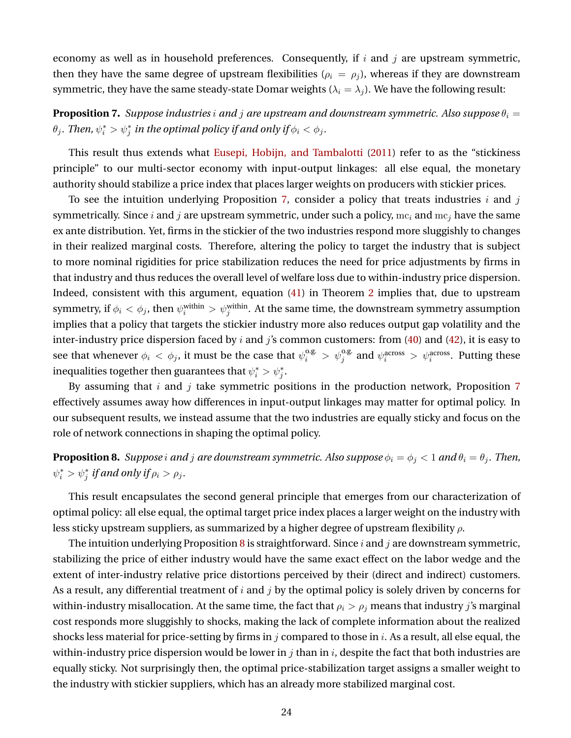economy as well as in household preferences. Consequently, if  $i$  and  $j$  are upstream symmetric, then they have the same degree of upstream flexibilities ( $\rho_i = \rho_j$ ), whereas if they are downstream symmetric, they have the same steady-state Domar weights ( $\lambda_i = \lambda_j$ ). We have the following result:

<span id="page-24-0"></span>**Proposition 7.** *Suppose industries i and j are upstream and downstream symmetric. Also suppose*  $\theta_i =$  $\theta_j$ . Then,  $\psi_i^* > \psi_j^*$  in the optimal policy if and only if  $\phi_i < \phi_j$ .

This result thus extends what [Eusepi, Hobijn, and Tambalotti](#page-41-3) [\(2011\)](#page-41-3) refer to as the "stickiness principle" to our multi-sector economy with input-output linkages: all else equal, the monetary authority should stabilize a price index that places larger weights on producers with stickier prices.

To see the intuition underlying Proposition [7,](#page-24-0) consider a policy that treats industries  $i$  and  $j$ symmetrically. Since i and j are upstream symmetric, under such a policy,  $mc_i$  and  $mc_j$  have the same ex ante distribution. Yet, firms in the stickier of the two industries respond more sluggishly to changes in their realized marginal costs. Therefore, altering the policy to target the industry that is subject to more nominal rigidities for price stabilization reduces the need for price adjustments by firms in that industry and thus reduces the overall level of welfare loss due to within-industry price dispersion. Indeed, consistent with this argument, equation [\(41\)](#page-22-4) in Theorem [2](#page-22-1) implies that, due to upstream symmetry, if  $\phi_i<\phi_j,$  then  $\psi_i^{\rm within}>\psi_j^{\rm within}.$  At the same time, the downstream symmetry assumption implies that a policy that targets the stickier industry more also reduces output gap volatility and the inter-industry price dispersion faced by  $i$  and  $j$ 's common customers: from [\(40\)](#page-22-3) and [\(42\)](#page-22-5), it is easy to see that whenever  $\phi_i < \phi_j$ , it must be the case that  $\psi_i^{o.g.} > \psi_j^{o.g.}$  and  $\psi_i^{across} > \psi_i^{across}$ . Putting these inequalities together then guarantees that  $\psi_i^* > \psi_j^*$ .

By assuming that  $i$  and  $j$  take symmetric positions in the production network, Proposition [7](#page-24-0) effectively assumes away how differences in input-output linkages may matter for optimal policy. In our subsequent results, we instead assume that the two industries are equally sticky and focus on the role of network connections in shaping the optimal policy.

<span id="page-24-1"></span>**Proposition 8.** *Suppose i and j are downstream symmetric. Also suppose*  $\phi_i = \phi_j < 1$  *and*  $\theta_i = \theta_j$ *. Then,*  $\psi_i^* > \psi_j^*$  if and only if  $\rho_i > \rho_j$ .

This result encapsulates the second general principle that emerges from our characterization of optimal policy: all else equal, the optimal target price index places a larger weight on the industry with less sticky upstream suppliers, as summarized by a higher degree of upstream flexibility  $\rho$ .

The intuition underlying Proposition [8](#page-24-1) is straightforward. Since i and j are downstream symmetric, stabilizing the price of either industry would have the same exact effect on the labor wedge and the extent of inter-industry relative price distortions perceived by their (direct and indirect) customers. As a result, any differential treatment of  $i$  and  $j$  by the optimal policy is solely driven by concerns for within-industry misallocation. At the same time, the fact that  $\rho_i > \rho_j$  means that industry j's marginal cost responds more sluggishly to shocks, making the lack of complete information about the realized shocks less material for price-setting by firms in j compared to those in i. As a result, all else equal, the within-industry price dispersion would be lower in  $j$  than in  $i$ , despite the fact that both industries are equally sticky. Not surprisingly then, the optimal price-stabilization target assigns a smaller weight to the industry with stickier suppliers, which has an already more stabilized marginal cost.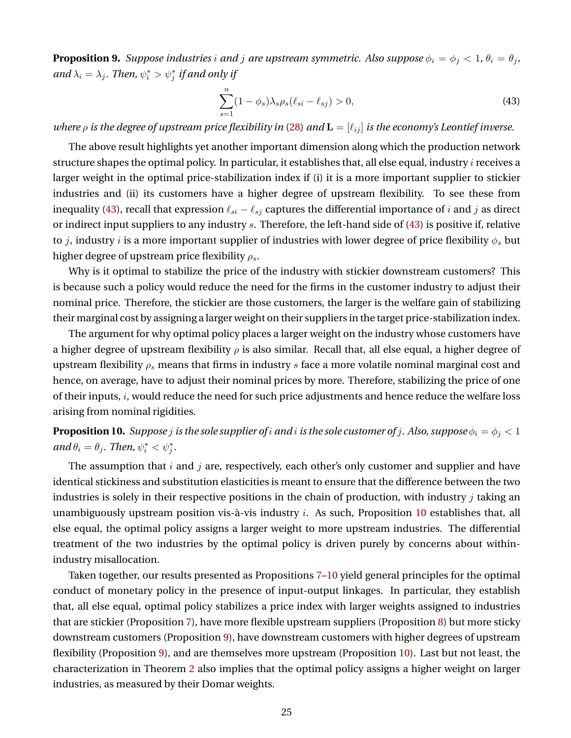<span id="page-25-2"></span>**Proposition 9.** *Suppose industries i and j are upstream symmetric. Also suppose*  $\phi_i = \phi_j < 1$ ,  $\theta_i = \theta_j$ , and  $\lambda_i = \lambda_j$ . Then,  $\psi_i^* > \psi_j^*$  if and only if

<span id="page-25-0"></span>
$$
\sum_{s=1}^{n} (1 - \phi_s) \lambda_s \rho_s (\ell_{si} - \ell_{sj}) > 0,
$$
\n(43)

*where*  $\rho$  *is the degree of upstream price flexibility in* [\(28\)](#page-18-4) *and*  $\mathbf{L} = [\ell_{ij}]$  *is the economy's Leontief inverse.* 

The above result highlights yet another important dimension along which the production network structure shapes the optimal policy. In particular, it establishes that, all else equal, industry  $i$  receives a larger weight in the optimal price-stabilization index if (i) it is a more important supplier to stickier industries and (ii) its customers have a higher degree of upstream flexibility. To see these from inequality [\(43\)](#page-25-0), recall that expression  $\ell_{si} - \ell_{sj}$  captures the differential importance of *i* and *j* as direct or indirect input suppliers to any industry s. Therefore, the left-hand side of [\(43\)](#page-25-0) is positive if, relative to *j*, industry *i* is a more important supplier of industries with lower degree of price flexibility  $\phi_s$  but higher degree of upstream price flexibility  $\rho_s$ .

Why is it optimal to stabilize the price of the industry with stickier downstream customers? This is because such a policy would reduce the need for the firms in the customer industry to adjust their nominal price. Therefore, the stickier are those customers, the larger is the welfare gain of stabilizing their marginal cost by assigning a larger weight on their suppliers in the target price-stabilization index.

The argument for why optimal policy places a larger weight on the industry whose customers have a higher degree of upstream flexibility  $\rho$  is also similar. Recall that, all else equal, a higher degree of upstream flexibility  $\rho_s$  means that firms in industry s face a more volatile nominal marginal cost and hence, on average, have to adjust their nominal prices by more. Therefore, stabilizing the price of one of their inputs, i, would reduce the need for such price adjustments and hence reduce the welfare loss arising from nominal rigidities.

<span id="page-25-1"></span>**Proposition 10.** *Suppose j is the sole supplier of i and i is the sole customer of j. Also, suppose*  $\phi_i = \phi_j < 1$  $and \theta_i = \theta_j$ *. Then,*  $\psi_i^* < \psi_j^*$ *.* 

The assumption that  $i$  and  $j$  are, respectively, each other's only customer and supplier and have identical stickiness and substitution elasticities is meant to ensure that the difference between the two industries is solely in their respective positions in the chain of production, with industry  $j$  taking an unambiguously upstream position vis-à-vis industry  $i$ . As such, Proposition [10](#page-25-1) establishes that, all else equal, the optimal policy assigns a larger weight to more upstream industries. The differential treatment of the two industries by the optimal policy is driven purely by concerns about withinindustry misallocation.

Taken together, our results presented as Propositions [7–](#page-24-0)[10](#page-25-1) yield general principles for the optimal conduct of monetary policy in the presence of input-output linkages. In particular, they establish that, all else equal, optimal policy stabilizes a price index with larger weights assigned to industries that are stickier (Proposition [7\)](#page-24-0), have more flexible upstream suppliers (Proposition [8\)](#page-24-1) but more sticky downstream customers (Proposition [9\)](#page-25-2), have downstream customers with higher degrees of upstream flexibility (Proposition [9\)](#page-25-2), and are themselves more upstream (Proposition [10\)](#page-25-1). Last but not least, the characterization in Theorem [2](#page-22-1) also implies that the optimal policy assigns a higher weight on larger industries, as measured by their Domar weights.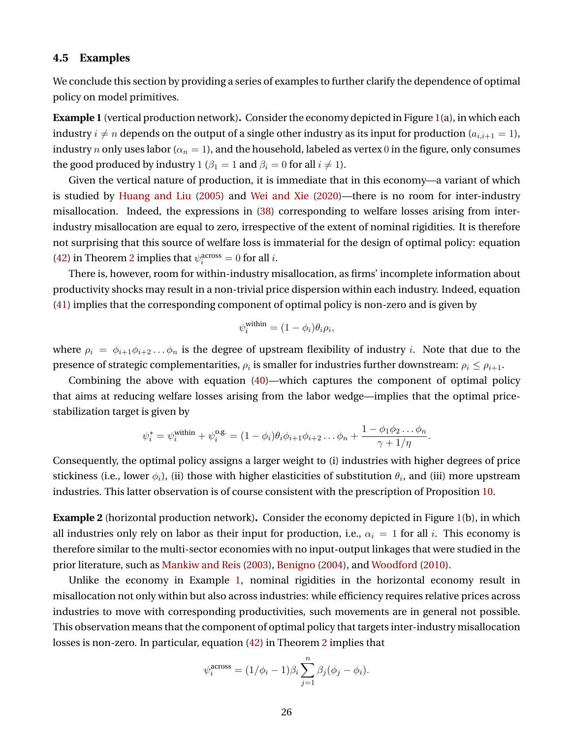### **4.5 Examples**

We conclude this section by providing a series of examples to further clarify the dependence of optimal policy on model primitives.

<span id="page-26-0"></span>**Example 1** (vertical production network)**.** Consider the economy depicted in Figure [1\(](#page-27-0)a), in which each industry  $i \neq n$  depends on the output of a single other industry as its input for production  $(a_{i,i+1} = 1)$ , industry n only uses labor ( $\alpha_n = 1$ ), and the household, labeled as vertex 0 in the figure, only consumes the good produced by industry 1 ( $\beta_1 = 1$  and  $\beta_i = 0$  for all  $i \neq 1$ ).

Given the vertical nature of production, it is immediate that in this economy—a variant of which is studied by [Huang and Liu](#page-41-7) [\(2005\)](#page-41-7) and [Wei and Xie](#page-42-5) [\(2020\)](#page-42-5)—there is no room for inter-industry misallocation. Indeed, the expressions in [\(38\)](#page-21-2) corresponding to welfare losses arising from interindustry misallocation are equal to zero, irrespective of the extent of nominal rigidities. It is therefore not surprising that this source of welfare loss is immaterial for the design of optimal policy: equation [\(42\)](#page-22-5) in Theorem [2](#page-22-1) implies that  $\psi_i^{\text{across}} = 0$  for all *i*.

There is, however, room for within-industry misallocation, as firms' incomplete information about productivity shocks may result in a non-trivial price dispersion within each industry. Indeed, equation [\(41\)](#page-22-4) implies that the corresponding component of optimal policy is non-zero and is given by

$$
\psi_i^{\text{within}} = (1 - \phi_i)\theta_i\rho_i,
$$

where  $\rho_i = \phi_{i+1}\phi_{i+2}\dots\phi_n$  is the degree of upstream flexibility of industry i. Note that due to the presence of strategic complementarities,  $\rho_i$  is smaller for industries further downstream:  $\rho_i \leq \rho_{i+1}.$ 

Combining the above with equation [\(40\)](#page-22-3)—which captures the component of optimal policy that aims at reducing welfare losses arising from the labor wedge—implies that the optimal pricestabilization target is given by

$$
\psi_i^* = \psi_i^{\text{within}} + \psi_i^{\text{o.g.}} = (1 - \phi_i)\theta_i\phi_{i+1}\phi_{i+2}\dots\phi_n + \frac{1 - \phi_1\phi_2\dots\phi_n}{\gamma + 1/\eta}.
$$

Consequently, the optimal policy assigns a larger weight to (i) industries with higher degrees of price stickiness (i.e., lower  $\phi_i$ ), (ii) those with higher elasticities of substitution  $\theta_i$ , and (iii) more upstream industries. This latter observation is of course consistent with the prescription of Proposition [10.](#page-25-1)

<span id="page-26-1"></span>**Example 2** (horizontal production network)**.** Consider the economy depicted in Figure [1\(](#page-27-0)b), in which all industries only rely on labor as their input for production, i.e.,  $\alpha_i = 1$  for all i. This economy is therefore similar to the multi-sector economies with no input-output linkages that were studied in the prior literature, such as [Mankiw and Reis](#page-42-6) [\(2003\)](#page-42-6), [Benigno](#page-39-6) [\(2004\)](#page-39-6), and [Woodford](#page-43-1) [\(2010\)](#page-43-1).

Unlike the economy in Example [1,](#page-26-0) nominal rigidities in the horizontal economy result in misallocation not only within but also across industries: while efficiency requires relative prices across industries to move with corresponding productivities, such movements are in general not possible. This observation means that the component of optimal policy that targets inter-industry misallocation losses is non-zero. In particular, equation [\(42\)](#page-22-5) in Theorem [2](#page-22-1) implies that

$$
\psi_i^{\text{across}} = (1/\phi_i - 1)\beta_i \sum_{j=1}^n \beta_j (\phi_j - \phi_i).
$$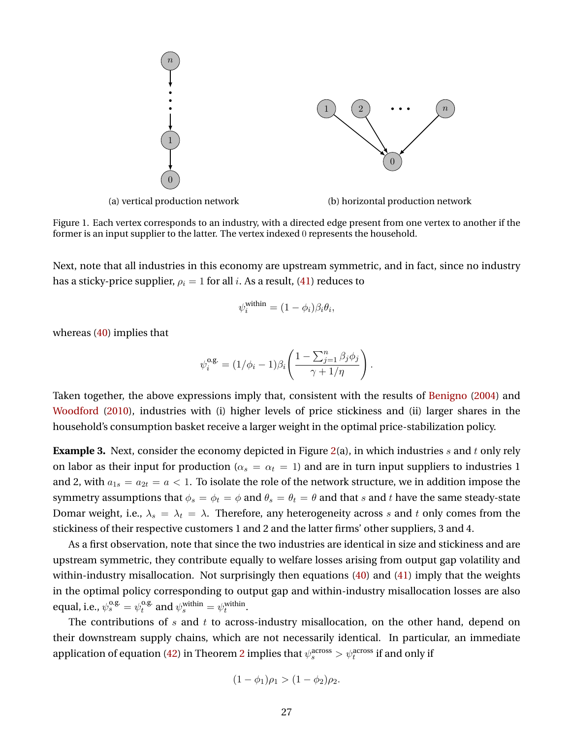<span id="page-27-0"></span>

Figure 1. Each vertex corresponds to an industry, with a directed edge present from one vertex to another if the former is an input supplier to the latter. The vertex indexed 0 represents the household.

Next, note that all industries in this economy are upstream symmetric, and in fact, since no industry has a sticky-price supplier,  $\rho_i = 1$  for all i. As a result, [\(41\)](#page-22-4) reduces to

$$
\psi_i^{\text{within}} = (1 - \phi_i)\beta_i\theta_i,
$$

whereas [\(40\)](#page-22-3) implies that

$$
\psi_i^{\text{o.g.}} = (1/\phi_i - 1)\beta_i \left( \frac{1 - \sum_{j=1}^n \beta_j \phi_j}{\gamma + 1/\eta} \right).
$$

Taken together, the above expressions imply that, consistent with the results of [Benigno](#page-39-6) [\(2004\)](#page-39-6) and [Woodford](#page-43-1) [\(2010\)](#page-43-1), industries with (i) higher levels of price stickiness and (ii) larger shares in the household's consumption basket receive a larger weight in the optimal price-stabilization policy.

**Example 3.** Next, consider the economy depicted in Figure [2\(](#page-28-1)a), in which industries s and t only rely on labor as their input for production ( $\alpha_s = \alpha_t = 1$ ) and are in turn input suppliers to industries 1 and 2, with  $a_{1s} = a_{2t} = a < 1$ . To isolate the role of the network structure, we in addition impose the symmetry assumptions that  $\phi_s = \phi_t = \phi$  and  $\theta_s = \theta_t = \theta$  and that s and t have the same steady-state Domar weight, i.e.,  $\lambda_s = \lambda_t = \lambda$ . Therefore, any heterogeneity across s and t only comes from the stickiness of their respective customers 1 and 2 and the latter firms' other suppliers, 3 and 4.

As a first observation, note that since the two industries are identical in size and stickiness and are upstream symmetric, they contribute equally to welfare losses arising from output gap volatility and within-industry misallocation. Not surprisingly then equations [\(40\)](#page-22-3) and [\(41\)](#page-22-4) imply that the weights in the optimal policy corresponding to output gap and within-industry misallocation losses are also equal, i.e.,  $\psi_s^{\text{o.g.}} = \psi_t^{\text{o.g.}}$ <sup>o.g.</sup> and  $\psi_s^{\text{within}} = \psi_t^{\text{within}}$ .

The contributions of s and t to across-industry misallocation, on the other hand, depend on their downstream supply chains, which are not necessarily identical. In particular, an immediate application of equation [\(42\)](#page-22-5) in Theorem [2](#page-22-1) implies that  $\psi_s^{\rm across}>\psi_t^{\rm across}$  if and only if

$$
(1 - \phi_1)\rho_1 > (1 - \phi_2)\rho_2.
$$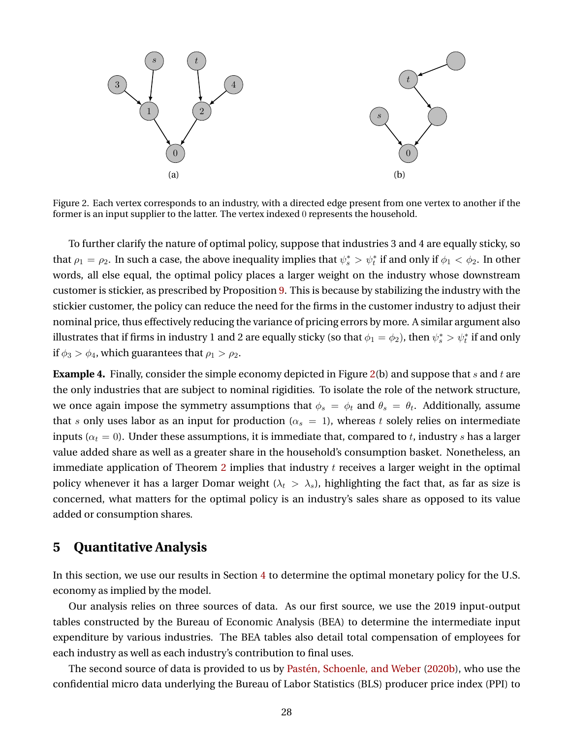<span id="page-28-1"></span>

Figure 2. Each vertex corresponds to an industry, with a directed edge present from one vertex to another if the former is an input supplier to the latter. The vertex indexed 0 represents the household.

To further clarify the nature of optimal policy, suppose that industries 3 and 4 are equally sticky, so that  $\rho_1 = \rho_2$ . In such a case, the above inequality implies that  $\psi_s^* > \psi_t^*$  if and only if  $\phi_1 < \phi_2$ . In other words, all else equal, the optimal policy places a larger weight on the industry whose downstream customer is stickier, as prescribed by Proposition [9.](#page-25-2) This is because by stabilizing the industry with the stickier customer, the policy can reduce the need for the firms in the customer industry to adjust their nominal price, thus effectively reducing the variance of pricing errors by more. A similar argument also illustrates that if firms in industry 1 and 2 are equally sticky (so that  $\phi_1=\phi_2$ ), then  $\psi_s^*> \psi_t^*$  if and only if  $\phi_3 > \phi_4$ , which guarantees that  $\rho_1 > \rho_2$ .

**Example 4.** Finally, consider the simple economy depicted in Figure [2\(](#page-28-1)b) and suppose that s and t are the only industries that are subject to nominal rigidities. To isolate the role of the network structure, we once again impose the symmetry assumptions that  $\phi_s\,=\,\phi_t$  and  $\theta_s\,=\,\theta_t.$  Additionally, assume that s only uses labor as an input for production ( $\alpha_s = 1$ ), whereas t solely relies on intermediate inputs ( $\alpha_t = 0$ ). Under these assumptions, it is immediate that, compared to t, industry s has a larger value added share as well as a greater share in the household's consumption basket. Nonetheless, an immediate application of Theorem [2](#page-22-1) implies that industry  $t$  receives a larger weight in the optimal policy whenever it has a larger Domar weight ( $\lambda_t > \lambda_s$ ), highlighting the fact that, as far as size is concerned, what matters for the optimal policy is an industry's sales share as opposed to its value added or consumption shares.

## <span id="page-28-0"></span>**5 Quantitative Analysis**

In this section, we use our results in Section [4](#page-16-0) to determine the optimal monetary policy for the U.S. economy as implied by the model.

Our analysis relies on three sources of data. As our first source, we use the 2019 input-output tables constructed by the Bureau of Economic Analysis (BEA) to determine the intermediate input expenditure by various industries. The BEA tables also detail total compensation of employees for each industry as well as each industry's contribution to final uses.

The second source of data is provided to us by Pastén, Schoenle, and Weber [\(2020b\)](#page-42-3), who use the confidential micro data underlying the Bureau of Labor Statistics (BLS) producer price index (PPI) to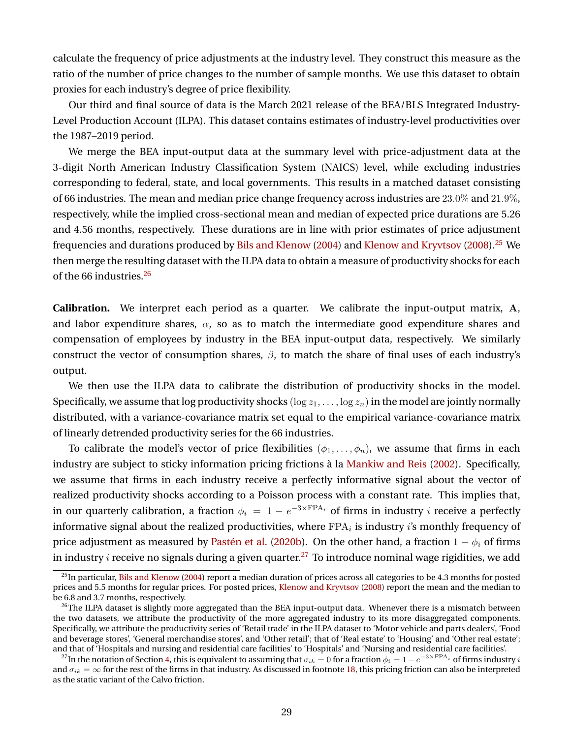calculate the frequency of price adjustments at the industry level. They construct this measure as the ratio of the number of price changes to the number of sample months. We use this dataset to obtain proxies for each industry's degree of price flexibility.

Our third and final source of data is the March 2021 release of the BEA/BLS Integrated Industry-Level Production Account (ILPA). This dataset contains estimates of industry-level productivities over the 1987–2019 period.

We merge the BEA input-output data at the summary level with price-adjustment data at the 3-digit North American Industry Classification System (NAICS) level, while excluding industries corresponding to federal, state, and local governments. This results in a matched dataset consisting of 66 industries. The mean and median price change frequency across industries are 23.0% and 21.9%, respectively, while the implied cross-sectional mean and median of expected price durations are 5.26 and 4.56 months, respectively. These durations are in line with prior estimates of price adjustment frequencies and durations produced by [Bils and Klenow](#page-39-13) [\(2004\)](#page-39-13) and [Klenow and Kryvtsov](#page-42-12) [\(2008\)](#page-42-12).<sup>[25](#page-29-0)</sup> We then merge the resulting dataset with the ILPA data to obtain a measure of productivity shocks for each of the 66 industries.[26](#page-29-1)

**Calibration.** We interpret each period as a quarter. We calibrate the input-output matrix, A, and labor expenditure shares,  $\alpha$ , so as to match the intermediate good expenditure shares and compensation of employees by industry in the BEA input-output data, respectively. We similarly construct the vector of consumption shares,  $\beta$ , to match the share of final uses of each industry's output.

We then use the ILPA data to calibrate the distribution of productivity shocks in the model. Specifically, we assume that log productivity shocks ( $\log z_1, \ldots, \log z_n$ ) in the model are jointly normally distributed, with a variance-covariance matrix set equal to the empirical variance-covariance matrix of linearly detrended productivity series for the 66 industries.

To calibrate the model's vector of price flexibilities  $(\phi_1, \ldots, \phi_n)$ , we assume that firms in each industry are subject to sticky information pricing frictions à la [Mankiw and Reis](#page-42-8) [\(2002\)](#page-42-8). Specifically, we assume that firms in each industry receive a perfectly informative signal about the vector of realized productivity shocks according to a Poisson process with a constant rate. This implies that, in our quarterly calibration, a fraction  $\phi_i \ = \ 1 - e^{-3 \times \mathrm{FPA}_i}$  of firms in industry  $i$  receive a perfectly informative signal about the realized productivities, where  $\text{FPA}_i$  is industry  $i$ 's monthly frequency of price adjustment as measured by Pastén et al. [\(2020b\)](#page-42-3). On the other hand, a fraction  $1 - \phi_i$  of firms in industry *i* receive no signals during a given quarter.<sup>[27](#page-29-2)</sup> To introduce nominal wage rigidities, we add

<span id="page-29-0"></span> $^{25}$ In particular, [Bils and Klenow](#page-39-13) [\(2004\)](#page-39-13) report a median duration of prices across all categories to be 4.3 months for posted prices and 5.5 months for regular prices. For posted prices, [Klenow and Kryvtsov](#page-42-12) [\(2008\)](#page-42-12) report the mean and the median to be 6.8 and 3.7 months, respectively.

<span id="page-29-1"></span><sup>&</sup>lt;sup>26</sup>The ILPA dataset is slightly more aggregated than the BEA input-output data. Whenever there is a mismatch between the two datasets, we attribute the productivity of the more aggregated industry to its more disaggregated components. Specifically, we attribute the productivity series of 'Retail trade' in the ILPA dataset to 'Motor vehicle and parts dealers', 'Food and beverage stores', 'General merchandise stores', and 'Other retail'; that of 'Real estate' to 'Housing' and 'Other real estate'; and that of 'Hospitals and nursing and residential care facilities' to 'Hospitals' and 'Nursing and residential care facilities'.

<span id="page-29-2"></span> $^{27}$ In the notation of Section [4,](#page-16-0) this is equivalent to assuming that  $\sigma_{ik}=0$  for a fraction  $\phi_i=1-e^{-3\times\mathrm{FPA}_i}$  of firms industry  $i$ and  $\sigma_{ik} = \infty$  for the rest of the firms in that industry. As discussed in footnote [18,](#page-17-2) this pricing friction can also be interpreted as the static variant of the Calvo friction.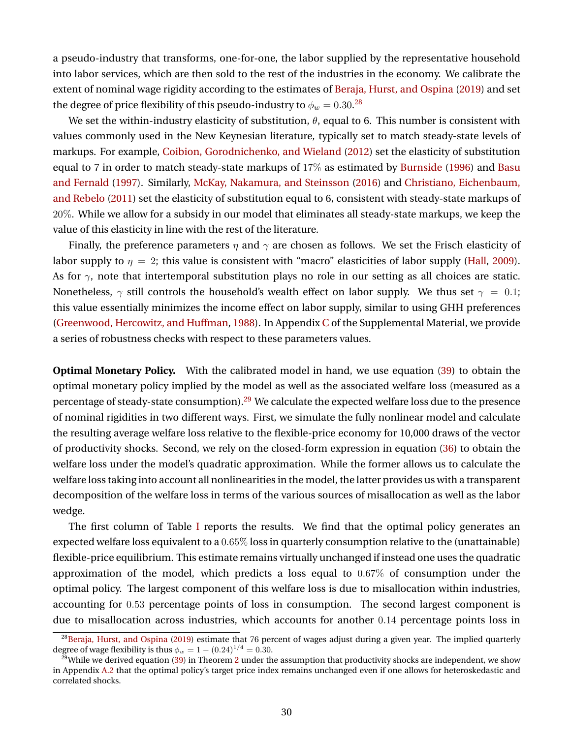a pseudo-industry that transforms, one-for-one, the labor supplied by the representative household into labor services, which are then sold to the rest of the industries in the economy. We calibrate the extent of nominal wage rigidity according to the estimates of [Beraja, Hurst, and Ospina](#page-39-14) [\(2019\)](#page-39-14) and set the degree of price flexibility of this pseudo-industry to  $\phi_w=0.30.^{28}$  $\phi_w=0.30.^{28}$  $\phi_w=0.30.^{28}$ 

We set the within-industry elasticity of substitution,  $\theta$ , equal to 6. This number is consistent with values commonly used in the New Keynesian literature, typically set to match steady-state levels of markups. For example, [Coibion, Gorodnichenko, and Wieland](#page-40-10) [\(2012\)](#page-40-10) set the elasticity of substitution equal to 7 in order to match steady-state markups of 17% as estimated by [Burnside](#page-40-11) [\(1996\)](#page-40-11) and [Basu](#page-39-15) [and Fernald](#page-39-15) [\(1997\)](#page-39-15). Similarly, [McKay, Nakamura, and Steinsson](#page-42-13) [\(2016\)](#page-42-13) and [Christiano, Eichenbaum,](#page-40-12) [and Rebelo](#page-40-12) [\(2011\)](#page-40-12) set the elasticity of substitution equal to 6, consistent with steady-state markups of 20%. While we allow for a subsidy in our model that eliminates all steady-state markups, we keep the value of this elasticity in line with the rest of the literature.

Finally, the preference parameters  $\eta$  and  $\gamma$  are chosen as follows. We set the Frisch elasticity of labor supply to  $\eta = 2$ ; this value is consistent with "macro" elasticities of labor supply [\(Hall,](#page-41-11) [2009\)](#page-41-11). As for  $\gamma$ , note that intertemporal substitution plays no role in our setting as all choices are static. Nonetheless,  $\gamma$  still controls the household's wealth effect on labor supply. We thus set  $\gamma = 0.1$ ; this value essentially minimizes the income effect on labor supply, similar to using GHH preferences [\(Greenwood, Hercowitz, and Huffman,](#page-41-12) [1988\)](#page-41-12). In Appendix [C](#page-0-0) of the Supplemental Material, we provide a series of robustness checks with respect to these parameters values.

**Optimal Monetary Policy.** With the calibrated model in hand, we use equation [\(39\)](#page-22-2) to obtain the optimal monetary policy implied by the model as well as the associated welfare loss (measured as a percentage of steady-state consumption).<sup>[29](#page-30-1)</sup> We calculate the expected welfare loss due to the presence of nominal rigidities in two different ways. First, we simulate the fully nonlinear model and calculate the resulting average welfare loss relative to the flexible-price economy for 10,000 draws of the vector of productivity shocks. Second, we rely on the closed-form expression in equation [\(36\)](#page-20-3) to obtain the welfare loss under the model's quadratic approximation. While the former allows us to calculate the welfare loss taking into account all nonlinearities in the model, the latter provides us with a transparent decomposition of the welfare loss in terms of the various sources of misallocation as well as the labor wedge.

The first column of Table [I](#page-31-0) reports the results. We find that the optimal policy generates an expected welfare loss equivalent to a 0.65% loss in quarterly consumption relative to the (unattainable) flexible-price equilibrium. This estimate remains virtually unchanged if instead one uses the quadratic approximation of the model, which predicts a loss equal to 0.67% of consumption under the optimal policy. The largest component of this welfare loss is due to misallocation within industries, accounting for 0.53 percentage points of loss in consumption. The second largest component is due to misallocation across industries, which accounts for another 0.14 percentage points loss in

<span id="page-30-0"></span> $^{28}$ [Beraja, Hurst, and Ospina](#page-39-14) [\(2019\)](#page-39-14) estimate that 76 percent of wages adjust during a given year. The implied quarterly degree of wage flexibility is thus  $\phi_w = 1 - (0.24)^{1/4} = 0.30$ .

<span id="page-30-1"></span><sup>&</sup>lt;sup>29</sup>While we derived equation [\(39\)](#page-22-2) in Theorem [2](#page-22-1) under the assumption that productivity shocks are independent, we show in Appendix [A.2](#page-37-0) that the optimal policy's target price index remains unchanged even if one allows for heteroskedastic and correlated shocks.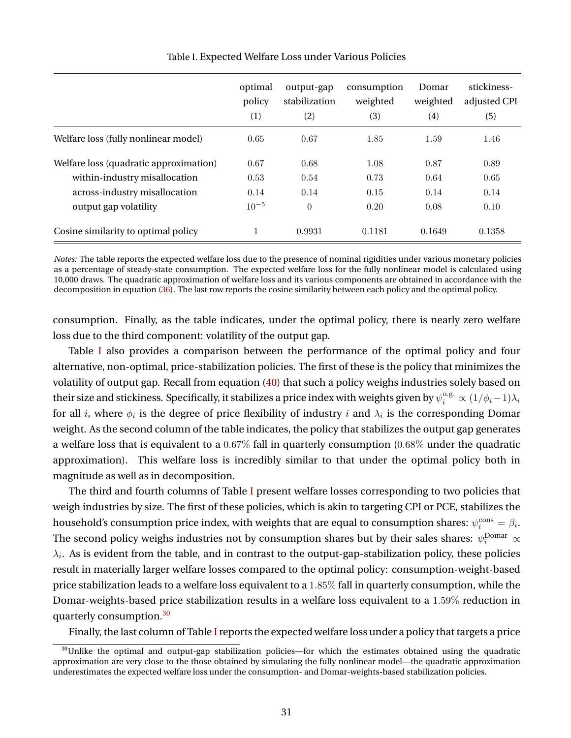<span id="page-31-0"></span>

|                                        | optimal<br>policy<br>$\scriptstyle{(1)}$ | output-gap<br>stabilization<br>(2) | consumption<br>weighted<br>(3) | Domar<br>weighted<br>(4) | stickiness-<br>adjusted CPI<br>(5) |
|----------------------------------------|------------------------------------------|------------------------------------|--------------------------------|--------------------------|------------------------------------|
| Welfare loss (fully nonlinear model)   | 0.65                                     | 0.67                               | 1.85                           | 1.59                     | 1.46                               |
| Welfare loss (quadratic approximation) | 0.67                                     | 0.68                               | 1.08                           | 0.87                     | 0.89                               |
| within-industry misallocation          | 0.53                                     | 0.54                               | 0.73                           | 0.64                     | 0.65                               |
| across-industry misallocation          | 0.14                                     | 0.14                               | 0.15                           | 0.14                     | 0.14                               |
| output gap volatility                  | $10^{-5}$                                | $\theta$                           | 0.20                           | 0.08                     | 0.10                               |
| Cosine similarity to optimal policy    | 1                                        | 0.9931                             | 0.1181                         | 0.1649                   | 0.1358                             |

Table I. Expected Welfare Loss under Various Policies

*Notes:* The table reports the expected welfare loss due to the presence of nominal rigidities under various monetary policies as a percentage of steady-state consumption. The expected welfare loss for the fully nonlinear model is calculated using 10,000 draws. The quadratic approximation of welfare loss and its various components are obtained in accordance with the decomposition in equation [\(36\)](#page-20-3). The last row reports the cosine similarity between each policy and the optimal policy.

consumption. Finally, as the table indicates, under the optimal policy, there is nearly zero welfare loss due to the third component: volatility of the output gap.

Table [I](#page-31-0) also provides a comparison between the performance of the optimal policy and four alternative, non-optimal, price-stabilization policies. The first of these is the policy that minimizes the volatility of output gap. Recall from equation [\(40\)](#page-22-3) that such a policy weighs industries solely based on their size and stickiness. Specifically, it stabilizes a price index with weights given by  $\psi_i^{o.g.}\propto (1/\phi_i-1)\lambda_i$ for all  $i$ , where  $\phi_i$  is the degree of price flexibility of industry  $i$  and  $\lambda_i$  is the corresponding Domar weight. As the second column of the table indicates, the policy that stabilizes the output gap generates a welfare loss that is equivalent to a 0.67% fall in quarterly consumption (0.68% under the quadratic approximation). This welfare loss is incredibly similar to that under the optimal policy both in magnitude as well as in decomposition.

The third and fourth columns of Table [I](#page-31-0) present welfare losses corresponding to two policies that weigh industries by size. The first of these policies, which is akin to targeting CPI or PCE, stabilizes the household's consumption price index, with weights that are equal to consumption shares:  $\psi_i^{\text{cons}} = \beta_i$ . The second policy weighs industries not by consumption shares but by their sales shares:  $\psi_i^\text{Domar} \propto$  $\lambda_i.$  As is evident from the table, and in contrast to the output-gap-stabilization policy, these policies result in materially larger welfare losses compared to the optimal policy: consumption-weight-based price stabilization leads to a welfare loss equivalent to a 1.85% fall in quarterly consumption, while the Domar-weights-based price stabilization results in a welfare loss equivalent to a 1.59% reduction in quarterly consumption.[30](#page-31-1)

Finally, the last column of Table [I](#page-31-0) reports the expected welfare loss under a policy that targets a price

<span id="page-31-1"></span><sup>&</sup>lt;sup>30</sup>Unlike the optimal and output-gap stabilization policies—for which the estimates obtained using the quadratic approximation are very close to the those obtained by simulating the fully nonlinear model—the quadratic approximation underestimates the expected welfare loss under the consumption- and Domar-weights-based stabilization policies.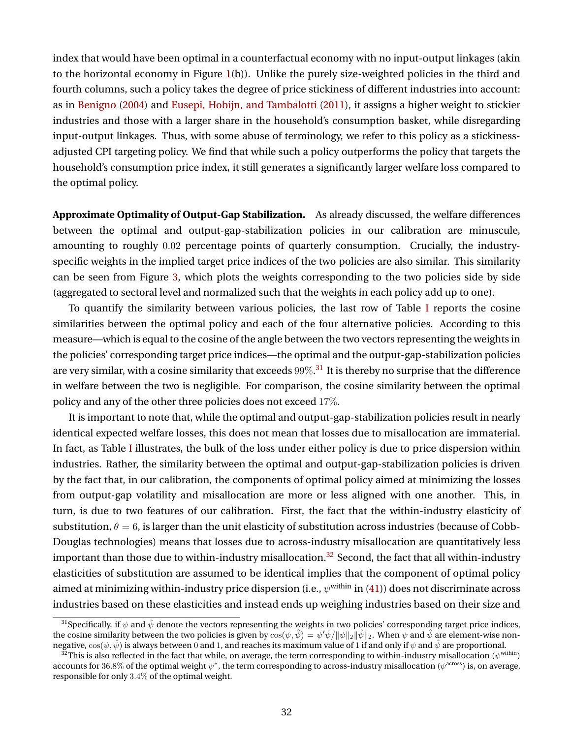index that would have been optimal in a counterfactual economy with no input-output linkages (akin to the horizontal economy in Figure [1\(](#page-27-0)b)). Unlike the purely size-weighted policies in the third and fourth columns, such a policy takes the degree of price stickiness of different industries into account: as in [Benigno](#page-39-6) [\(2004\)](#page-39-6) and [Eusepi, Hobijn, and Tambalotti](#page-41-3) [\(2011\)](#page-41-3), it assigns a higher weight to stickier industries and those with a larger share in the household's consumption basket, while disregarding input-output linkages. Thus, with some abuse of terminology, we refer to this policy as a stickinessadjusted CPI targeting policy. We find that while such a policy outperforms the policy that targets the household's consumption price index, it still generates a significantly larger welfare loss compared to the optimal policy.

**Approximate Optimality of Output-Gap Stabilization.** As already discussed, the welfare differences between the optimal and output-gap-stabilization policies in our calibration are minuscule, amounting to roughly 0.02 percentage points of quarterly consumption. Crucially, the industryspecific weights in the implied target price indices of the two policies are also similar. This similarity can be seen from Figure [3,](#page-33-0) which plots the weights corresponding to the two policies side by side (aggregated to sectoral level and normalized such that the weights in each policy add up to one).

To quantify the similarity between various policies, the last row of Table [I](#page-31-0) reports the cosine similarities between the optimal policy and each of the four alternative policies. According to this measure—which is equal to the cosine of the angle between the two vectors representing the weights in the policies' corresponding target price indices—the optimal and the output-gap-stabilization policies are very similar, with a cosine similarity that exceeds  $99\%.^{31}$  $99\%.^{31}$  $99\%.^{31}$  It is thereby no surprise that the difference in welfare between the two is negligible. For comparison, the cosine similarity between the optimal policy and any of the other three policies does not exceed 17%.

It is important to note that, while the optimal and output-gap-stabilization policies result in nearly identical expected welfare losses, this does not mean that losses due to misallocation are immaterial. In fact, as Table [I](#page-31-0) illustrates, the bulk of the loss under either policy is due to price dispersion within industries. Rather, the similarity between the optimal and output-gap-stabilization policies is driven by the fact that, in our calibration, the components of optimal policy aimed at minimizing the losses from output-gap volatility and misallocation are more or less aligned with one another. This, in turn, is due to two features of our calibration. First, the fact that the within-industry elasticity of substitution,  $\theta = 6$ , is larger than the unit elasticity of substitution across industries (because of Cobb-Douglas technologies) means that losses due to across-industry misallocation are quantitatively less important than those due to within-industry misallocation.<sup>[32](#page-32-1)</sup> Second, the fact that all within-industry elasticities of substitution are assumed to be identical implies that the component of optimal policy aimed at minimizing within-industry price dispersion (i.e.,  $\psi^{\rm within}$  in [\(41\)](#page-22-4)) does not discriminate across industries based on these elasticities and instead ends up weighing industries based on their size and

<span id="page-32-0"></span><sup>&</sup>lt;sup>31</sup>Specifically, if  $\psi$  and  $\hat{\psi}$  denote the vectors representing the weights in two policies' corresponding target price indices, the cosine similarity between the two policies is given by  $\cos(\psi, \hat{\psi}) = \psi' \hat{\psi}/\|\psi\|_2 \|\hat{\psi}\|_2$ . When  $\psi$  and  $\hat{\psi}$  are element-wise nonnegative,  $\cos(\psi, \hat{\psi})$  is always between 0 and 1, and reaches its maximum value of 1 if and only if  $\psi$  and  $\hat{\psi}$  are proportional.

<span id="page-32-1"></span> $^{32}$ This is also reflected in the fact that while, on average, the term corresponding to within-industry misallocation ( $\psi^{\rm within}$ ) accounts for 36.8% of the optimal weight  $\psi^*$ , the term corresponding to across-industry misallocation ( $\psi^{\rm across}$ ) is, on average, responsible for only 3.4% of the optimal weight.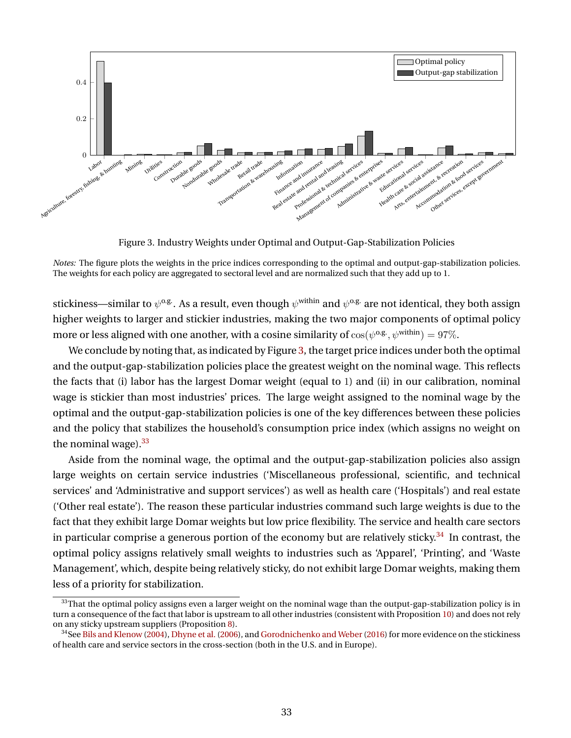<span id="page-33-0"></span>

Figure 3. Industry Weights under Optimal and Output-Gap-Stabilization Policies

*Notes:* The figure plots the weights in the price indices corresponding to the optimal and output-gap-stabilization policies. The weights for each policy are aggregated to sectoral level and are normalized such that they add up to 1.

stickiness—similar to  $\psi^{o.g.}$  . As a result, even though  $\psi^{\rm within}$  and  $\psi^{o.g.}$  are not identical, they both assign higher weights to larger and stickier industries, making the two major components of optimal policy more or less aligned with one another, with a cosine similarity of  $\cos(\psi^{\text{o.g.}}, \psi^{\text{within}}) = 97\%.$ 

We conclude by noting that, as indicated by Figure [3,](#page-33-0) the target price indices under both the optimal and the output-gap-stabilization policies place the greatest weight on the nominal wage. This reflects the facts that (i) labor has the largest Domar weight (equal to 1) and (ii) in our calibration, nominal wage is stickier than most industries' prices. The large weight assigned to the nominal wage by the optimal and the output-gap-stabilization policies is one of the key differences between these policies and the policy that stabilizes the household's consumption price index (which assigns no weight on the nominal wage). $33$ 

Aside from the nominal wage, the optimal and the output-gap-stabilization policies also assign large weights on certain service industries ('Miscellaneous professional, scientific, and technical services' and 'Administrative and support services') as well as health care ('Hospitals') and real estate ('Other real estate'). The reason these particular industries command such large weights is due to the fact that they exhibit large Domar weights but low price flexibility. The service and health care sectors in particular comprise a generous portion of the economy but are relatively sticky. $34$  In contrast, the optimal policy assigns relatively small weights to industries such as 'Apparel', 'Printing', and 'Waste Management', which, despite being relatively sticky, do not exhibit large Domar weights, making them less of a priority for stabilization.

<span id="page-33-1"></span><sup>&</sup>lt;sup>33</sup>That the optimal policy assigns even a larger weight on the nominal wage than the output-gap-stabilization policy is in turn a consequence of the fact that labor is upstream to all other industries (consistent with Proposition [10\)](#page-25-1) and does not rely on any sticky upstream suppliers (Proposition [8\)](#page-24-1).

<span id="page-33-2"></span> $34$ See [Bils and Klenow](#page-39-13) [\(2004\)](#page-39-13), [Dhyne et al.](#page-40-13) [\(2006\)](#page-40-13), and Gorodnichenko and Weber (2016) for more evidence on the stickiness of health care and service sectors in the cross-section (both in the U.S. and in Europe).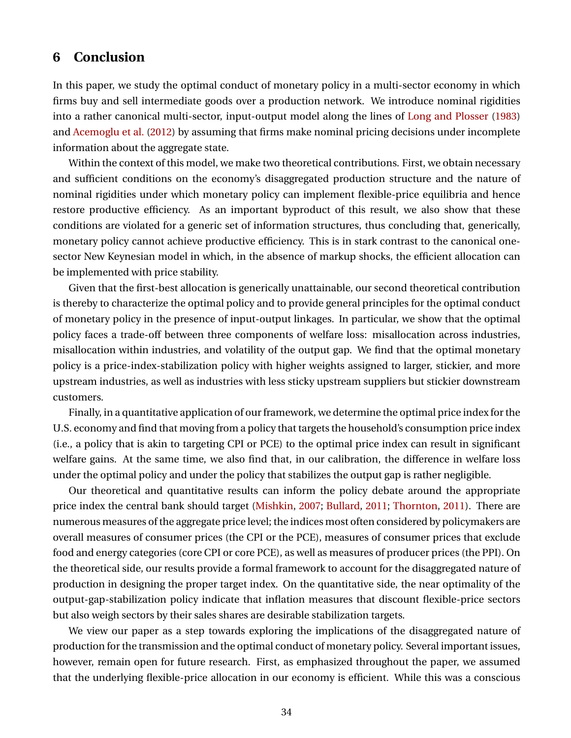## **6 Conclusion**

In this paper, we study the optimal conduct of monetary policy in a multi-sector economy in which firms buy and sell intermediate goods over a production network. We introduce nominal rigidities into a rather canonical multi-sector, input-output model along the lines of [Long and Plosser](#page-42-0) [\(1983\)](#page-42-0) and [Acemoglu et al.](#page-39-0) [\(2012\)](#page-39-0) by assuming that firms make nominal pricing decisions under incomplete information about the aggregate state.

Within the context of this model, we make two theoretical contributions. First, we obtain necessary and sufficient conditions on the economy's disaggregated production structure and the nature of nominal rigidities under which monetary policy can implement flexible-price equilibria and hence restore productive efficiency. As an important byproduct of this result, we also show that these conditions are violated for a generic set of information structures, thus concluding that, generically, monetary policy cannot achieve productive efficiency. This is in stark contrast to the canonical onesector New Keynesian model in which, in the absence of markup shocks, the efficient allocation can be implemented with price stability.

Given that the first-best allocation is generically unattainable, our second theoretical contribution is thereby to characterize the optimal policy and to provide general principles for the optimal conduct of monetary policy in the presence of input-output linkages. In particular, we show that the optimal policy faces a trade-off between three components of welfare loss: misallocation across industries, misallocation within industries, and volatility of the output gap. We find that the optimal monetary policy is a price-index-stabilization policy with higher weights assigned to larger, stickier, and more upstream industries, as well as industries with less sticky upstream suppliers but stickier downstream customers.

Finally, in a quantitative application of our framework, we determine the optimal price index for the U.S. economy and find that moving from a policy that targets the household's consumption price index (i.e., a policy that is akin to targeting CPI or PCE) to the optimal price index can result in significant welfare gains. At the same time, we also find that, in our calibration, the difference in welfare loss under the optimal policy and under the policy that stabilizes the output gap is rather negligible.

Our theoretical and quantitative results can inform the policy debate around the appropriate price index the central bank should target [\(Mishkin,](#page-42-14) [2007;](#page-42-14) [Bullard,](#page-39-16) [2011;](#page-39-16) [Thornton,](#page-42-15) [2011\)](#page-42-15). There are numerous measures of the aggregate price level; the indices most often considered by policymakers are overall measures of consumer prices (the CPI or the PCE), measures of consumer prices that exclude food and energy categories (core CPI or core PCE), as well as measures of producer prices (the PPI). On the theoretical side, our results provide a formal framework to account for the disaggregated nature of production in designing the proper target index. On the quantitative side, the near optimality of the output-gap-stabilization policy indicate that inflation measures that discount flexible-price sectors but also weigh sectors by their sales shares are desirable stabilization targets.

We view our paper as a step towards exploring the implications of the disaggregated nature of production for the transmission and the optimal conduct of monetary policy. Several important issues, however, remain open for future research. First, as emphasized throughout the paper, we assumed that the underlying flexible-price allocation in our economy is efficient. While this was a conscious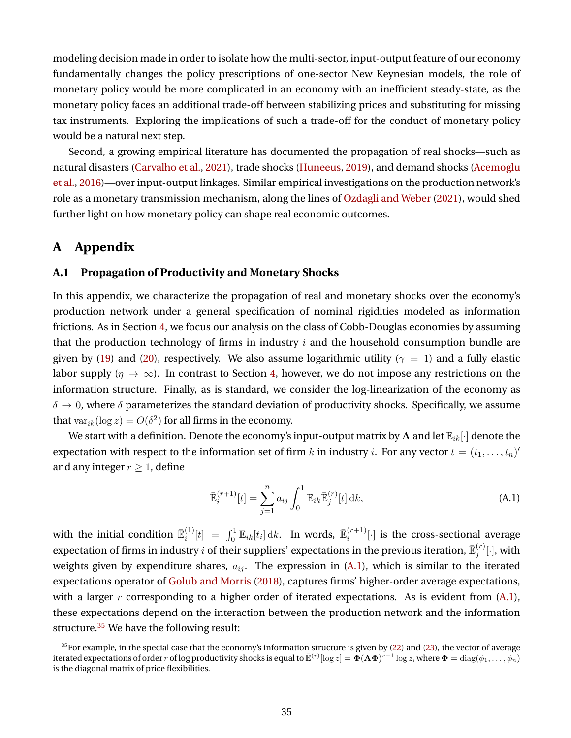modeling decision made in order to isolate how the multi-sector, input-output feature of our economy fundamentally changes the policy prescriptions of one-sector New Keynesian models, the role of monetary policy would be more complicated in an economy with an inefficient steady-state, as the monetary policy faces an additional trade-off between stabilizing prices and substituting for missing tax instruments. Exploring the implications of such a trade-off for the conduct of monetary policy would be a natural next step.

Second, a growing empirical literature has documented the propagation of real shocks—such as natural disasters [\(Carvalho et al.,](#page-40-14) [2021\)](#page-40-14), trade shocks [\(Huneeus,](#page-41-13) [2019\)](#page-41-13), and demand shocks [\(Acemoglu](#page-38-0) [et al.,](#page-38-0) [2016\)](#page-38-0)—over input-output linkages. Similar empirical investigations on the production network's role as a monetary transmission mechanism, along the lines of [Ozdagli and Weber](#page-42-4) [\(2021\)](#page-42-4), would shed further light on how monetary policy can shape real economic outcomes.

## **A Appendix**

### **A.1 Propagation of Productivity and Monetary Shocks**

In this appendix, we characterize the propagation of real and monetary shocks over the economy's production network under a general specification of nominal rigidities modeled as information frictions. As in Section [4,](#page-16-0) we focus our analysis on the class of Cobb-Douglas economies by assuming that the production technology of firms in industry  $i$  and the household consumption bundle are given by [\(19\)](#page-15-5) and [\(20\)](#page-15-6), respectively. We also assume logarithmic utility ( $\gamma = 1$ ) and a fully elastic labor supply ( $\eta \to \infty$ ). In contrast to Section [4,](#page-16-0) however, we do not impose any restrictions on the information structure. Finally, as is standard, we consider the log-linearization of the economy as  $\delta \to 0$ , where  $\delta$  parameterizes the standard deviation of productivity shocks. Specifically, we assume that  $var_{ik}(\log z) = O(\delta^2)$  for all firms in the economy.

We start with a definition. Denote the economy's input-output matrix by A and let  $\mathbb{E}_{ik}[\cdot]$  denote the expectation with respect to the information set of firm  $k$  in industry  $i.$  For any vector  $t=(t_1,\ldots,t_n)'$ and any integer  $r \geq 1$ , define

<span id="page-35-0"></span>
$$
\bar{\mathbb{E}}_i^{(r+1)}[t] = \sum_{j=1}^n a_{ij} \int_0^1 \mathbb{E}_{ik} \bar{\mathbb{E}}_j^{(r)}[t] \, \mathrm{d}k,\tag{A.1}
$$

with the initial condition  $\bar{\mathbb{E}}_i^{(1)}$  $\bar{\mathbf{E}}_i^{(1)}[t] \;=\; \int_0^1 \mathbb{E}_{ik}[t_i] \, \mathrm{d}k.$  In words,  $\bar{\mathbb{E}}_i^{(r+1)}$  $\binom{r+1}{i}$  is the cross-sectional average expectation of firms in industry  $i$  of their suppliers' expectations in the previous iteration,  $\bar{\mathbb{E}}_i^{(r)}$  $_{j}^{\left( r\right) }[\cdot],$  with weights given by expenditure shares,  $a_{ij}$ . The expression in [\(A.1\)](#page-35-0), which is similar to the iterated expectations operator of [Golub and Morris](#page-41-14) [\(2018\)](#page-41-14), captures firms' higher-order average expectations, with a larger r corresponding to a higher order of iterated expectations. As is evident from  $(A.1)$ , these expectations depend on the interaction between the production network and the information structure. $35$  We have the following result:

<span id="page-35-1"></span><sup>&</sup>lt;sup>35</sup>For example, in the special case that the economy's information structure is given by [\(22\)](#page-16-2) and [\(23\)](#page-16-3), the vector of average iterated expectations of order  $r$  of log productivity shocks is equal to  $\bar{\mathbb{E}}^{(r)}[\log z] = \tilde{\bm{\Phi}}(\mathbf{A}\bm{\Phi})^{r-1}\log z$ , where  $\bm{\Phi} = \text{diag}(\phi_1, \dots, \phi_n)$ is the diagonal matrix of price flexibilities.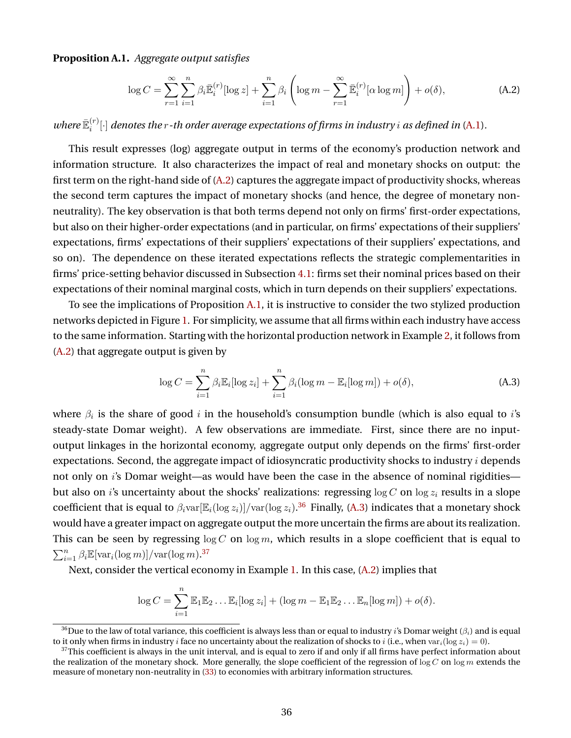<span id="page-36-1"></span>**Proposition A.1.** *Aggregate output satisfies*

<span id="page-36-0"></span>
$$
\log C = \sum_{r=1}^{\infty} \sum_{i=1}^{n} \beta_i \overline{\mathbb{E}}_i^{(r)} [\log z] + \sum_{i=1}^{n} \beta_i \left( \log m - \sum_{r=1}^{\infty} \overline{\mathbb{E}}_i^{(r)} [\alpha \log m] \right) + o(\delta), \tag{A.2}
$$

*where*  $\mathbb{\bar{E}}_i^{(r)}$  $\binom{[r]}{i}$  denotes the r-th order average expectations of firms in industry  $i$  as defined in [\(A.1\)](#page-35-0).

This result expresses (log) aggregate output in terms of the economy's production network and information structure. It also characterizes the impact of real and monetary shocks on output: the first term on the right-hand side of [\(A.2\)](#page-36-0) captures the aggregate impact of productivity shocks, whereas the second term captures the impact of monetary shocks (and hence, the degree of monetary nonneutrality). The key observation is that both terms depend not only on firms' first-order expectations, but also on their higher-order expectations (and in particular, on firms' expectations of their suppliers' expectations, firms' expectations of their suppliers' expectations of their suppliers' expectations, and so on). The dependence on these iterated expectations reflects the strategic complementarities in firms' price-setting behavior discussed in Subsection [4.1:](#page-18-6) firms set their nominal prices based on their expectations of their nominal marginal costs, which in turn depends on their suppliers' expectations.

To see the implications of Proposition [A.1,](#page-36-1) it is instructive to consider the two stylized production networks depicted in Figure [1.](#page-27-0) For simplicity, we assume that all firms within each industry have access to the same information. Starting with the horizontal production network in Example [2,](#page-26-1) it follows from [\(A.2\)](#page-36-0) that aggregate output is given by

<span id="page-36-3"></span>
$$
\log C = \sum_{i=1}^{n} \beta_i \mathbb{E}_i[\log z_i] + \sum_{i=1}^{n} \beta_i (\log m - \mathbb{E}_i[\log m]) + o(\delta), \tag{A.3}
$$

where  $\beta_i$  is the share of good  $i$  in the household's consumption bundle (which is also equal to  $i$ 's steady-state Domar weight). A few observations are immediate. First, since there are no inputoutput linkages in the horizontal economy, aggregate output only depends on the firms' first-order expectations. Second, the aggregate impact of idiosyncratic productivity shocks to industry  $i$  depends not only on i's Domar weight—as would have been the case in the absence of nominal rigidities but also on *i*'s uncertainty about the shocks' realizations: regressing  $\log C$  on  $\log z_i$  results in a slope coefficient that is equal to  $\beta_i\text{var}[\mathbb{E}_i(\log z_i)]/\text{var}(\log z_i).^{36}$  $\beta_i\text{var}[\mathbb{E}_i(\log z_i)]/\text{var}(\log z_i).^{36}$  $\beta_i\text{var}[\mathbb{E}_i(\log z_i)]/\text{var}(\log z_i).^{36}$  Finally, [\(A.3\)](#page-36-3) indicates that a monetary shock would have a greater impact on aggregate output the more uncertain the firms are about its realization. This can be seen by regressing  $\log C$  on  $\log m$ , which results in a slope coefficient that is equal to  $\sum_{i=1}^{n} \beta_i \mathbb{E}[\text{var}_i(\log m)] / \text{var}(\log m).^{37}$  $\sum_{i=1}^{n} \beta_i \mathbb{E}[\text{var}_i(\log m)] / \text{var}(\log m).^{37}$  $\sum_{i=1}^{n} \beta_i \mathbb{E}[\text{var}_i(\log m)] / \text{var}(\log m).^{37}$ 

Next, consider the vertical economy in Example [1.](#page-26-0) In this case, [\(A.2\)](#page-36-0) implies that

$$
\log C = \sum_{i=1}^n \mathbb{E}_1 \mathbb{E}_2 \dots \mathbb{E}_i [\log z_i] + (\log m - \mathbb{E}_1 \mathbb{E}_2 \dots \mathbb{E}_n [\log m]) + o(\delta).
$$

<span id="page-36-2"></span><sup>&</sup>lt;sup>36</sup>Due to the law of total variance, this coefficient is always less than or equal to industry *i*'s Domar weight ( $\beta_i$ ) and is equal to it only when firms in industry i face no uncertainty about the realization of shocks to i (i.e., when var<sub>i</sub>(log  $z_i$ ) = 0).

<span id="page-36-4"></span> $37$ This coefficient is always in the unit interval, and is equal to zero if and only if all firms have perfect information about the realization of the monetary shock. More generally, the slope coefficient of the regression of  $\log C$  on  $\log m$  extends the measure of monetary non-neutrality in [\(33\)](#page-20-6) to economies with arbitrary information structures.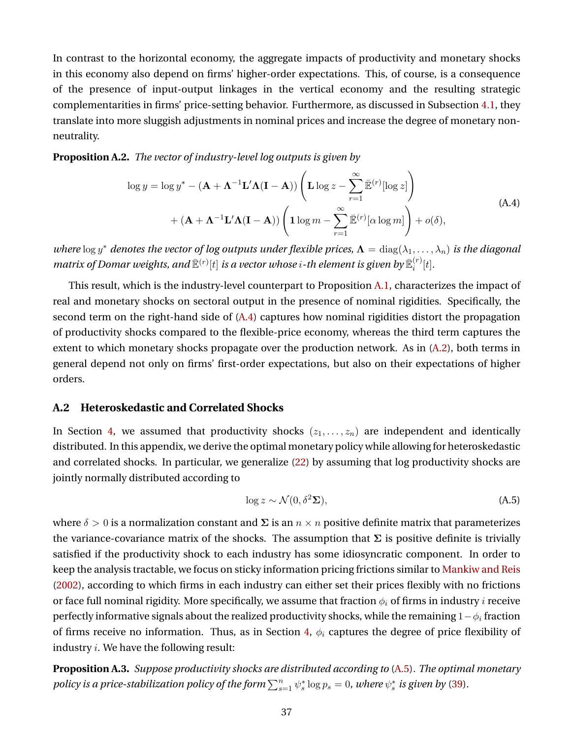In contrast to the horizontal economy, the aggregate impacts of productivity and monetary shocks in this economy also depend on firms' higher-order expectations. This, of course, is a consequence of the presence of input-output linkages in the vertical economy and the resulting strategic complementarities in firms' price-setting behavior. Furthermore, as discussed in Subsection [4.1,](#page-18-6) they translate into more sluggish adjustments in nominal prices and increase the degree of monetary nonneutrality.

**Proposition A.2.** *The vector of industry-level log outputs is given by*

<span id="page-37-1"></span>
$$
\log y = \log y^* - (\mathbf{A} + \mathbf{\Lambda}^{-1} \mathbf{L}' \mathbf{\Lambda} (\mathbf{I} - \mathbf{A})) \left( \mathbf{L} \log z - \sum_{r=1}^{\infty} \bar{\mathbb{E}}^{(r)} [\log z] \right)
$$
  
+ (\mathbf{A} + \mathbf{\Lambda}^{-1} \mathbf{L}' \mathbf{\Lambda} (\mathbf{I} - \mathbf{A})) \left( \mathbf{1} \log m - \sum\_{r=1}^{\infty} \bar{\mathbb{E}}^{(r)} [\alpha \log m] \right) + o(\delta), \tag{A.4}

where  $\log y^*$  *denotes the vector of log outputs under flexible prices,*  $\Lambda = \text{diag}(\lambda_1, \dots, \lambda_n)$  *is the diagonal* matrix of Domar weights, and  $\bar{\mathbb{E}}^{(r)}[t]$  is a vector whose  $i$  -th element is given by  $\bar{\mathbb{E}}^{(r)}_i$  $i^{(r)}[t]$ .

This result, which is the industry-level counterpart to Proposition [A.1,](#page-36-1) characterizes the impact of real and monetary shocks on sectoral output in the presence of nominal rigidities. Specifically, the second term on the right-hand side of  $(A.4)$  captures how nominal rigidities distort the propagation of productivity shocks compared to the flexible-price economy, whereas the third term captures the extent to which monetary shocks propagate over the production network. As in [\(A.2\)](#page-36-0), both terms in general depend not only on firms' first-order expectations, but also on their expectations of higher orders.

## <span id="page-37-0"></span>**A.2 Heteroskedastic and Correlated Shocks**

In Section [4,](#page-16-0) we assumed that productivity shocks  $(z_1, \ldots, z_n)$  are independent and identically distributed. In this appendix, we derive the optimal monetary policy while allowing for heteroskedastic and correlated shocks. In particular, we generalize [\(22\)](#page-16-2) by assuming that log productivity shocks are jointly normally distributed according to

<span id="page-37-2"></span>
$$
\log z \sim \mathcal{N}(0, \delta^2 \Sigma),\tag{A.5}
$$

where  $\delta > 0$  is a normalization constant and  $\Sigma$  is an  $n \times n$  positive definite matrix that parameterizes the variance-covariance matrix of the shocks. The assumption that  $\Sigma$  is positive definite is trivially satisfied if the productivity shock to each industry has some idiosyncratic component. In order to keep the analysis tractable, we focus on sticky information pricing frictions similar to [Mankiw and Reis](#page-42-8) [\(2002\)](#page-42-8), according to which firms in each industry can either set their prices flexibly with no frictions or face full nominal rigidity. More specifically, we assume that fraction  $\phi_i$  of firms in industry *i* receive perfectly informative signals about the realized productivity shocks, while the remaining  $1-\phi_i$  fraction of firms receive no information. Thus, as in Section [4,](#page-16-0)  $\phi_i$  captures the degree of price flexibility of industry *i*. We have the following result:

<span id="page-37-3"></span>**Proposition A.3.** *Suppose productivity shocks are distributed according to* [\(A.5\)](#page-37-2)*. The optimal monetary* policy is a price-stabilization policy of the form  $\sum_{s=1}^n \psi_s^* \log p_s = 0$ , where  $\psi_s^*$  is given by [\(39\)](#page-22-2).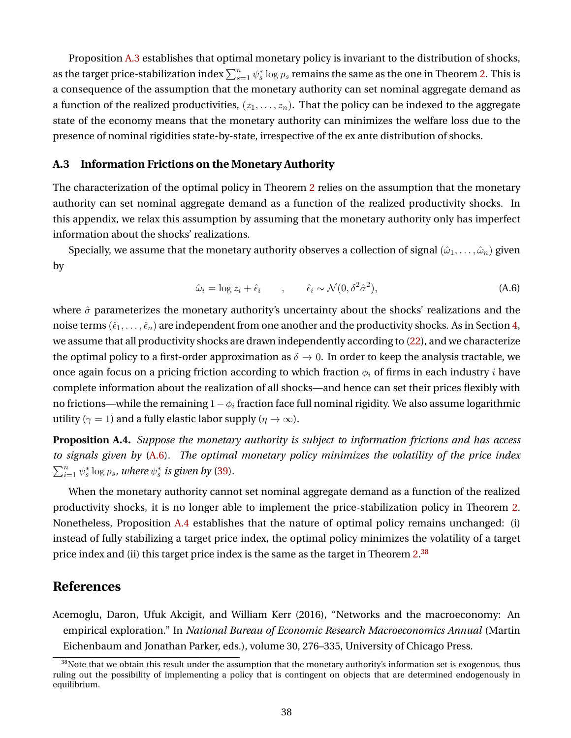Proposition [A.3](#page-37-3) establishes that optimal monetary policy is invariant to the distribution of shocks, as the target price-stabilization index  $\sum_{s=1}^n\psi_s^* \log p_s$  remains the same as the one in Theorem [2.](#page-22-1) This is a consequence of the assumption that the monetary authority can set nominal aggregate demand as a function of the realized productivities,  $(z_1, \ldots, z_n)$ . That the policy can be indexed to the aggregate state of the economy means that the monetary authority can minimizes the welfare loss due to the presence of nominal rigidities state-by-state, irrespective of the ex ante distribution of shocks.

#### <span id="page-38-1"></span>**A.3 Information Frictions on the Monetary Authority**

The characterization of the optimal policy in Theorem [2](#page-22-1) relies on the assumption that the monetary authority can set nominal aggregate demand as a function of the realized productivity shocks. In this appendix, we relax this assumption by assuming that the monetary authority only has imperfect information about the shocks' realizations.

Specially, we assume that the monetary authority observes a collection of signal  $(\hat{\omega}_1, \dots, \hat{\omega}_n)$  given by

<span id="page-38-2"></span>
$$
\hat{\omega}_i = \log z_i + \hat{\epsilon}_i \qquad , \qquad \hat{\epsilon}_i \sim \mathcal{N}(0, \delta^2 \hat{\sigma}^2), \tag{A.6}
$$

where  $\hat{\sigma}$  parameterizes the monetary authority's uncertainty about the shocks' realizations and the noise terms  $(\hat{\epsilon}_1,\ldots,\hat{\epsilon}_n)$  are independent from one another and the productivity shocks. As in Section [4,](#page-16-0) we assume that all productivity shocks are drawn independently according to [\(22\)](#page-16-2), and we characterize the optimal policy to a first-order approximation as  $\delta \to 0$ . In order to keep the analysis tractable, we once again focus on a pricing friction according to which fraction  $\phi_i$  of firms in each industry *i* have complete information about the realization of all shocks—and hence can set their prices flexibly with no frictions—while the remaining  $1-\phi_i$  fraction face full nominal rigidity. We also assume logarithmic utility ( $\gamma = 1$ ) and a fully elastic labor supply ( $\eta \to \infty$ ).

<span id="page-38-3"></span>**Proposition A.4.** *Suppose the monetary authority is subject to information frictions and has access to signals given by* [\(A.6\)](#page-38-2)*. The optimal monetary policy minimizes the volatility of the price index*  $\sum_{i=1}^n \psi_s^* \log p_s$ , where  $\psi_s^*$  is given by [\(39\)](#page-22-2).

When the monetary authority cannot set nominal aggregate demand as a function of the realized productivity shocks, it is no longer able to implement the price-stabilization policy in Theorem [2.](#page-22-1) Nonetheless, Proposition [A.4](#page-38-3) establishes that the nature of optimal policy remains unchanged: (i) instead of fully stabilizing a target price index, the optimal policy minimizes the volatility of a target price index and (ii) this target price index is the same as the target in Theorem [2.](#page-22-1) $^\mathrm{38}$  $^\mathrm{38}$  $^\mathrm{38}$ 

## **References**

<span id="page-38-0"></span>Acemoglu, Daron, Ufuk Akcigit, and William Kerr (2016), "Networks and the macroeconomy: An empirical exploration." In *National Bureau of Economic Research Macroeconomics Annual* (Martin Eichenbaum and Jonathan Parker, eds.), volume 30, 276–335, University of Chicago Press.

<span id="page-38-4"></span><sup>&</sup>lt;sup>38</sup>Note that we obtain this result under the assumption that the monetary authority's information set is exogenous, thus ruling out the possibility of implementing a policy that is contingent on objects that are determined endogenously in equilibrium.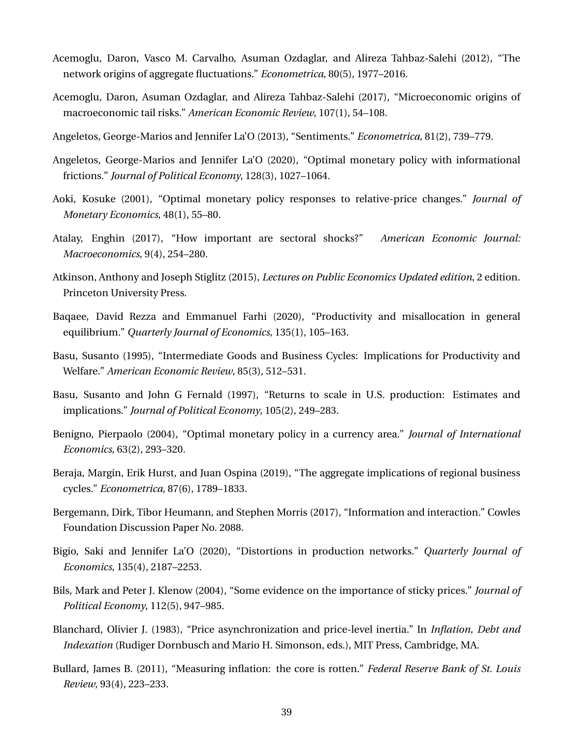- <span id="page-39-0"></span>Acemoglu, Daron, Vasco M. Carvalho, Asuman Ozdaglar, and Alireza Tahbaz-Salehi (2012), "The network origins of aggregate fluctuations." *Econometrica*, 80(5), 1977–2016.
- <span id="page-39-7"></span>Acemoglu, Daron, Asuman Ozdaglar, and Alireza Tahbaz-Salehi (2017), "Microeconomic origins of macroeconomic tail risks." *American Economic Review*, 107(1), 54–108.
- <span id="page-39-11"></span>Angeletos, George-Marios and Jennifer La'O (2013), "Sentiments." *Econometrica*, 81(2), 739–779.
- <span id="page-39-1"></span>Angeletos, George-Marios and Jennifer La'O (2020), "Optimal monetary policy with informational frictions." *Journal of Political Economy*, 128(3), 1027–1064.
- <span id="page-39-5"></span>Aoki, Kosuke (2001), "Optimal monetary policy responses to relative-price changes." *Journal of Monetary Economics*, 48(1), 55–80.
- <span id="page-39-8"></span>Atalay, Enghin (2017), "How important are sectoral shocks?" *American Economic Journal: Macroeconomics*, 9(4), 254–280.
- <span id="page-39-2"></span>Atkinson, Anthony and Joseph Stiglitz (2015), *Lectures on Public Economics Updated edition*, 2 edition. Princeton University Press.
- <span id="page-39-4"></span>Baqaee, David Rezza and Emmanuel Farhi (2020), "Productivity and misallocation in general equilibrium." *Quarterly Journal of Economics*, 135(1), 105–163.
- <span id="page-39-10"></span>Basu, Susanto (1995), "Intermediate Goods and Business Cycles: Implications for Productivity and Welfare." *American Economic Review*, 85(3), 512–531.
- <span id="page-39-15"></span>Basu, Susanto and John G Fernald (1997), "Returns to scale in U.S. production: Estimates and implications." *Journal of Political Economy*, 105(2), 249–283.
- <span id="page-39-6"></span>Benigno, Pierpaolo (2004), "Optimal monetary policy in a currency area." *Journal of International Economics*, 63(2), 293–320.
- <span id="page-39-14"></span>Beraja, Margin, Erik Hurst, and Juan Ospina (2019), "The aggregate implications of regional business cycles." *Econometrica*, 87(6), 1789–1833.
- <span id="page-39-12"></span>Bergemann, Dirk, Tibor Heumann, and Stephen Morris (2017), "Information and interaction." Cowles Foundation Discussion Paper No. 2088.
- <span id="page-39-3"></span>Bigio, Saki and Jennifer La'O (2020), "Distortions in production networks." *Quarterly Journal of Economics*, 135(4), 2187–2253.
- <span id="page-39-13"></span>Bils, Mark and Peter J. Klenow (2004), "Some evidence on the importance of sticky prices." *Journal of Political Economy*, 112(5), 947–985.
- <span id="page-39-9"></span>Blanchard, Olivier J. (1983), "Price asynchronization and price-level inertia." In *Inflation, Debt and Indexation* (Rudiger Dornbusch and Mario H. Simonson, eds.), MIT Press, Cambridge, MA.
- <span id="page-39-16"></span>Bullard, James B. (2011), "Measuring inflation: the core is rotten." *Federal Reserve Bank of St. Louis Review*, 93(4), 223–233.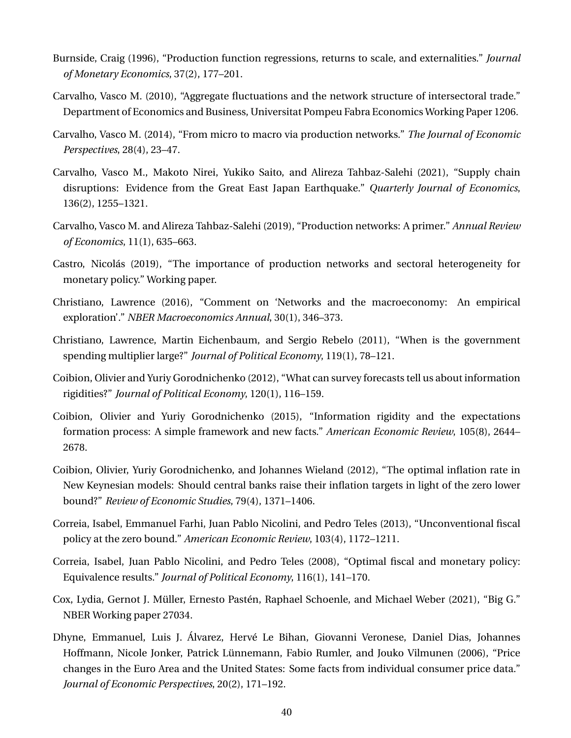- <span id="page-40-11"></span>Burnside, Craig (1996), "Production function regressions, returns to scale, and externalities." *Journal of Monetary Economics*, 37(2), 177–201.
- <span id="page-40-2"></span>Carvalho, Vasco M. (2010), "Aggregate fluctuations and the network structure of intersectoral trade." Department of Economics and Business, Universitat Pompeu Fabra Economics Working Paper 1206.
- <span id="page-40-3"></span>Carvalho, Vasco M. (2014), "From micro to macro via production networks." *The Journal of Economic Perspectives*, 28(4), 23–47.
- <span id="page-40-14"></span>Carvalho, Vasco M., Makoto Nirei, Yukiko Saito, and Alireza Tahbaz-Salehi (2021), "Supply chain disruptions: Evidence from the Great East Japan Earthquake." *Quarterly Journal of Economics*, 136(2), 1255–1321.
- <span id="page-40-4"></span>Carvalho, Vasco M. and Alireza Tahbaz-Salehi (2019), "Production networks: A primer." *Annual Review of Economics*, 11(1), 635–663.
- <span id="page-40-5"></span>Castro, Nicolás (2019), "The importance of production networks and sectoral heterogeneity for monetary policy." Working paper.
- <span id="page-40-9"></span>Christiano, Lawrence (2016), "Comment on 'Networks and the macroeconomy: An empirical exploration'." *NBER Macroeconomics Annual*, 30(1), 346–373.
- <span id="page-40-12"></span>Christiano, Lawrence, Martin Eichenbaum, and Sergio Rebelo (2011), "When is the government spending multiplier large?" *Journal of Political Economy*, 119(1), 78–121.
- <span id="page-40-7"></span>Coibion, Olivier and Yuriy Gorodnichenko (2012), "What can survey forecasts tell us about information rigidities?" *Journal of Political Economy*, 120(1), 116–159.
- <span id="page-40-8"></span>Coibion, Olivier and Yuriy Gorodnichenko (2015), "Information rigidity and the expectations formation process: A simple framework and new facts." *American Economic Review*, 105(8), 2644– 2678.
- <span id="page-40-10"></span>Coibion, Olivier, Yuriy Gorodnichenko, and Johannes Wieland (2012), "The optimal inflation rate in New Keynesian models: Should central banks raise their inflation targets in light of the zero lower bound?" *Review of Economic Studies*, 79(4), 1371–1406.
- <span id="page-40-1"></span>Correia, Isabel, Emmanuel Farhi, Juan Pablo Nicolini, and Pedro Teles (2013), "Unconventional fiscal policy at the zero bound." *American Economic Review*, 103(4), 1172–1211.
- <span id="page-40-0"></span>Correia, Isabel, Juan Pablo Nicolini, and Pedro Teles (2008), "Optimal fiscal and monetary policy: Equivalence results." *Journal of Political Economy*, 116(1), 141–170.
- <span id="page-40-6"></span>Cox, Lydia, Gernot J. Müller, Ernesto Pastén, Raphael Schoenle, and Michael Weber (2021), "Big G." NBER Working paper 27034.
- <span id="page-40-13"></span>Dhyne, Emmanuel, Luis J. Álvarez, Hervé Le Bihan, Giovanni Veronese, Daniel Dias, Johannes Hoffmann, Nicole Jonker, Patrick Lunnemann, Fabio Rumler, and Jouko Vilmunen (2006), "Price ¨ changes in the Euro Area and the United States: Some facts from individual consumer price data." *Journal of Economic Perspectives*, 20(2), 171–192.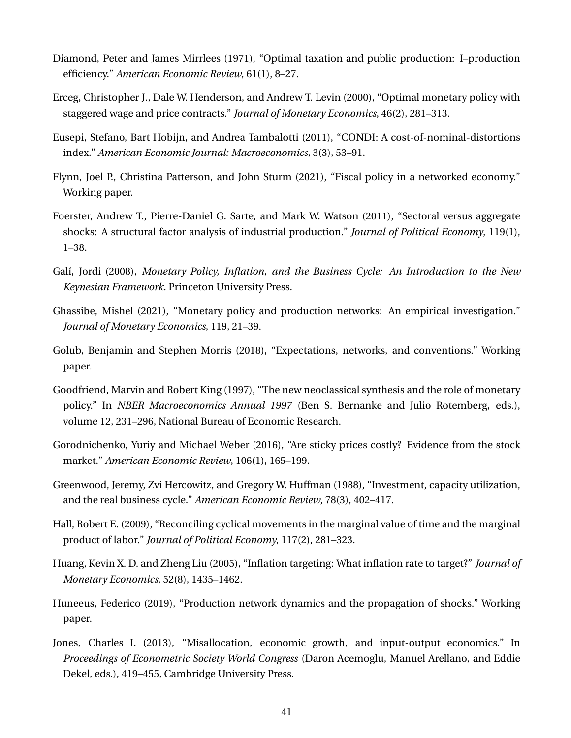- <span id="page-41-0"></span>Diamond, Peter and James Mirrlees (1971), "Optimal taxation and public production: I–production efficiency." *American Economic Review*, 61(1), 8–27.
- <span id="page-41-8"></span>Erceg, Christopher J., Dale W. Henderson, and Andrew T. Levin (2000), "Optimal monetary policy with staggered wage and price contracts." *Journal of Monetary Economics*, 46(2), 281–313.
- <span id="page-41-3"></span>Eusepi, Stefano, Bart Hobijn, and Andrea Tambalotti (2011), "CONDI: A cost-of-nominal-distortions index." *American Economic Journal: Macroeconomics*, 3(3), 53–91.
- <span id="page-41-5"></span>Flynn, Joel P., Christina Patterson, and John Sturm (2021), "Fiscal policy in a networked economy." Working paper.
- <span id="page-41-4"></span>Foerster, Andrew T., Pierre-Daniel G. Sarte, and Mark W. Watson (2011), "Sectoral versus aggregate shocks: A structural factor analysis of industrial production." *Journal of Political Economy*, 119(1), 1–38.
- <span id="page-41-10"></span>Galí, Jordi (2008), *Monetary Policy, Inflation, and the Business Cycle: An Introduction to the New Keynesian Framework*. Princeton University Press.
- <span id="page-41-2"></span>Ghassibe, Mishel (2021), "Monetary policy and production networks: An empirical investigation." *Journal of Monetary Economics*, 119, 21–39.
- <span id="page-41-14"></span>Golub, Benjamin and Stephen Morris (2018), "Expectations, networks, and conventions." Working paper.
- <span id="page-41-6"></span>Goodfriend, Marvin and Robert King (1997), "The new neoclassical synthesis and the role of monetary policy." In *NBER Macroeconomics Annual 1997* (Ben S. Bernanke and Julio Rotemberg, eds.), volume 12, 231–296, National Bureau of Economic Research.
- <span id="page-41-9"></span>Gorodnichenko, Yuriy and Michael Weber (2016), "Are sticky prices costly? Evidence from the stock market." *American Economic Review*, 106(1), 165–199.
- <span id="page-41-12"></span>Greenwood, Jeremy, Zvi Hercowitz, and Gregory W. Huffman (1988), "Investment, capacity utilization, and the real business cycle." *American Economic Review*, 78(3), 402–417.
- <span id="page-41-11"></span>Hall, Robert E. (2009), "Reconciling cyclical movements in the marginal value of time and the marginal product of labor." *Journal of Political Economy*, 117(2), 281–323.
- <span id="page-41-7"></span>Huang, Kevin X. D. and Zheng Liu (2005), "Inflation targeting: What inflation rate to target?" *Journal of Monetary Economics*, 52(8), 1435–1462.
- <span id="page-41-13"></span>Huneeus, Federico (2019), "Production network dynamics and the propagation of shocks." Working paper.
- <span id="page-41-1"></span>Jones, Charles I. (2013), "Misallocation, economic growth, and input-output economics." In *Proceedings of Econometric Society World Congress* (Daron Acemoglu, Manuel Arellano, and Eddie Dekel, eds.), 419–455, Cambridge University Press.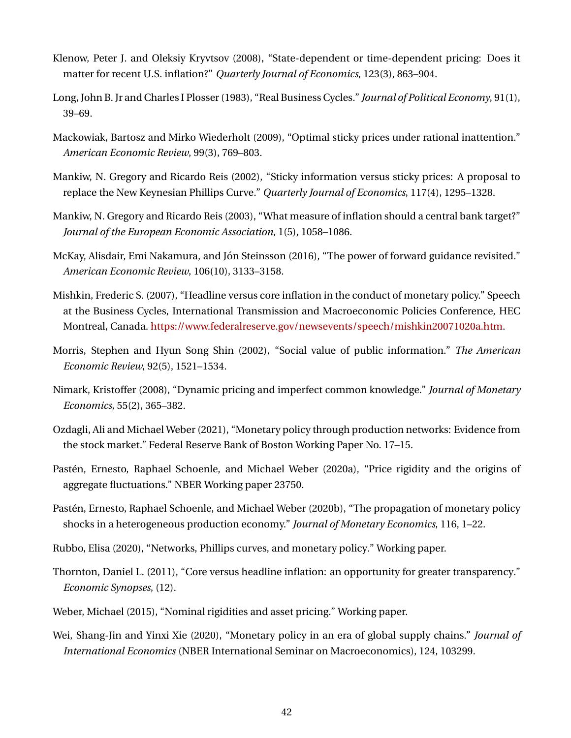- <span id="page-42-12"></span>Klenow, Peter J. and Oleksiy Kryvtsov (2008), "State-dependent or time-dependent pricing: Does it matter for recent U.S. inflation?" *Quarterly Journal of Economics*, 123(3), 863–904.
- <span id="page-42-0"></span>Long, John B. Jr and Charles I Plosser (1983), "Real Business Cycles." *Journal of Political Economy*, 91(1), 39–69.
- <span id="page-42-9"></span>Mackowiak, Bartosz and Mirko Wiederholt (2009), "Optimal sticky prices under rational inattention." *American Economic Review*, 99(3), 769–803.
- <span id="page-42-8"></span>Mankiw, N. Gregory and Ricardo Reis (2002), "Sticky information versus sticky prices: A proposal to replace the New Keynesian Phillips Curve." *Quarterly Journal of Economics*, 117(4), 1295–1328.
- <span id="page-42-6"></span>Mankiw, N. Gregory and Ricardo Reis (2003), "What measure of inflation should a central bank target?" *Journal of the European Economic Association*, 1(5), 1058–1086.
- <span id="page-42-13"></span>McKay, Alisdair, Emi Nakamura, and Jón Steinsson (2016), "The power of forward guidance revisited." *American Economic Review*, 106(10), 3133–3158.
- <span id="page-42-14"></span>Mishkin, Frederic S. (2007), "Headline versus core inflation in the conduct of monetary policy." Speech at the Business Cycles, International Transmission and Macroeconomic Policies Conference, HEC Montreal, Canada. [https://www.federalreserve.gov/newsevents/speech/mishkin20071020a.htm.](https://www.federalreserve.gov/newsevents/speech/mishkin20071020a.htm)
- <span id="page-42-1"></span>Morris, Stephen and Hyun Song Shin (2002), "Social value of public information." *The American Economic Review*, 92(5), 1521–1534.
- <span id="page-42-10"></span>Nimark, Kristoffer (2008), "Dynamic pricing and imperfect common knowledge." *Journal of Monetary Economics*, 55(2), 365–382.
- <span id="page-42-4"></span>Ozdagli, Ali and Michael Weber (2021), "Monetary policy through production networks: Evidence from the stock market." Federal Reserve Bank of Boston Working Paper No. 17–15.
- <span id="page-42-2"></span>Pasten, Ernesto, Raphael Schoenle, and Michael Weber (2020a), "Price rigidity and the origins of ´ aggregate fluctuations." NBER Working paper 23750.
- <span id="page-42-3"></span>Pastén, Ernesto, Raphael Schoenle, and Michael Weber (2020b), "The propagation of monetary policy shocks in a heterogeneous production economy." *Journal of Monetary Economics*, 116, 1–22.
- <span id="page-42-7"></span>Rubbo, Elisa (2020), "Networks, Phillips curves, and monetary policy." Working paper.
- <span id="page-42-15"></span>Thornton, Daniel L. (2011), "Core versus headline inflation: an opportunity for greater transparency." *Economic Synopses*, (12).
- <span id="page-42-11"></span>Weber, Michael (2015), "Nominal rigidities and asset pricing." Working paper.
- <span id="page-42-5"></span>Wei, Shang-Jin and Yinxi Xie (2020), "Monetary policy in an era of global supply chains." *Journal of International Economics* (NBER International Seminar on Macroeconomics), 124, 103299.